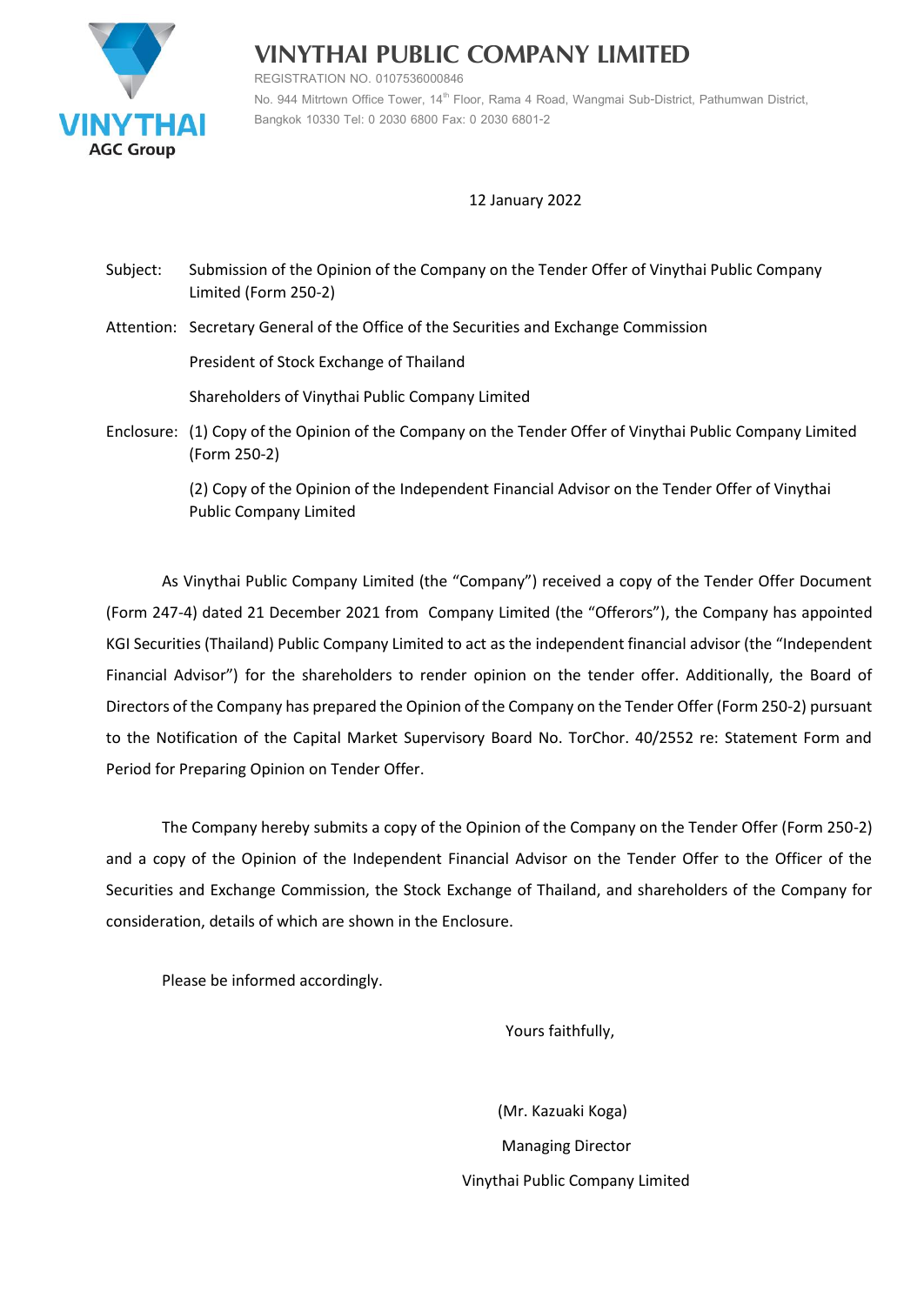

**VINYTHAI PUBLIC COMPANY LIMITED**

**REGISTRATION NO. 0107536000846 No. 944 Mitrtown Office Tower, 14th Floor, Rama 4 Road, Wangmai Sub-District, Pathumwan District, Bangkok 10330 Tel: 0 2030 6800 Fax: 0 2030 6801-2**

# 12 January 2022

Subject: Submission of the Opinion of the Company on the Tender Offer of Vinythai Public Company Limited (Form 250-2)

Attention: Secretary General of the Office of the Securities and Exchange Commission

President of Stock Exchange of Thailand

Shareholders of Vinythai Public Company Limited

Enclosure: (1) Copy of the Opinion of the Company on the Tender Offer of Vinythai Public Company Limited (Form 250-2)

> (2) Copy of the Opinion of the Independent Financial Advisor on the Tender Offer of Vinythai Public Company Limited

As Vinythai Public Company Limited (the "Company") received a copy of the Tender Offer Document (Form 247-4) dated 21 December 2021 from Company Limited (the "Offerors"), the Company has appointed KGI Securities (Thailand) Public Company Limited to act as the independent financial advisor (the "Independent Financial Advisor") for the shareholders to render opinion on the tender offer. Additionally, the Board of Directors of the Company has prepared the Opinion of the Company on the Tender Offer (Form 250-2) pursuant to the Notification of the Capital Market Supervisory Board No. TorChor. 40/2552 re: Statement Form and Period for Preparing Opinion on Tender Offer.

The Company hereby submits a copy of the Opinion of the Company on the Tender Offer (Form 250-2) and a copy of the Opinion of the Independent Financial Advisor on the Tender Offer to the Officer of the Securities and Exchange Commission, the Stock Exchange of Thailand, and shareholders of the Company for consideration, details of which are shown in the Enclosure.

Please be informed accordingly.

Yours faithfully,

 (Mr. Kazuaki Koga) Managing Director Vinythai Public Company Limited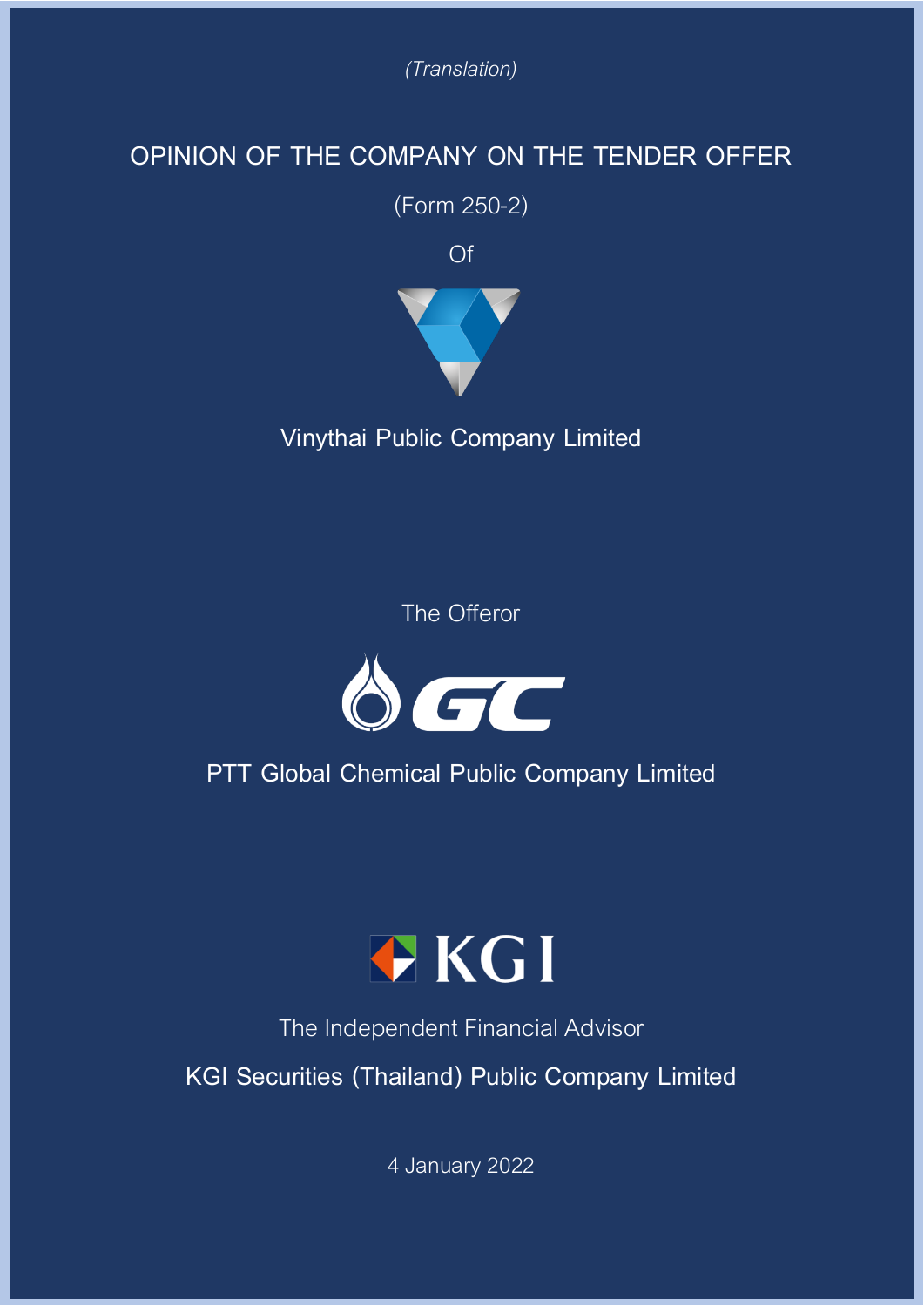*(Translation)*

# **OPINION OF THE COMPANY ON THE TENDER OFFER**

(Form 250-2)

Of



**Vinythai Public Company Limited**

The Offeror



**PTT Global Chemical Public Company Limited**



The Independent Financial Advisor

**KGI Securities (Thailand) Public Company Limited**

4 January 2022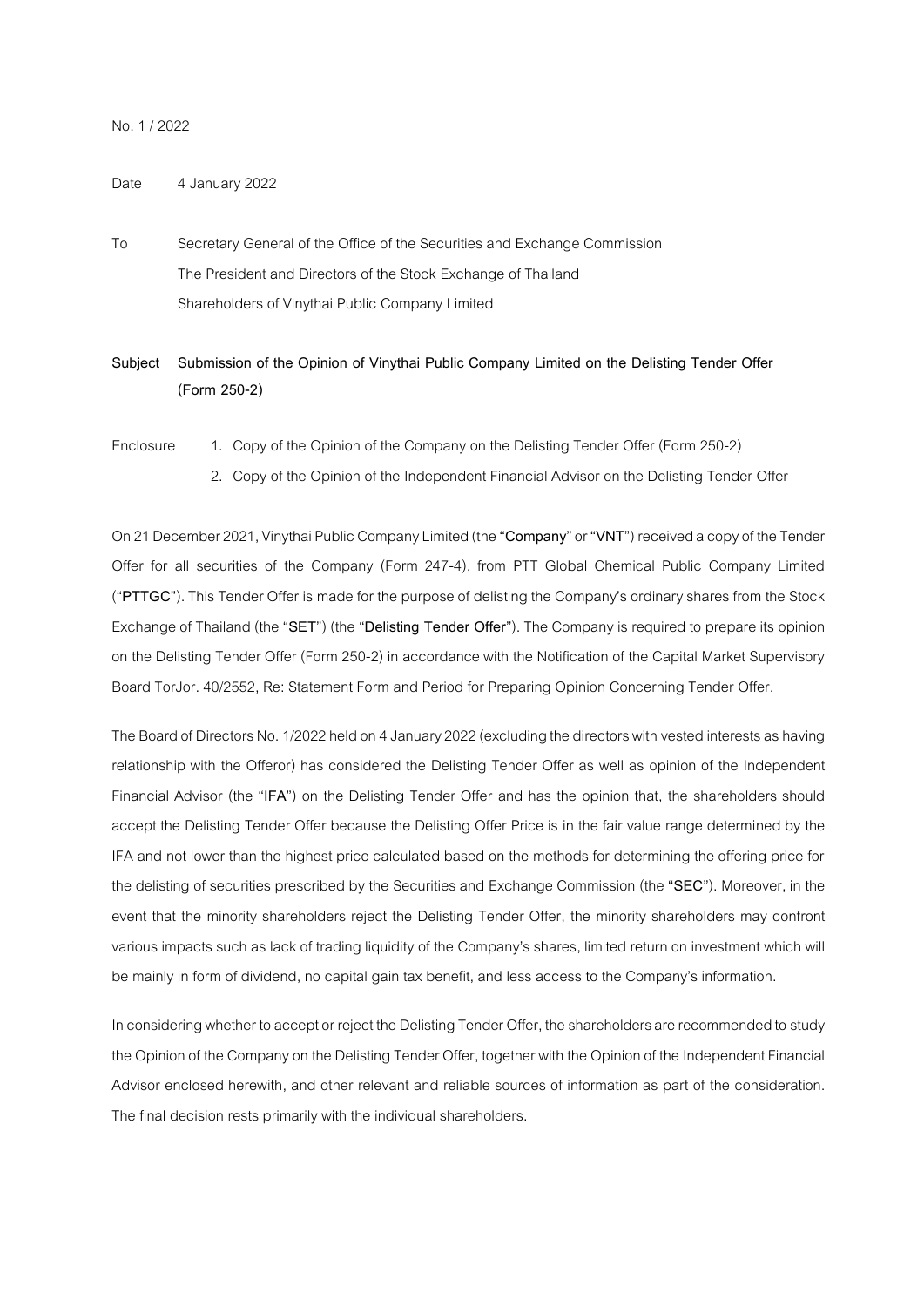## No.1/ 2022

## Date 4 January 2022

- To Secretary General of the Office of the Securities and Exchange Commission The President and Directors of the Stock Exchange of Thailand Shareholders of Vinythai Public Company Limited
- **Subject Submission of the Opinion of Vinythai Public Company Limited on the Delisting Tender Offer (Form 250-2)**
- Enclosure 1. Copy of the Opinion of the Company on the Delisting Tender Offer (Form 250-2)
	- 2. Copy of the Opinion of the Independent Financial Advisor on the Delisting Tender Offer

On 21 December2021, Vinythai Public Company Limited (the "**Company**" or "**VNT**") received a copy of the Tender Offer for all securities of the Company (Form 247-4), from PTT Global Chemical Public Company Limited ("**PTTGC**").This Tender Offer is made for the purpose of delisting the Company's ordinary shares from the Stock Exchange of Thailand (the "**SET**") (the "**Delisting Tender Offer**"). The Company is required to prepareits opinion on the Delisting Tender Offer (Form 250-2) in accordance with the Notification of the Capital Market Supervisory Board TorJor. 40/2552, Re: Statement Form and Period for Preparing Opinion Concerning Tender Offer.

The Board of Directors No. 1/2022 held on 4 January 2022 (excluding the directors with vested interests as having relationship with the Offeror) has considered the Delisting Tender Offer as well as opinion of the Independent Financial Advisor (the "**IFA**") on the Delisting Tender Offer and has the opinion that, the shareholders should accept the Delisting Tender Offer because the Delisting Offer Price is in the fair value range determined by the IFA and not lower than the highest price calculated based on the methods for determining the offering price for the delisting of securities prescribed by the Securities and Exchange Commission (the "**SEC**"). Moreover, in the event that the minority shareholders reject the Delisting Tender Offer, the minority shareholders may confront various impacts such as lack of trading liquidity of the Company's shares, limited return on investment which will be mainly in form of dividend, no capital gain tax benefit, and less access to the Company's information.

In considering whether to accept or reject the Delisting Tender Offer, the shareholders are recommended to study the Opinion of the Company on the Delisting Tender Offer, together with the Opinion of the Independent Financial Advisor enclosed herewith, and other relevant and reliable sources of information as part of the consideration. The final decision rests primarily with the individual shareholders.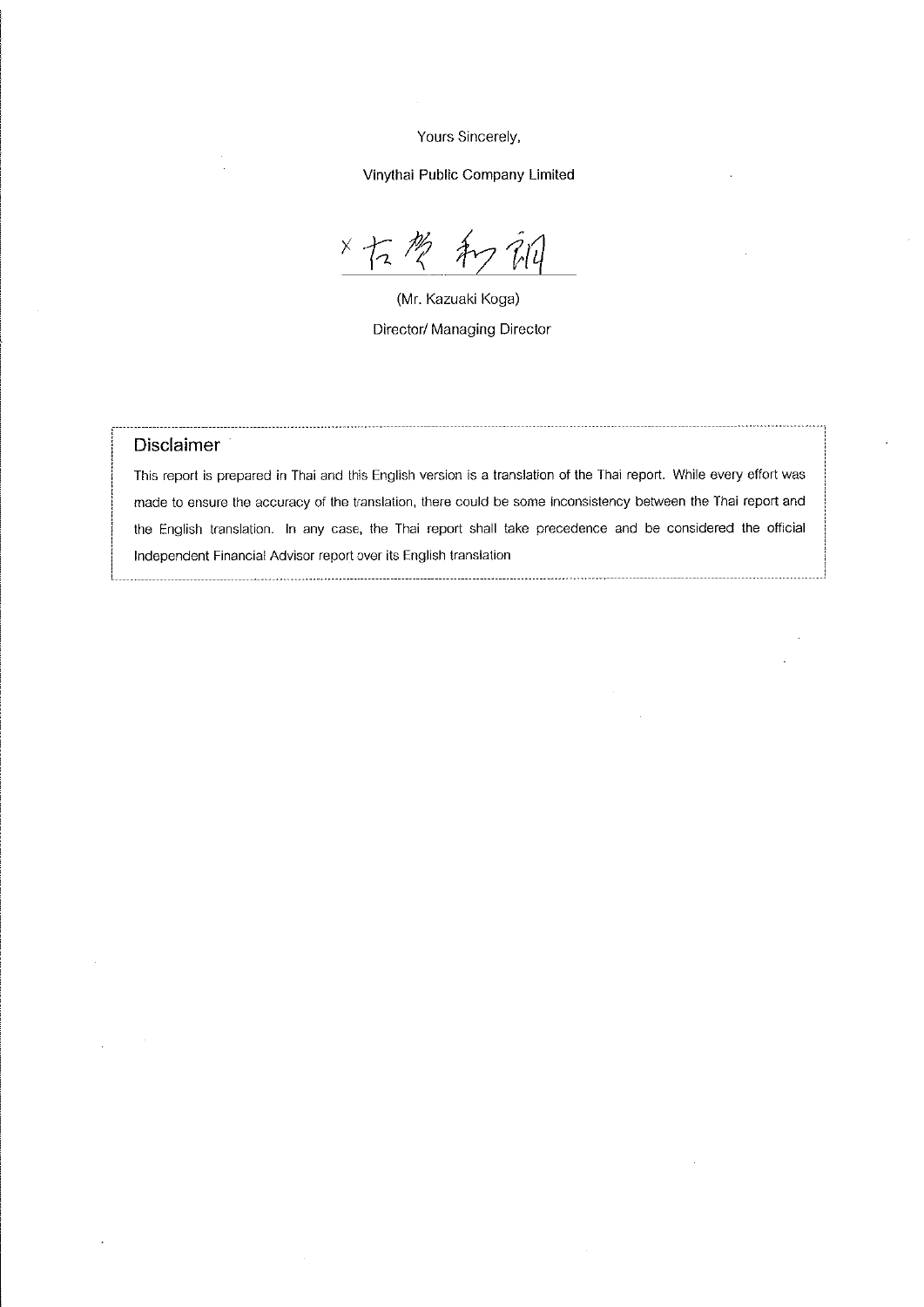Yours Sincerely,

Vinythai Public Company Limited

 $x \nightharpoondown$ Â

(Mr. Kazuaki Koga) Director/ Managing Director

## Disclaimer

This report is prepared in Thai and this English version is a translation of the Thai report. While every effort was made to ensure the accuracy of the translation, there could be some inconsistency between the Thai report and the English translation. In any case, the Thai report shall take precedence and be considered the official Independent Financial Advisor report over its English translation

<u> 1980 - Jan Sterling Sterling (f. 1980)</u>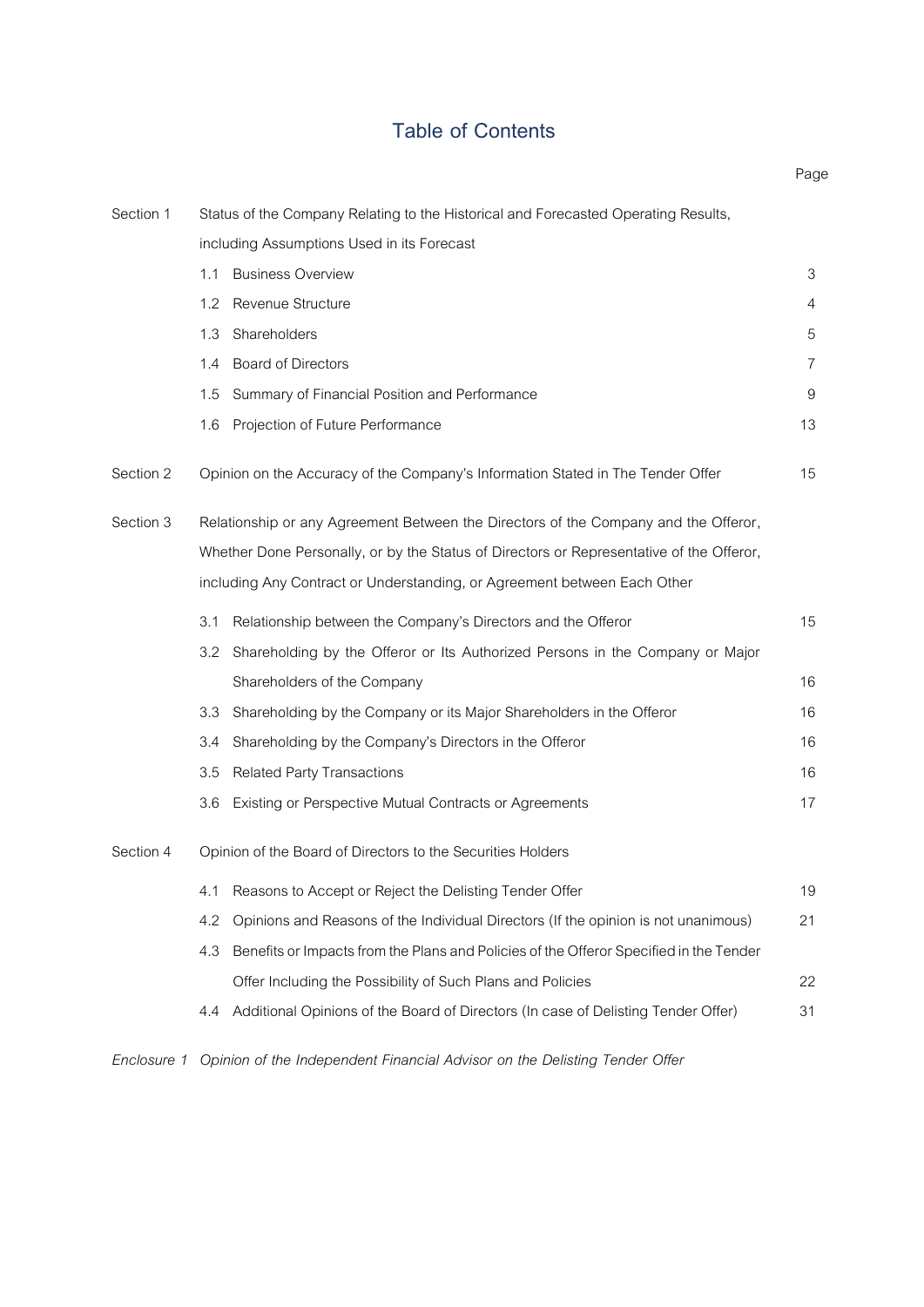# **Table of Contents**

|                                                                                               | Page |  |  |  |  |  |
|-----------------------------------------------------------------------------------------------|------|--|--|--|--|--|
| Status of the Company Relating to the Historical and Forecasted Operating Results,            |      |  |  |  |  |  |
| including Assumptions Used in its Forecast                                                    |      |  |  |  |  |  |
| <b>Business Overview</b><br>1.1                                                               | 3    |  |  |  |  |  |
| Revenue Structure<br>1.2                                                                      | 4    |  |  |  |  |  |
| Shareholders<br>1.3                                                                           | 5    |  |  |  |  |  |
| <b>Board of Directors</b><br>1.4                                                              | 7    |  |  |  |  |  |
| Summary of Financial Position and Performance<br>1.5                                          | 9    |  |  |  |  |  |
| Projection of Future Performance<br>1.6                                                       | 13   |  |  |  |  |  |
| Opinion on the Accuracy of the Company's Information Stated in The Tender Offer               | 15   |  |  |  |  |  |
| Relationship or any Agreement Between the Directors of the Company and the Offeror,           |      |  |  |  |  |  |
| Whether Done Personally, or by the Status of Directors or Representative of the Offeror,      |      |  |  |  |  |  |
| including Any Contract or Understanding, or Agreement between Each Other                      |      |  |  |  |  |  |
| Relationship between the Company's Directors and the Offeror<br>3.1                           | 15   |  |  |  |  |  |
| Shareholding by the Offeror or Its Authorized Persons in the Company or Major<br>3.2          |      |  |  |  |  |  |
| Shareholders of the Company                                                                   | 16   |  |  |  |  |  |
| 3.3<br>Shareholding by the Company or its Major Shareholders in the Offeror                   | 16   |  |  |  |  |  |
| Shareholding by the Company's Directors in the Offeror<br>3.4                                 | 16   |  |  |  |  |  |
| <b>Related Party Transactions</b><br>3.5                                                      | 16   |  |  |  |  |  |
| Existing or Perspective Mutual Contracts or Agreements<br>3.6                                 | 17   |  |  |  |  |  |
| Opinion of the Board of Directors to the Securities Holders                                   |      |  |  |  |  |  |
| 4.1<br>Reasons to Accept or Reject the Delisting Tender Offer                                 | 19   |  |  |  |  |  |
| 4.2<br>Opinions and Reasons of the Individual Directors (If the opinion is not unanimous)     | 21   |  |  |  |  |  |
| 4.3<br>Benefits or Impacts from the Plans and Policies of the Offeror Specified in the Tender |      |  |  |  |  |  |
| Offer Including the Possibility of Such Plans and Policies                                    | 22   |  |  |  |  |  |
| Additional Opinions of the Board of Directors (In case of Delisting Tender Offer)<br>4.4      | 31   |  |  |  |  |  |
|                                                                                               |      |  |  |  |  |  |

*Enclosure 1 Opinion of the Independent Financial Advisor on the Delisting Tender Offer*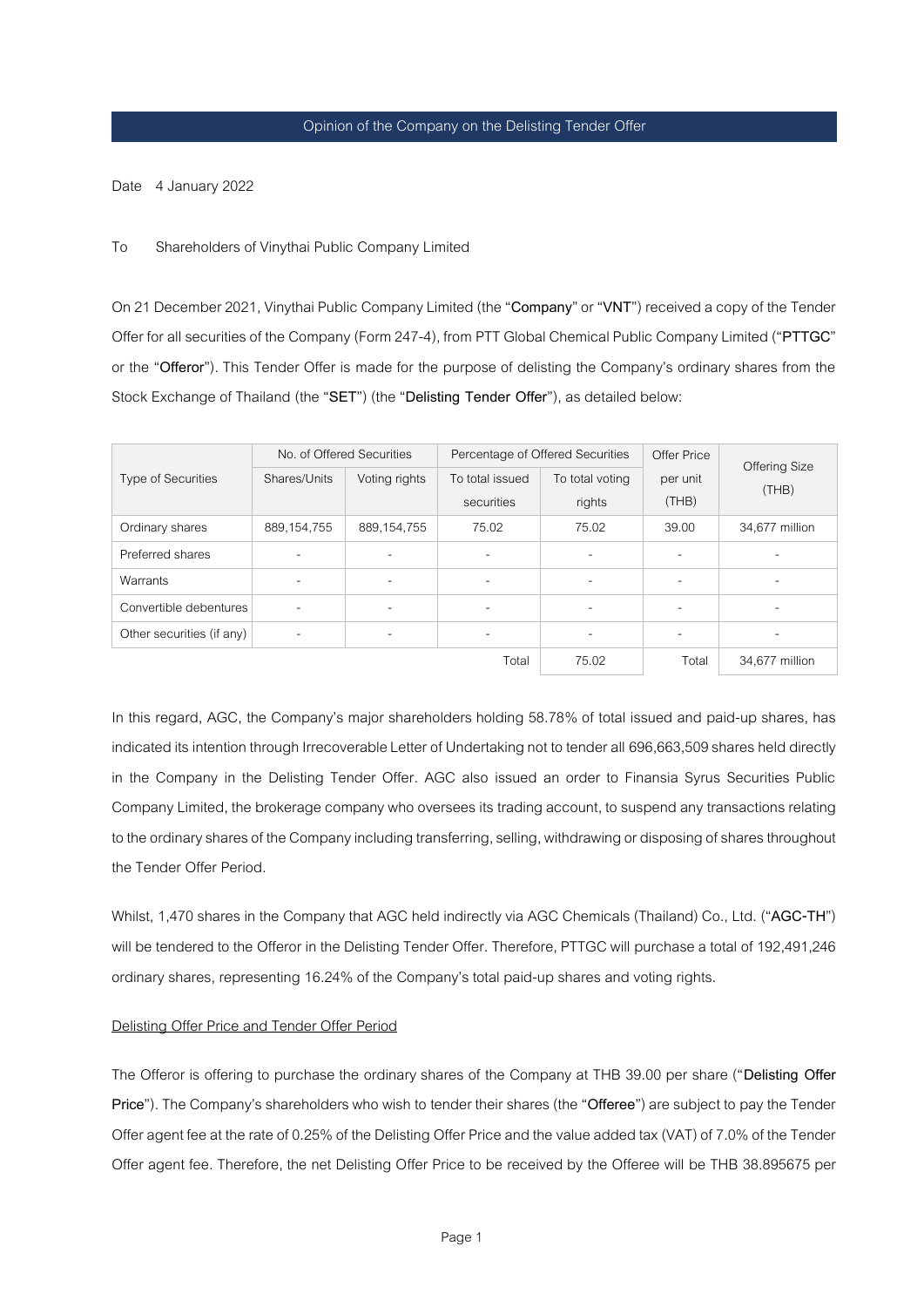Date 4 January 2022

## To Shareholders of Vinythai Public Company Limited

On21 December2021, Vinythai Public Company Limited (the "**Company**" or "**VNT**") received a copy of the Tender Offer for allsecurities of the Company (Form 247-4), from PTT Global Chemical Public Company Limited ("**PTTGC**" or the "**Offeror**"). This Tender Offer is made for the purpose of delisting the Company's ordinary shares from the Stock Exchange of Thailand (the "**SET**") (the "**Delisting Tender Offer**"), as detailed below:

|                           |                          | No. of Offered Securities |                          | Percentage of Offered Securities | Offer Price              | Offering Size  |
|---------------------------|--------------------------|---------------------------|--------------------------|----------------------------------|--------------------------|----------------|
| <b>Type of Securities</b> | Shares/Units             | Voting rights             | To total issued          | To total voting                  | per unit                 | (THE)          |
|                           |                          |                           | securities               | rights                           | (THB)                    |                |
| Ordinary shares           | 889, 154, 755            | 889, 154, 755             | 75.02                    | 75.02                            | 39.00                    | 34,677 million |
| Preferred shares          |                          |                           |                          |                                  | ٠                        |                |
| Warrants                  |                          | $\overline{\phantom{a}}$  | ٠                        | $\overline{\phantom{a}}$         | $\overline{\phantom{a}}$ |                |
| Convertible debentures    | $\overline{\phantom{a}}$ | $\blacksquare$            | $\overline{\phantom{0}}$ | $\overline{\phantom{a}}$         | ۰                        | -              |
| Other securities (if any) | $\overline{\phantom{a}}$ | $\blacksquare$            | -                        | ٠                                | ۰                        |                |
|                           |                          | 75.02                     | Total                    | 34,677 million                   |                          |                |

In this regard, AGC, the Company's major shareholders holding 58.78% of total issued and paid-up shares, has indicated its intention through Irrecoverable Letter of Undertaking not to tender all 696,663,509 shares held directly in the Company in the Delisting Tender Offer. AGC also issued an order to Finansia Syrus Securities Public Company Limited, the brokerage company who oversees its trading account, to suspend any transactions relating to the ordinary shares of the Company including transferring, selling, withdrawing or disposing of shares throughout the Tender Offer Period.

Whilst, 1,470 shares in the Company that AGC held indirectly via AGC Chemicals (Thailand) Co., Ltd. ("**AGC-TH**") will be tendered to the Offeror in the Delisting Tender Offer. Therefore, PTTGC will purchase a total of 192,491,246 ordinary shares, representing 16.24% of the Company's total paid-up shares and voting rights.

## Delisting Offer Price and Tender Offer Period

The Offeror is offering to purchase the ordinary shares of the Company at THB 39.00 per share ("**Delisting Offer Price**"). The Company's shareholders who wish to tender their shares (the "**Offeree**") are subject to pay the Tender Offer agent fee at the rate of 0.25% of the Delisting Offer Priceand the value added tax (VAT) of 7.0% of the Tender Offer agent fee. Therefore, the net Delisting Offer Price to be received by the Offeree will be THB 38.895675 per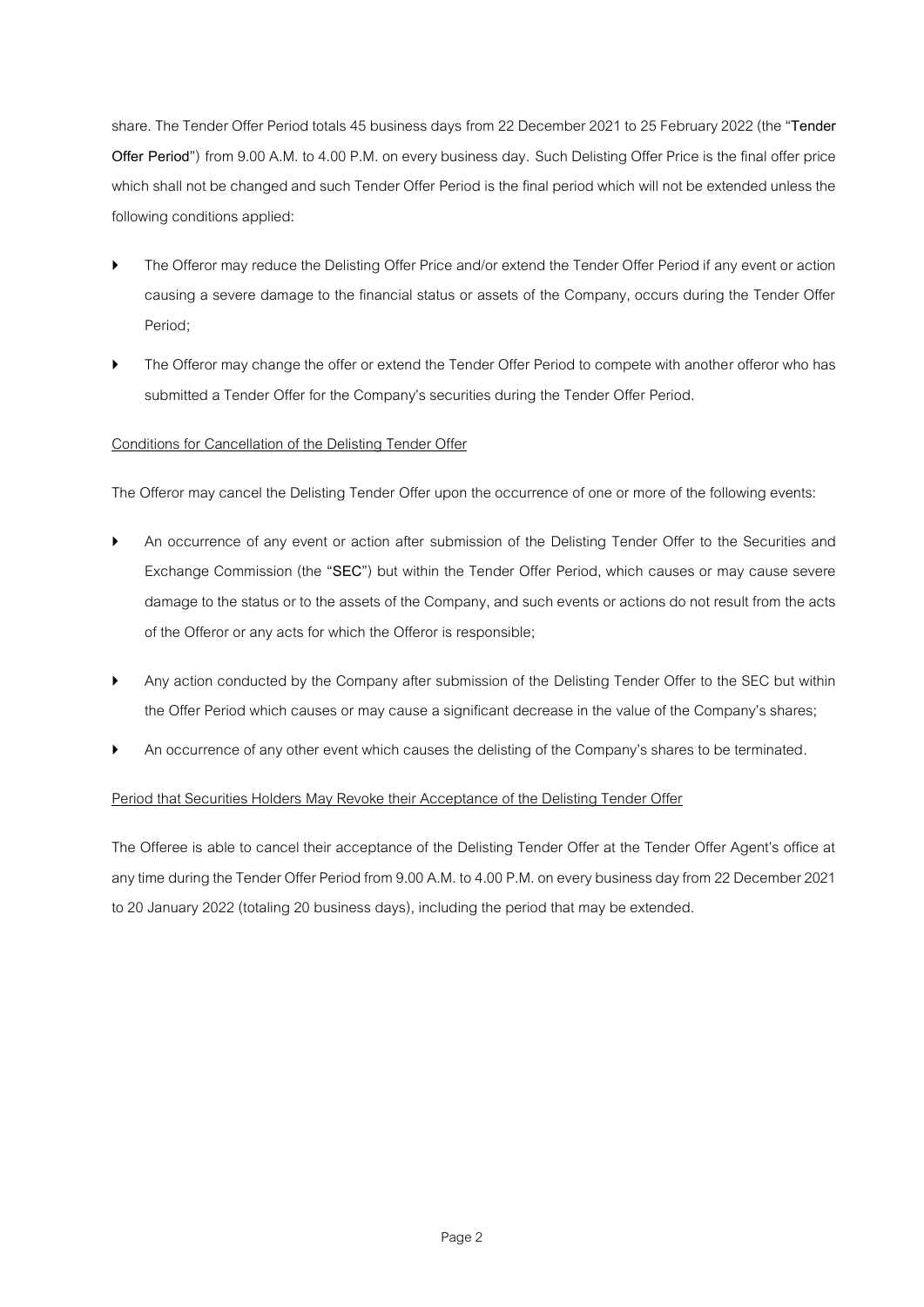share. The Tender Offer Period totals 45 business days from 22 December 2021 to 25 February 2022 (the "Tender **Offer Period**") from 9.00 A.M. to 4.00 P.M. on every business day. Such Delisting Offer Price is the final offer price which shall not be changed and such Tender Offer Period is the final period which will not be extended unless the following conditions applied:

- The Offeror may reduce the Delisting Offer Price and/or extend the Tender Offer Period if any event or action causing a severe damage to the financial status or assets of the Company, occurs during the Tender Offer Period;
- The Offeror may change the offer or extend the Tender Offer Period to compete with another offeror who has submitted a Tender Offer for the Company's securities during the Tender Offer Period.

# Conditions for Cancellation of the Delisting Tender Offer

The Offeror may cancel the Delisting Tender Offer upon the occurrence of one or more of the following events:

- An occurrence of any event or action after submission of the Delisting Tender Offer to the Securities and Exchange Commission (the "**SEC**") but within the Tender Offer Period, which causes or may cause severe damage to the status or to the assets of the Company, and such events or actions do not result from the acts of the Offeror or any acts for which the Offeror is responsible;
- Any action conducted by the Company after submission of the Delisting Tender Offer to the SEC but within the Offer Period which causes or may cause a significant decrease in the value of the Company's shares;
- An occurrence of any other event which causes the delisting of the Company's shares to be terminated.

# Period that Securities Holders May Revoke their Acceptance of the Delisting Tender Offer

The Offeree is able to cancel their acceptance of the Delisting Tender Offer at the Tender Offer Agent's office at any time during the Tender Offer Period from 9.00 A.M. to 4.00 P.M. on every business day from 22 December2021 to 20 January 2022 (totaling 20 business days), including the period that may be extended.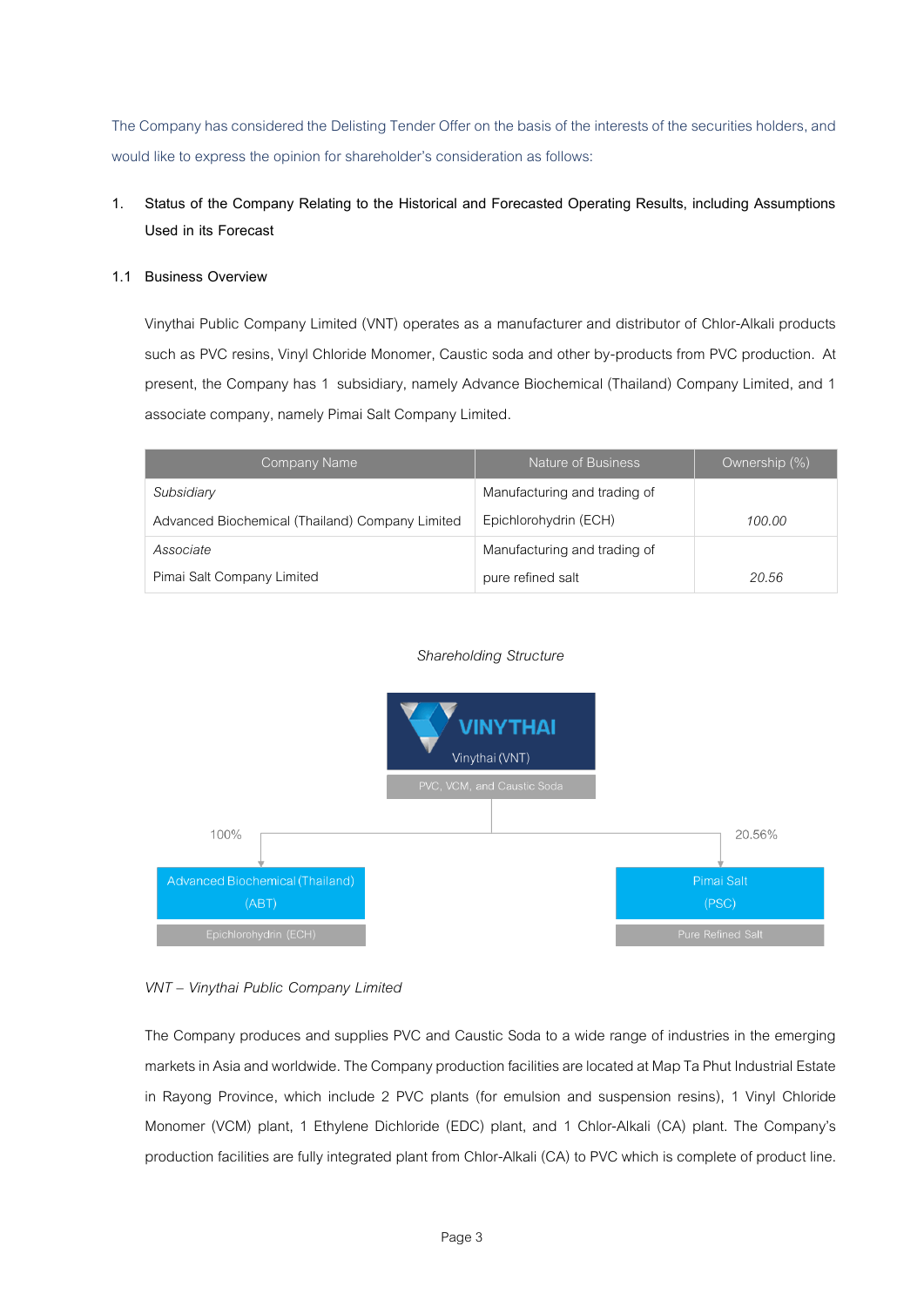The Company has considered the Delisting Tender Offer on the basis of the interests of the securities holders, and would like to express the opinion for shareholder's consideration as follows:

# **1. Status of the Company Relating to the Historical and Forecasted Operating Results, including Assumptions Used in its Forecast**

# **1.1 Business Overview**

Vinythai Public Company Limited (VNT) operates as a manufacturer and distributor of Chlor-Alkali products such as PVC resins, Vinyl Chloride Monomer, Caustic soda and other by-products from PVC production. At present, the Company has 1 subsidiary, namely Advance Biochemical (Thailand) Company Limited, and 1 associate company, namely Pimai Salt Company Limited.

| Company Name                                    | Nature of Business           | Ownership (%) |
|-------------------------------------------------|------------------------------|---------------|
| Subsidiary                                      | Manufacturing and trading of |               |
| Advanced Biochemical (Thailand) Company Limited | Epichlorohydrin (ECH)        | 100.00        |
| Associate                                       | Manufacturing and trading of |               |
| Pimai Salt Company Limited                      | pure refined salt            | 20.56         |

# *Shareholding Structure*



# *VNT – Vinythai Public Company Limited*

The Company produces and supplies PVC and Caustic Soda to a wide range of industries in the emerging markets in Asia and worldwide. The Company production facilities are located at Map Ta Phut Industrial Estate in Rayong Province, which include 2 PVC plants (for emulsion and suspension resins), 1 Vinyl Chloride Monomer (VCM) plant, 1 Ethylene Dichloride (EDC) plant, and 1 Chlor-Alkali (CA) plant. The Company's production facilities are fully integrated plant from Chlor-Alkali (CA) to PVC which is complete of product line.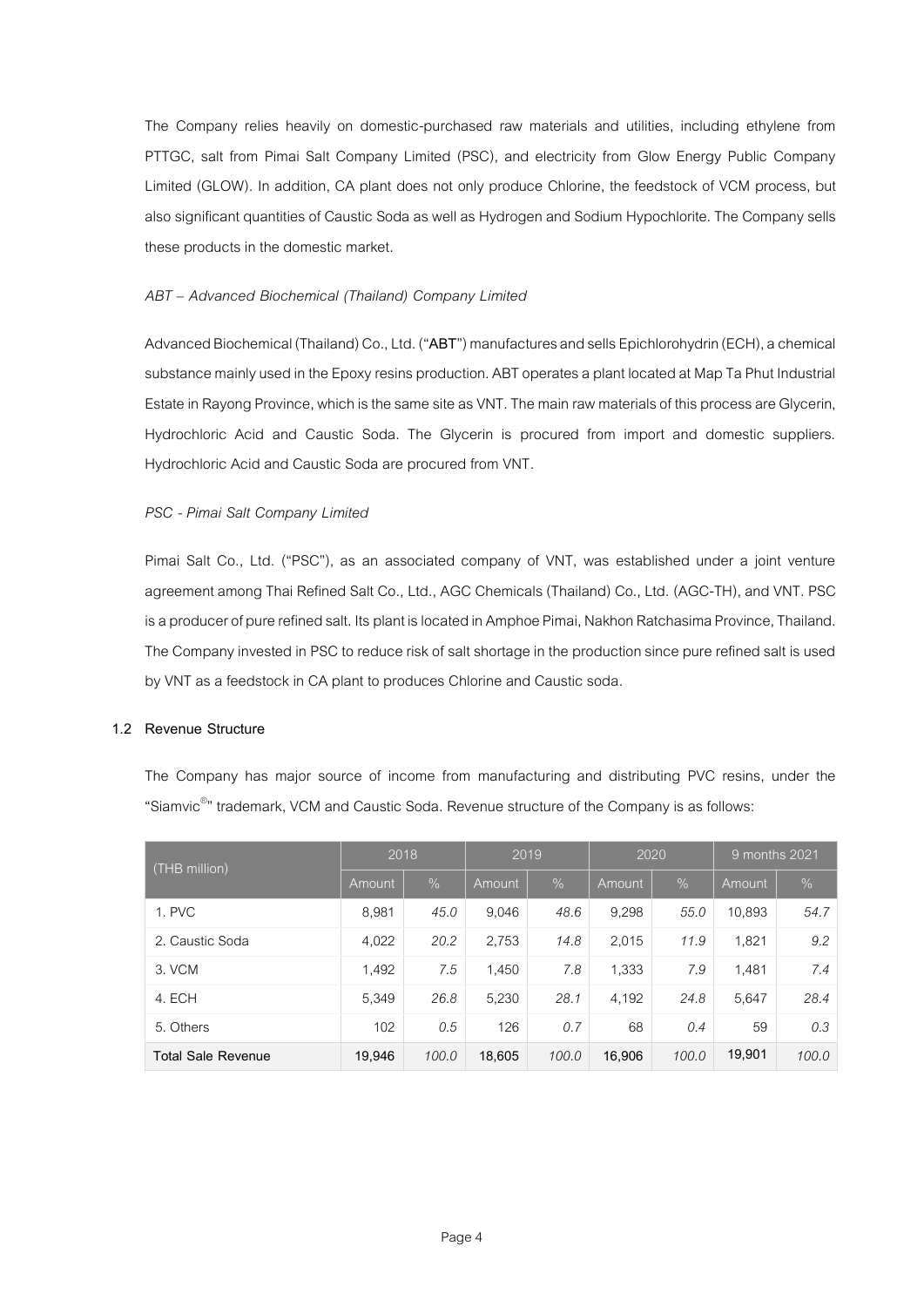The Company relies heavily on domestic-purchased raw materials and utilities, including ethylene from PTTGC, salt from Pimai Salt Company Limited (PSC), and electricity from Glow Energy Public Company Limited (GLOW). In addition, CA plant does not only produce Chlorine, the feedstock of VCM process, but also significant quantities of Caustic Soda as well as Hydrogen and Sodium Hypochlorite. The Company sells these products in the domestic market.

# *ABT – Advanced Biochemical (Thailand) Company Limited*

Advanced Biochemical (Thailand) Co., Ltd. ("**ABT**") manufactures and sells Epichlorohydrin (ECH), a chemical substance mainly used in the Epoxy resins production. ABT operates a plant located at Map Ta Phut Industrial Estate in Rayong Province, which is the same site as VNT. The main raw materials of this process are Glycerin, Hydrochloric Acid and Caustic Soda. The Glycerin is procured from import and domestic suppliers. Hydrochloric Acid and Caustic Soda are procured from VNT.

# *PSC - Pimai Salt Company Limited*

Pimai Salt Co., Ltd. ("PSC"), as an associated company of VNT, was established under a joint venture agreement among Thai Refined Salt Co., Ltd., AGC Chemicals (Thailand) Co., Ltd. (AGC-TH), and VNT. PSC is a producer of pure refined salt. Its plant is located in Amphoe Pimai, Nakhon Ratchasima Province, Thailand. The Company invested in PSC to reduce risk of salt shortage in the production since pure refined salt is used by VNT as a feedstock in CA plant to produces Chlorine and Caustic soda.

# **1.2 Revenue Structure**

The Company has major source of income from manufacturing and distributing PVC resins, under the "Siamvic<sup>®</sup>" trademark, VCM and Caustic Soda. Revenue structure of the Company is as follows:

| (THB million)             | 2018   |       | 2019   |               | 2020   |       | 9 months 2021 |       |
|---------------------------|--------|-------|--------|---------------|--------|-------|---------------|-------|
|                           | Amount | $\%$  | Amount | $\frac{9}{6}$ | Amount | $\%$  | Amount        | $\%$  |
| 1. PVC                    | 8,981  | 45.0  | 9.046  | 48.6          | 9,298  | 55.0  | 10,893        | 54.7  |
| 2. Caustic Soda           | 4,022  | 20.2  | 2,753  | 14.8          | 2,015  | 11.9  | 1,821         | 9.2   |
| 3. VCM                    | 1,492  | 7.5   | 1,450  | 7.8           | 1,333  | 7.9   | 1,481         | 7.4   |
| 4. ECH                    | 5,349  | 26.8  | 5,230  | 28.1          | 4,192  | 24.8  | 5,647         | 28.4  |
| 5. Others                 | 102    | 0.5   | 126    | 0.7           | 68     | 0.4   | 59            | 0.3   |
| <b>Total Sale Revenue</b> | 19,946 | 100.0 | 18,605 | 100.0         | 16,906 | 100.0 | 19,901        | 100.0 |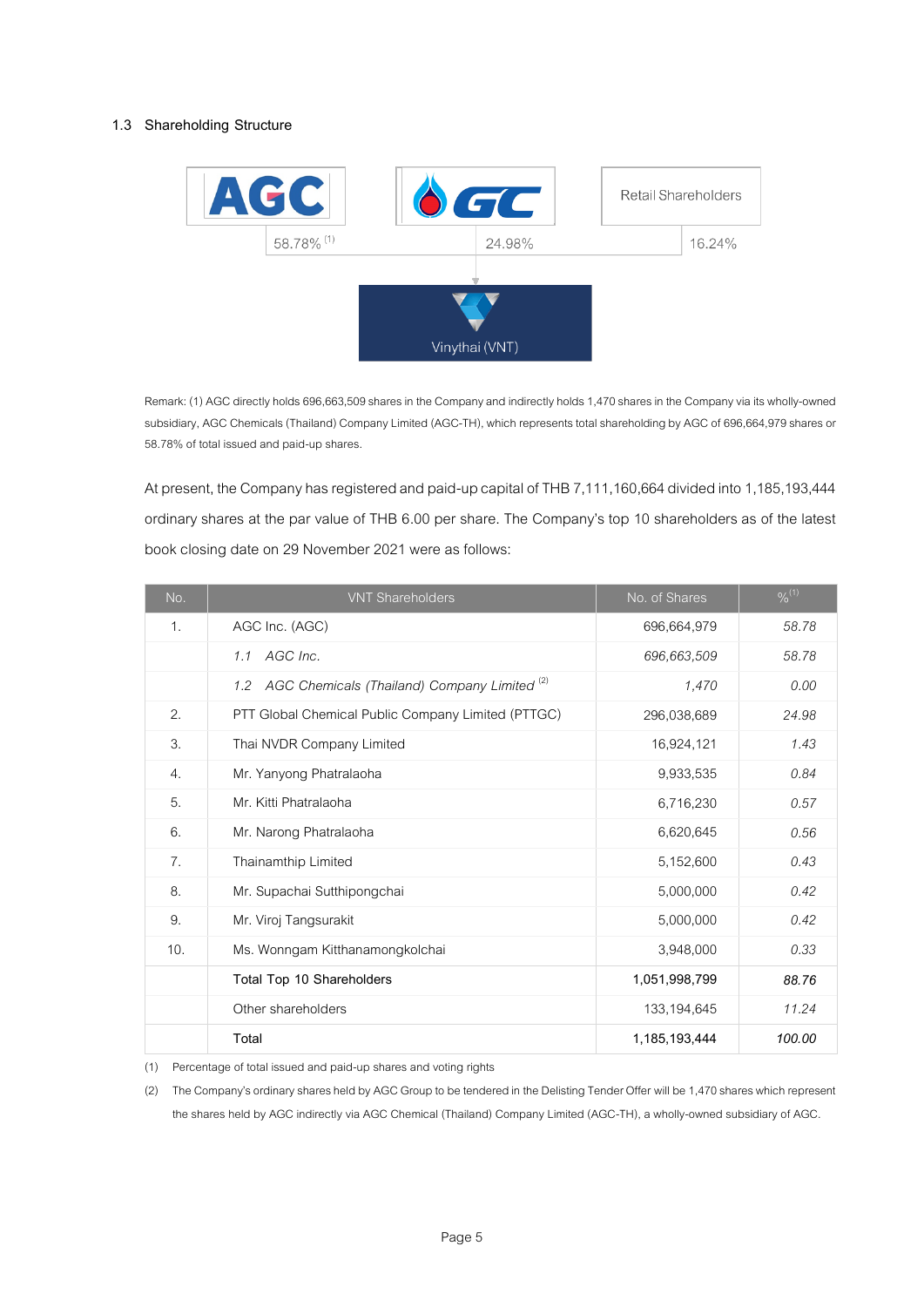# **1.3 Shareholding Structure**



Remark: (1) AGC directly holds 696,663,509 shares in the Company and indirectly holds 1,470 shares in the Company via its wholly-owned subsidiary, AGC Chemicals (Thailand) Company Limited (AGC-TH), which represents total shareholding by AGC of 696,664,979 shares or 58.78% of total issued and paid-up shares.

At present, the Company has registered and paid-up capital of THB 7,111,160,664 divided into 1,185,193,444 ordinary shares at the par value of THB 6.00 per share. The Company's top 10 shareholders as of the latest book closing date on 29 November 2021 were as follows:

| No.            | <b>VNT Shareholders</b>                                     | No. of Shares | $\frac{9}{6}$ <sup>(1)</sup> |
|----------------|-------------------------------------------------------------|---------------|------------------------------|
| 1 <sub>1</sub> | AGC Inc. (AGC)                                              | 696,664,979   | 58.78                        |
|                | 1.1 AGC Inc.                                                | 696,663,509   | 58.78                        |
|                | 1.2 AGC Chemicals (Thailand) Company Limited <sup>(2)</sup> | 1,470         | 0.00                         |
| 2.             | PTT Global Chemical Public Company Limited (PTTGC)          | 296,038,689   | 24.98                        |
| 3.             | Thai NVDR Company Limited                                   | 16,924,121    | 1.43                         |
| 4.             | Mr. Yanyong Phatralaoha                                     | 9,933,535     | 0.84                         |
| 5.             | Mr. Kitti Phatralaoha                                       | 6,716,230     | 0.57                         |
| 6.             | Mr. Narong Phatralaoha                                      | 6,620,645     | 0.56                         |
| 7.             | Thainamthip Limited                                         | 5,152,600     | 0.43                         |
| 8.             | Mr. Supachai Sutthipongchai                                 | 5,000,000     | 0.42                         |
| 9.             | Mr. Viroj Tangsurakit                                       | 5,000,000     | 0.42                         |
| 10.            | Ms. Wonngam Kitthanamongkolchai                             | 3,948,000     | 0.33                         |
|                | Total Top 10 Shareholders                                   | 1,051,998,799 | 88.76                        |
|                | Other shareholders                                          | 133, 194, 645 | 11.24                        |
|                | Total                                                       | 1,185,193,444 | 100.00                       |

(1) Percentage of total issued and paid-up shares and voting rights

(2) The Company's ordinary shares held by AGC Group to be tendered in the Delisting Tender Offer will be 1,470 shares which represent the shares held by AGC indirectly via AGC Chemical (Thailand) Company Limited (AGC-TH), a wholly-owned subsidiary of AGC.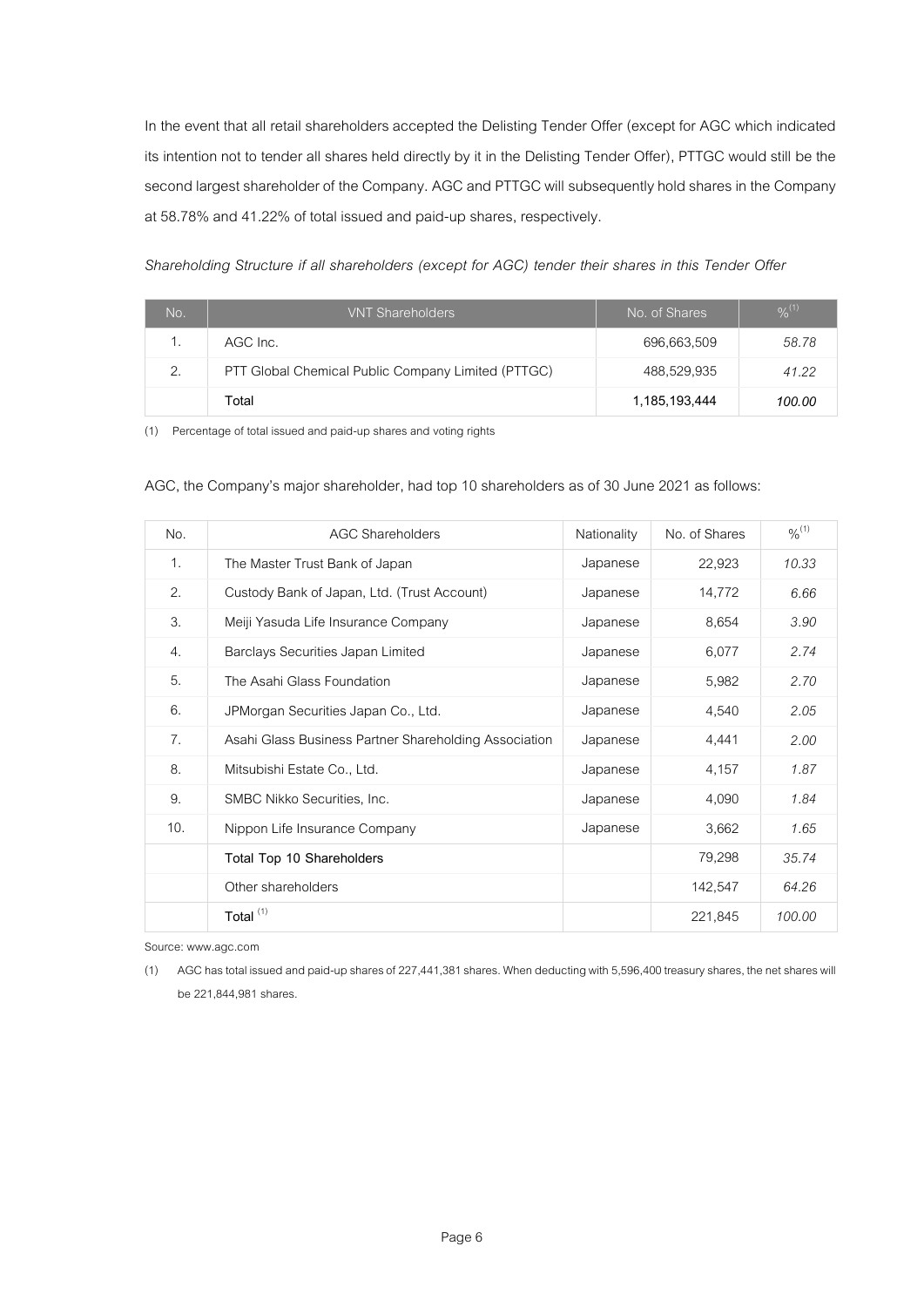In the event that all retail shareholders accepted the Delisting Tender Offer (except for AGC which indicated its intention not to tender all shares held directly by it in the Delisting Tender Offer), PTTGC would still be the second largest shareholder of the Company. AGC and PTTGC will subsequently hold shares in the Company at 58.78% and 41.22% of total issued and paid-up shares, respectively.

*Shareholding Structure if all shareholders (except for AGC) tender their shares in this Tender Offer*

| No. | <b>VNT Shareholders</b>                            | No. of Shares | $\frac{9}{6}$ <sup>(1)</sup> |
|-----|----------------------------------------------------|---------------|------------------------------|
|     | AGC Inc.                                           | 696,663,509   | 58.78                        |
| 2.  | PTT Global Chemical Public Company Limited (PTTGC) | 488,529,935   | 41.22                        |
|     | Total                                              | 1,185,193,444 | 100.00                       |

(1) Percentage of total issued and paid-up shares and voting rights

|  |  |  | AGC, the Company's major shareholder, had top 10 shareholders as of 30 June 2021 as follows: |  |  |
|--|--|--|----------------------------------------------------------------------------------------------|--|--|
|  |  |  |                                                                                              |  |  |

| No. | <b>AGC Shareholders</b>                               | Nationality | No. of Shares | $9/6^{(1)}$ |
|-----|-------------------------------------------------------|-------------|---------------|-------------|
| 1.  | The Master Trust Bank of Japan                        | Japanese    | 22,923        | 10.33       |
| 2.  | Custody Bank of Japan, Ltd. (Trust Account)           | Japanese    | 14,772        | 6.66        |
| 3.  | Meiji Yasuda Life Insurance Company                   | Japanese    | 8,654         | 3.90        |
| 4.  | Barclays Securities Japan Limited                     | Japanese    | 6,077         | 2.74        |
| 5.  | The Asahi Glass Foundation                            | Japanese    | 5,982         | 2.70        |
| 6.  | JPMorgan Securities Japan Co., Ltd.                   | Japanese    | 4,540         | 2.05        |
| 7.  | Asahi Glass Business Partner Shareholding Association | Japanese    | 4,441         | 2.00        |
| 8.  | Mitsubishi Estate Co., Ltd.                           | Japanese    | 4,157         | 1.87        |
| 9.  | SMBC Nikko Securities, Inc.                           | Japanese    | 4,090         | 1.84        |
| 10. | Nippon Life Insurance Company                         | Japanese    | 3,662         | 1.65        |
|     | Total Top 10 Shareholders                             |             | 79,298        | 35.74       |
|     | Other shareholders                                    |             | 142,547       | 64.26       |
|     | Total <sup>(1)</sup>                                  |             | 221,845       | 100.00      |

Source: www.agc.com

<sup>(1)</sup> AGC has total issued and paid-up shares of 227,441,381shares.When deducting with 5,596,400 treasury shares, the netshares will be 221,844,981 shares.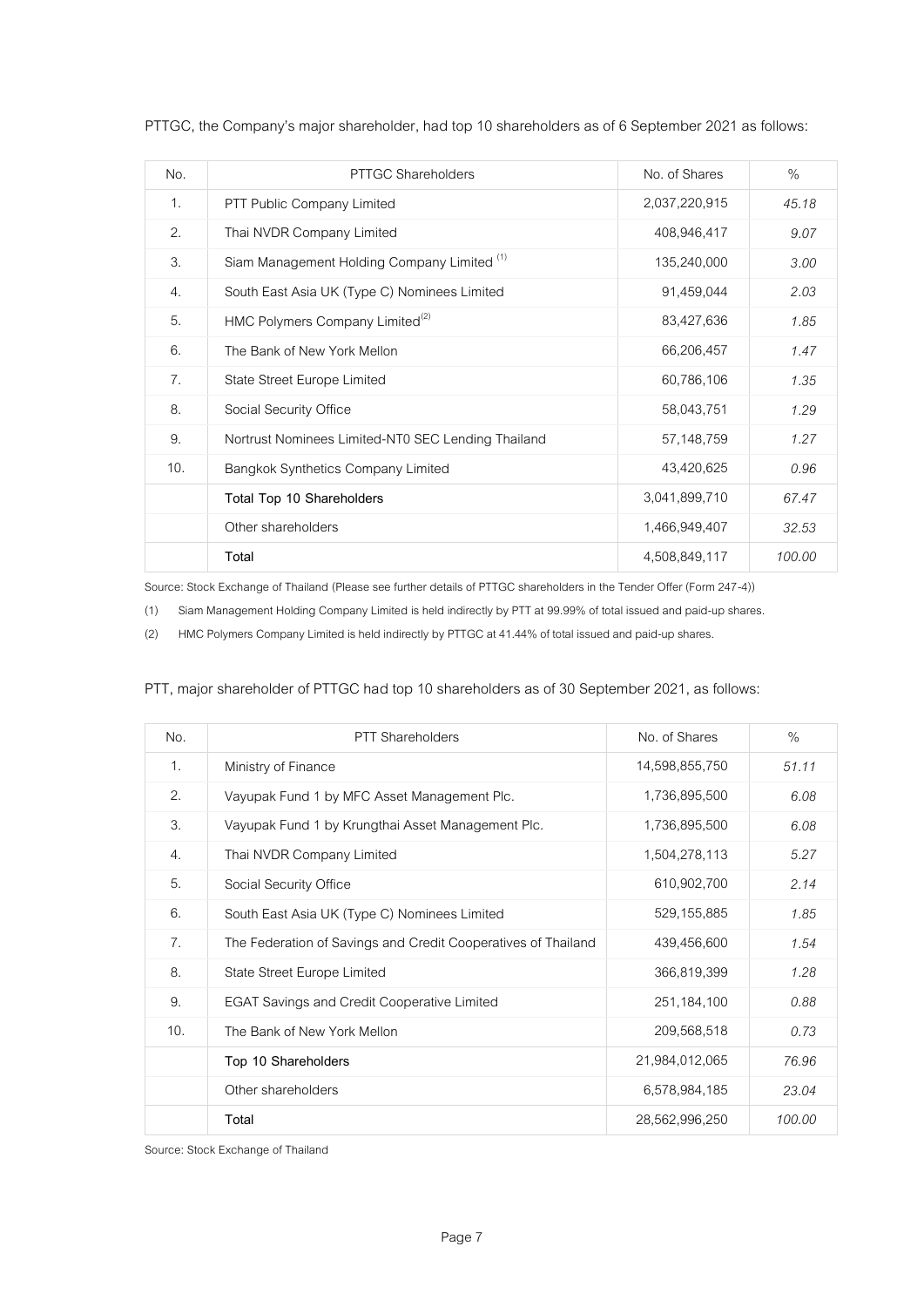| No. | PTTGC Shareholders                                     | No. of Shares | $\%$   |
|-----|--------------------------------------------------------|---------------|--------|
| 1.  | PTT Public Company Limited                             | 2,037,220,915 | 45.18  |
| 2.  | Thai NVDR Company Limited                              | 408,946,417   | 9.07   |
| 3.  | Siam Management Holding Company Limited <sup>(1)</sup> | 135,240,000   | 3.00   |
| 4.  | South East Asia UK (Type C) Nominees Limited           | 91,459,044    | 2.03   |
| 5.  | HMC Polymers Company Limited <sup>(2)</sup>            | 83,427,636    | 1.85   |
| 6.  | The Bank of New York Mellon                            | 66,206,457    | 1.47   |
| 7.  | State Street Europe Limited                            | 60,786,106    | 1.35   |
| 8.  | Social Security Office                                 | 58,043,751    | 1.29   |
| 9.  | Nortrust Nominees Limited-NT0 SEC Lending Thailand     | 57,148,759    | 1.27   |
| 10. | Bangkok Synthetics Company Limited                     | 43,420,625    | 0.96   |
|     | Total Top 10 Shareholders                              | 3,041,899,710 | 67.47  |
|     | Other shareholders                                     | 1,466,949,407 | 32.53  |
|     | Total                                                  | 4,508,849,117 | 100.00 |

PTTGC, the Company's major shareholder, had top 10 shareholders as of 6 September 2021 as follows:

Source: Stock Exchange of Thailand (Please see further details of PTTGC shareholders in the Tender Offer (Form 247-4))

(1) Siam Management Holding Company Limited is held indirectly by PTT at 99.99% of total issued and paid-up shares.

(2) HMC Polymers Company Limited is held indirectly by PTTGC at41.44% of total issued and paid-up shares.

| No.            | <b>PTT Shareholders</b>                                       | No. of Shares  | $\%$   |
|----------------|---------------------------------------------------------------|----------------|--------|
| 1 <sub>1</sub> | Ministry of Finance                                           | 14,598,855,750 | 51.11  |
| 2.             | Vayupak Fund 1 by MFC Asset Management Plc.                   | 1,736,895,500  | 6.08   |
| 3.             | Vayupak Fund 1 by Krungthai Asset Management Plc.             | 1,736,895,500  | 6.08   |
| 4.             | Thai NVDR Company Limited                                     | 1,504,278,113  | 5.27   |
| 5.             | Social Security Office                                        | 610,902,700    | 2.14   |
| 6.             | South East Asia UK (Type C) Nominees Limited                  | 529, 155, 885  | 1.85   |
| 7 <sub>1</sub> | The Federation of Savings and Credit Cooperatives of Thailand | 439,456,600    | 1.54   |
| 8.             | State Street Europe Limited                                   | 366,819,399    | 1.28   |
| 9.             | <b>EGAT Savings and Credit Cooperative Limited</b>            | 251, 184, 100  | 0.88   |
| 10.            | The Bank of New York Mellon                                   | 209,568,518    | 0.73   |
|                | Top 10 Shareholders                                           | 21,984,012,065 | 76.96  |
|                | Other shareholders                                            | 6,578,984,185  | 23.04  |
|                | Total                                                         | 28,562,996,250 | 100.00 |

# PTT, major shareholder of PTTGC had top 10 shareholders as of 30 September 2021, as follows:

Source: Stock Exchange of Thailand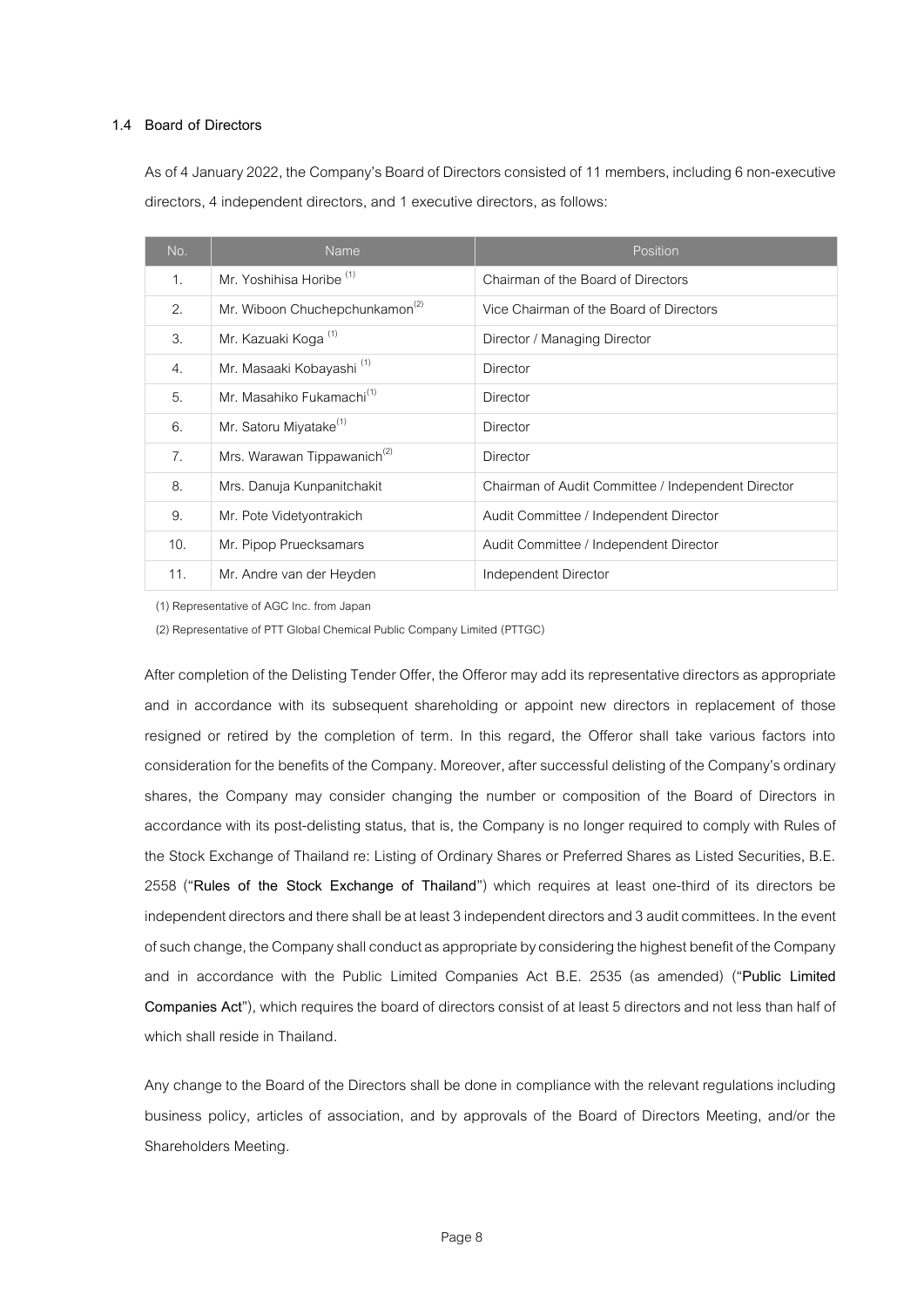## **1.4 Board of Directors**

As of 4 January 2022, the Company's Board of Directors consisted of 11 members, including 6 non-executive directors, 4 independent directors, and 1 executive directors, as follows:

| No.            | Name                                       | Position                                           |
|----------------|--------------------------------------------|----------------------------------------------------|
| 1.             | Mr. Yoshihisa Horibe <sup>(1)</sup>        | Chairman of the Board of Directors                 |
| 2.             | Mr. Wiboon Chuchepchunkamon <sup>(2)</sup> | Vice Chairman of the Board of Directors            |
| 3.             | Mr. Kazuaki Koga <sup>(1)</sup>            | Director / Managing Director                       |
| 4.             | Mr. Masaaki Kobayashi <sup>(1)</sup>       | Director                                           |
| 5.             | Mr. Masahiko Fukamachi <sup>(1)</sup>      | Director                                           |
| 6.             | Mr. Satoru Miyatake <sup>(1)</sup>         | Director                                           |
| 7 <sub>1</sub> | Mrs. Warawan Tippawanich <sup>(2)</sup>    | <b>Director</b>                                    |
| 8.             | Mrs. Danuja Kunpanitchakit                 | Chairman of Audit Committee / Independent Director |
| 9.             | Mr. Pote Videtyontrakich                   | Audit Committee / Independent Director             |
| 10.            | Mr. Pipop Pruecksamars                     | Audit Committee / Independent Director             |
| 11.            | Mr. Andre van der Heyden                   | Independent Director                               |

(1) Representative of AGC Inc. from Japan

(2) Representative of PTT Global Chemical Public Company Limited (PTTGC)

After completion of the Delisting Tender Offer, the Offeror may add its representative directors as appropriate and in accordance with its subsequent shareholding or appoint new directors in replacement of those resigned or retired by the completion of term. In this regard, the Offeror shall take various factors into consideration for the benefits of the Company. Moreover, after successful delisting of the Company's ordinary shares, the Company may consider changing the number or composition of the Board of Directors in accordance with its post-delisting status, that is, the Company is no longer required to comply with Rules of the Stock Exchange of Thailand re: Listing of Ordinary Shares or Preferred Shares as Listed Securities, B.E. 2558 ("**Rules of the Stock Exchange of Thailand**") which requires at least one-third of its directors be independent directors and there shall be at least 3 independent directors and 3 audit committees. In the event of such change, the Company shall conduct as appropriate by considering the highest benefit of the Company and in accordance with the Public Limited Companies Act B.E. 2535 (as amended) ("**Public Limited Companies Act**"), which requires the board of directors consist of at least 5 directors and not less than half of which shall reside in Thailand.

Any change to the Board of the Directors shall be done in compliance with the relevant regulations including business policy, articles of association, and by approvals of the Board of Directors Meeting, and/or the Shareholders Meeting.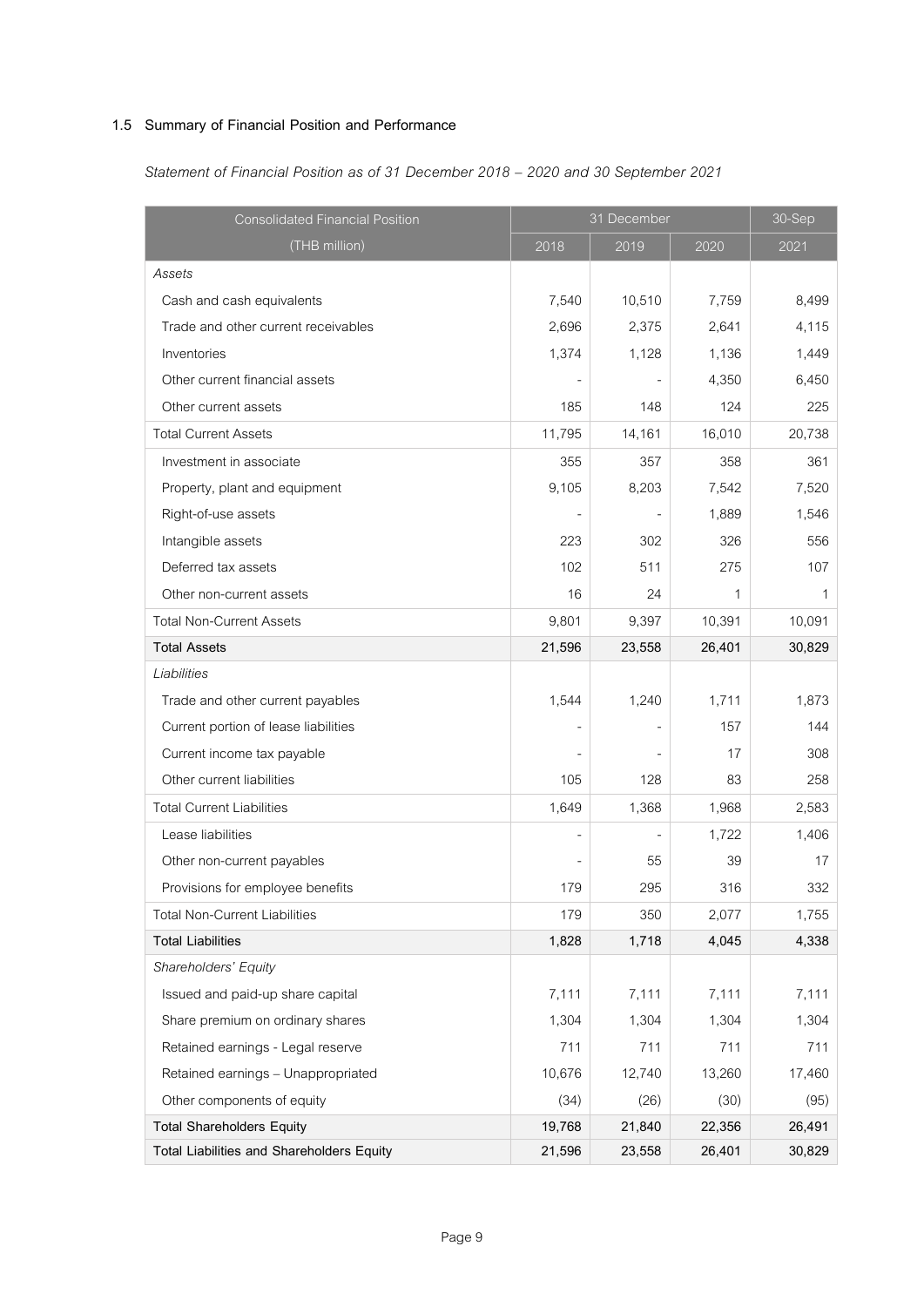# **1.5 Summary of Financial Position and Performance**

| <b>Consolidated Financial Position</b>    | 31 December |        |        | 30-Sep |
|-------------------------------------------|-------------|--------|--------|--------|
| (THB million)                             | 2018        | 2019   | 2020   | 2021   |
| Assets                                    |             |        |        |        |
| Cash and cash equivalents                 | 7,540       | 10,510 | 7,759  | 8,499  |
| Trade and other current receivables       | 2,696       | 2,375  | 2,641  | 4,115  |
| Inventories                               | 1,374       | 1,128  | 1,136  | 1,449  |
| Other current financial assets            |             |        | 4,350  | 6,450  |
| Other current assets                      | 185         | 148    | 124    | 225    |
| <b>Total Current Assets</b>               | 11,795      | 14,161 | 16,010 | 20,738 |
| Investment in associate                   | 355         | 357    | 358    | 361    |
| Property, plant and equipment             | 9,105       | 8,203  | 7,542  | 7,520  |
| Right-of-use assets                       |             |        | 1,889  | 1,546  |
| Intangible assets                         | 223         | 302    | 326    | 556    |
| Deferred tax assets                       | 102         | 511    | 275    | 107    |
| Other non-current assets                  | 16          | 24     | 1      | 1      |
| <b>Total Non-Current Assets</b>           | 9,801       | 9,397  | 10,391 | 10,091 |
| <b>Total Assets</b>                       | 21,596      | 23,558 | 26,401 | 30,829 |
| Liabilities                               |             |        |        |        |
| Trade and other current payables          | 1,544       | 1,240  | 1,711  | 1,873  |
| Current portion of lease liabilities      |             |        | 157    | 144    |
| Current income tax payable                |             |        | 17     | 308    |
| Other current liabilities                 | 105         | 128    | 83     | 258    |
| <b>Total Current Liabilities</b>          | 1,649       | 1,368  | 1,968  | 2,583  |
| Lease liabilities                         |             |        | 1,722  | 1,406  |
| Other non-current payables                |             | 55     | 39     | 17     |
| Provisions for employee benefits          | 179         | 295    | 316    | 332    |
| <b>Total Non-Current Liabilities</b>      | 179         | 350    | 2,077  | 1,755  |
| <b>Total Liabilities</b>                  | 1,828       | 1,718  | 4,045  | 4,338  |
| Shareholders' Equity                      |             |        |        |        |
| Issued and paid-up share capital          | 7,111       | 7,111  | 7,111  | 7,111  |
| Share premium on ordinary shares          | 1,304       | 1,304  | 1,304  | 1,304  |
| Retained earnings - Legal reserve         | 711         | 711    | 711    | 711    |
| Retained earnings - Unappropriated        | 10,676      | 12,740 | 13,260 | 17,460 |
| Other components of equity                | (34)        | (26)   | (30)   | (95)   |
| <b>Total Shareholders Equity</b>          | 19,768      | 21,840 | 22,356 | 26,491 |
| Total Liabilities and Shareholders Equity | 21,596      | 23,558 | 26,401 | 30,829 |

*Statement of Financial Position as of 31 December 2018 – 2020 and 30 September 2021*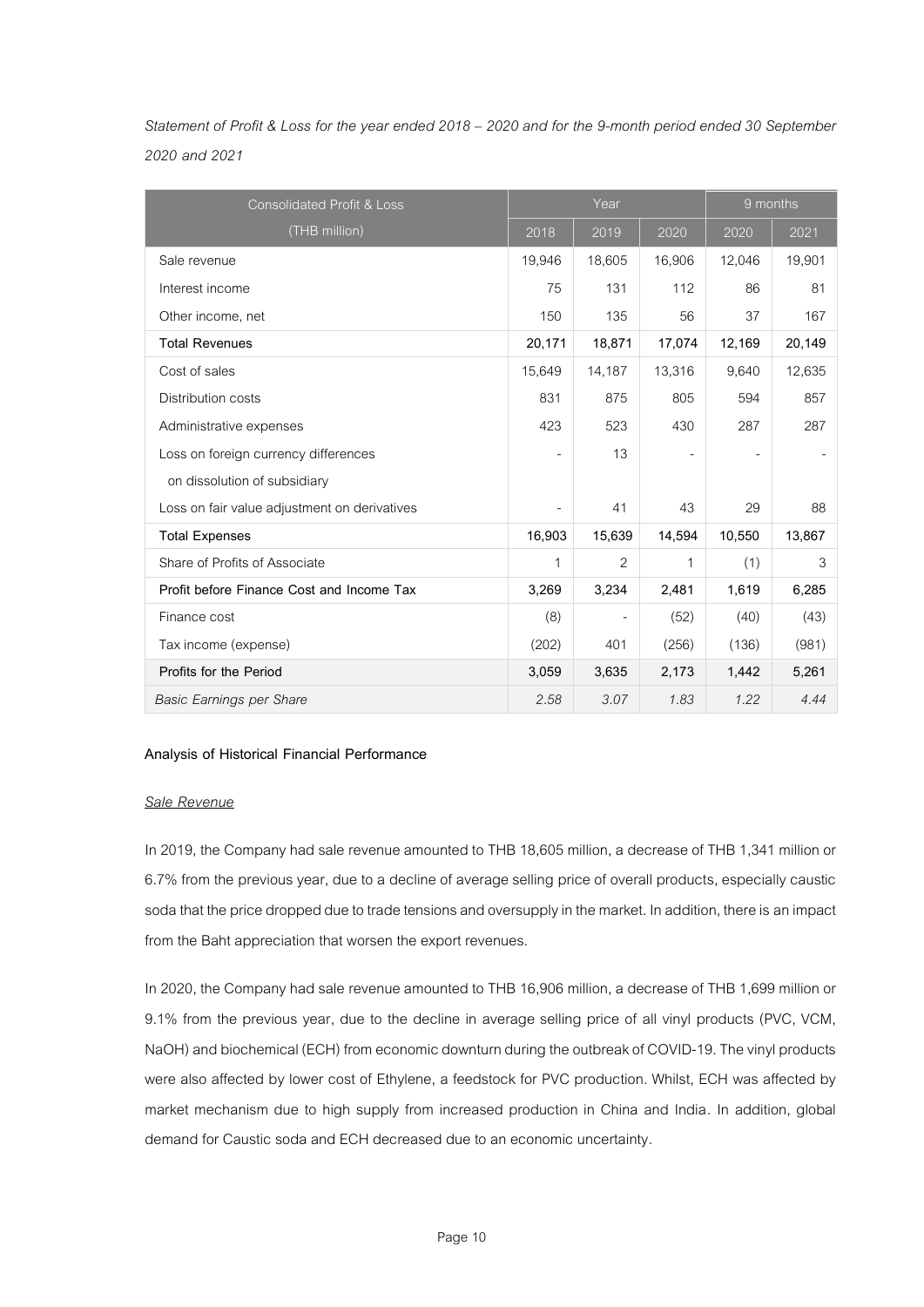| Statement of Profit & Loss for the year ended 2018 - 2020 and for the 9-month period ended 30 September |  |
|---------------------------------------------------------------------------------------------------------|--|
| 2020 and 2021                                                                                           |  |

| <b>Consolidated Profit &amp; Loss</b>        | Year   |                | 9 months |        |        |
|----------------------------------------------|--------|----------------|----------|--------|--------|
| (THB million)                                | 2018   | 2019           | 2020     | 2020   | 2021   |
| Sale revenue                                 | 19,946 | 18,605         | 16,906   | 12,046 | 19,901 |
| Interest income                              | 75     | 131            | 112      | 86     | 81     |
| Other income, net                            | 150    | 135            | 56       | 37     | 167    |
| <b>Total Revenues</b>                        | 20,171 | 18,871         | 17,074   | 12,169 | 20,149 |
| Cost of sales                                | 15,649 | 14,187         | 13,316   | 9,640  | 12,635 |
| <b>Distribution costs</b>                    | 831    | 875            | 805      | 594    | 857    |
| Administrative expenses                      | 423    | 523            | 430      | 287    | 287    |
| Loss on foreign currency differences         |        | 13             |          |        |        |
| on dissolution of subsidiary                 |        |                |          |        |        |
| Loss on fair value adjustment on derivatives |        | 41             | 43       | 29     | 88     |
| <b>Total Expenses</b>                        | 16,903 | 15,639         | 14,594   | 10,550 | 13,867 |
| Share of Profits of Associate                | 1      | $\overline{2}$ | 1        | (1)    | 3      |
| Profit before Finance Cost and Income Tax    | 3,269  | 3,234          | 2,481    | 1,619  | 6,285  |
| Finance cost                                 | (8)    |                | (52)     | (40)   | (43)   |
| Tax income (expense)                         | (202)  | 401            | (256)    | (136)  | (981)  |
| Profits for the Period                       | 3,059  | 3.635          | 2,173    | 1,442  | 5,261  |
| Basic Earnings per Share                     | 2.58   | 3.07           | 1.83     | 1.22   | 4.44   |

# **Analysis of Historical Financial Performance**

# *Sale Revenue*

In 2019, the Company had sale revenue amounted to THB 18,605 million, a decrease of THB 1,341 million or 6.7% from the previous year, due to a decline of average selling price of overall products, especially caustic soda that the price dropped due to trade tensions and oversupply in the market. In addition, there is animpact from the Baht appreciation that worsen the export revenues.

In 2020, the Company had sale revenue amounted to THB 16,906 million, a decrease of THB 1,699 million or 9.1% from the previous year, due to the decline in average selling price of all vinyl products (PVC, VCM, NaOH) and biochemical (ECH) from economic downturn during the outbreak of COVID-19. The vinyl products were also affected by lower cost of Ethylene, a feedstock for PVC production. Whilst, ECH was affected by market mechanism due to high supply from increased production in China and India. In addition, global demand for Caustic soda and ECH decreased due to an economic uncertainty.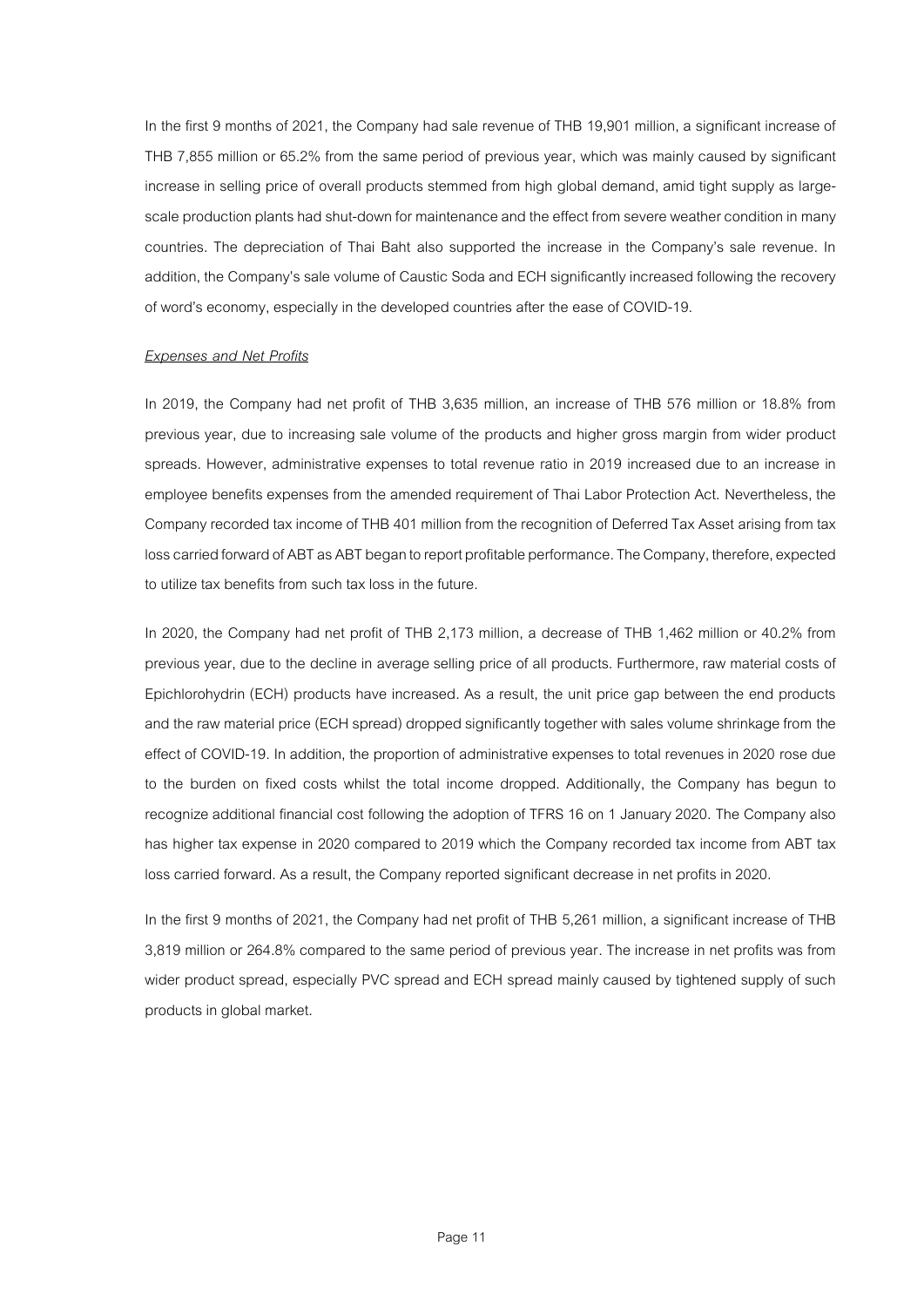In the first 9 months of 2021, the Company had sale revenue of THB 19,901 million, a significant increase of THB 7,855 million or 65.2% from the same period of previous year, which was mainly caused by significant increase in selling price of overall products stemmed from high global demand, amid tight supply as largescale production plants had shut-down for maintenance and the effect from severe weather condition in many countries. The depreciation of Thai Baht also supported the increase in the Company's sale revenue. In addition, the Company's sale volume of Caustic Soda and ECH significantly increased following the recovery of word's economy, especially in the developed countries after the ease of COVID-19.

## *Expenses and Net Profits*

In 2019, the Company had net profit of THB 3,635 million, an increase of THB 576 million or 18.8% from previous year, due to increasing sale volume of the products and higher gross margin from wider product spreads. However, administrative expenses to total revenue ratio in 2019 increased due to an increase in employee benefits expenses from the amended requirement of Thai Labor Protection Act. Nevertheless, the Company recorded taxincomeof THB 401 million from the recognition of Deferred Tax Asset arising from tax loss carried forward of ABT as ABT began to report profitable performance. The Company, therefore, expected to utilize tax benefits from such tax loss in the future.

In 2020, the Company had net profit of THB 2,173 million, a decrease of THB 1,462 million or 40.2% from previous year, due to the decline in average selling price of all products. Furthermore, raw material costs of Epichlorohydrin (ECH) products have increased. As a result, the unit price gap between the end products and the raw material price (ECH spread) dropped significantly together with sales volume shrinkage from the effect of COVID-19. In addition, the proportion of administrative expenses to total revenues in 2020 rose due to the burden on fixed costs whilst the total income dropped. Additionally, the Company has begun to recognize additional financial cost following the adoption of TFRS 16 on 1 January 2020. The Company also has higher tax expense in 2020 compared to 2019 which the Company recorded tax income from ABT tax loss carried forward. As a result, the Company reported significant decrease in net profits in 2020.

In the first 9 months of 2021, the Company had net profit of THB 5,261 million, a significant increase of THB 3,819 million or 264.8% compared to the same period of previous year. The increase in net profits was from wider product spread, especially PVC spread and ECH spread mainly caused by tightened supply of such products in global market.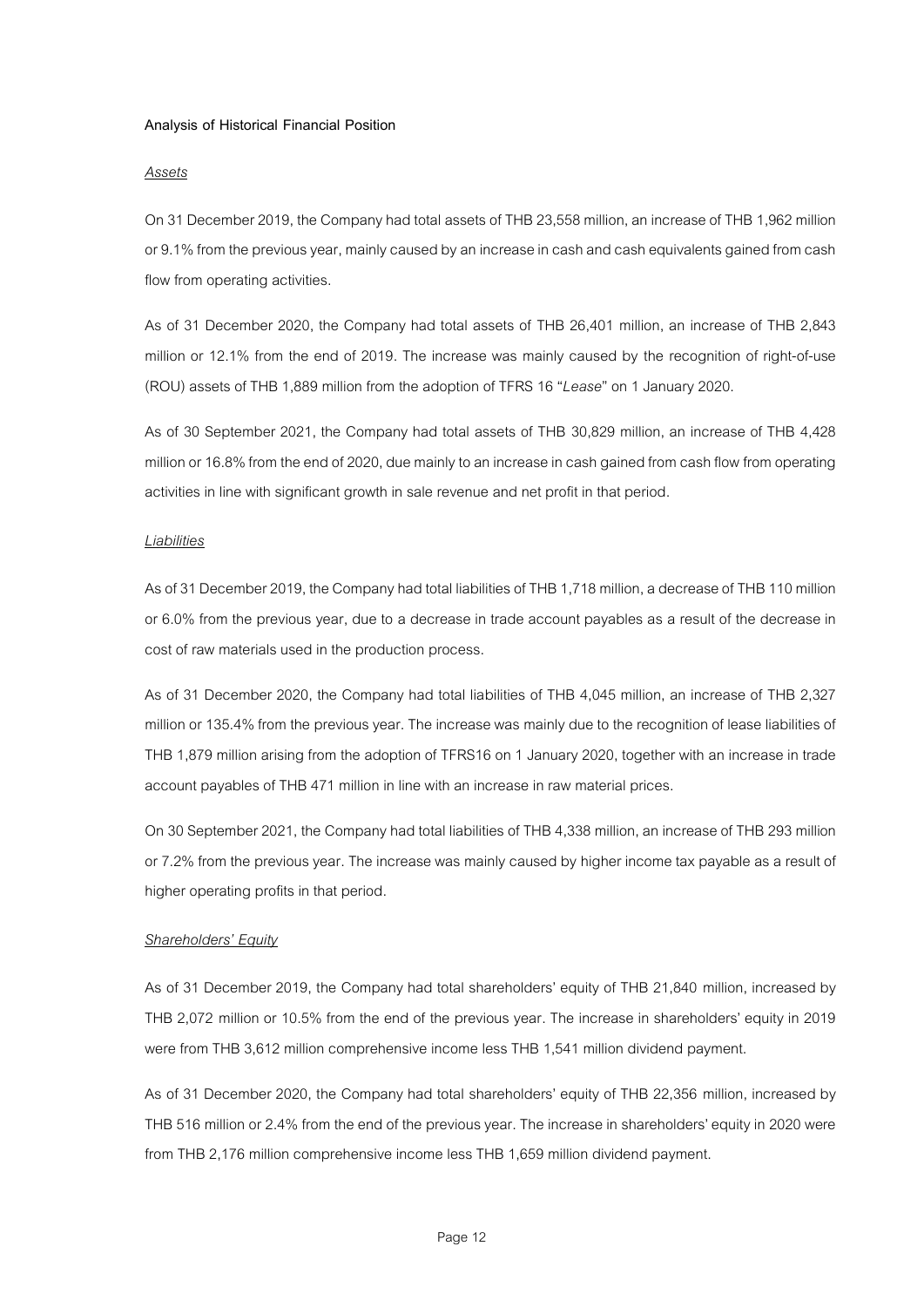## **Analysis of Historical Financial Position**

#### *Assets*

On 31 December 2019, the Company had total assets of THB 23,558 million, an increase of THB 1,962 million or 9.1% from the previous year, mainly caused by an increase in cash and cash equivalents gained from cash flow from operating activities.

As of 31 December 2020, the Company had total assets of THB 26,401 million, an increase of THB 2,843 million or 12.1% from the end of 2019. The increase was mainly caused by the recognition of right-of-use (ROU) assets of THB 1,889 million from the adoption of TFRS 16 "*Lease*" on 1 January2020.

As of 30 September 2021, the Company had total assets of THB 30,829 million, an increase of THB 4,428 million or 16.8% from the end of 2020, due mainly to an increase in cash gained from cash flow from operating activities in line with significant growth in sale revenue and net profit in that period.

## *Liabilities*

As of 31 December 2019, the Company had total liabilities of THB 1,718 million, a decrease of THB 110 million or 6.0% from the previous year, due to a decrease in trade account payables as a result of the decrease in cost of raw materials used in the production process.

As of 31 December 2020, the Company had total liabilities of THB 4,045 million, an increase of THB 2,327 million or 135.4% from the previous year. The increase was mainly due to the recognition of lease liabilities of THB 1,879 million arising from the adoption of TFRS16 on 1 January 2020, together with an increase in trade account payables of THB 471 million in line withan increase in raw material prices.

On 30 September 2021, the Company had total liabilities of THB 4,338 million, an increase of THB 293 million or 7.2% from the previous year. The increase was mainly caused by higher income tax payable as a result of higher operating profits in that period.

#### *Shareholders' Equity*

As of 31 December 2019, the Company had total shareholders' equity of THB 21,840 million, increased by THB 2,072 million or 10.5% from the end of the previous year. The increase in shareholders' equity in 2019 were from THB 3,612 million comprehensive income less THB 1,541 million dividend payment.

As of 31 December 2020, the Company had total shareholders' equity of THB 22,356 million, increased by THB 516 million or 2.4% from the end of the previous year. The increase in shareholders' equity in 2020 were from THB 2,176 million comprehensive income less THB 1,659 million dividend payment.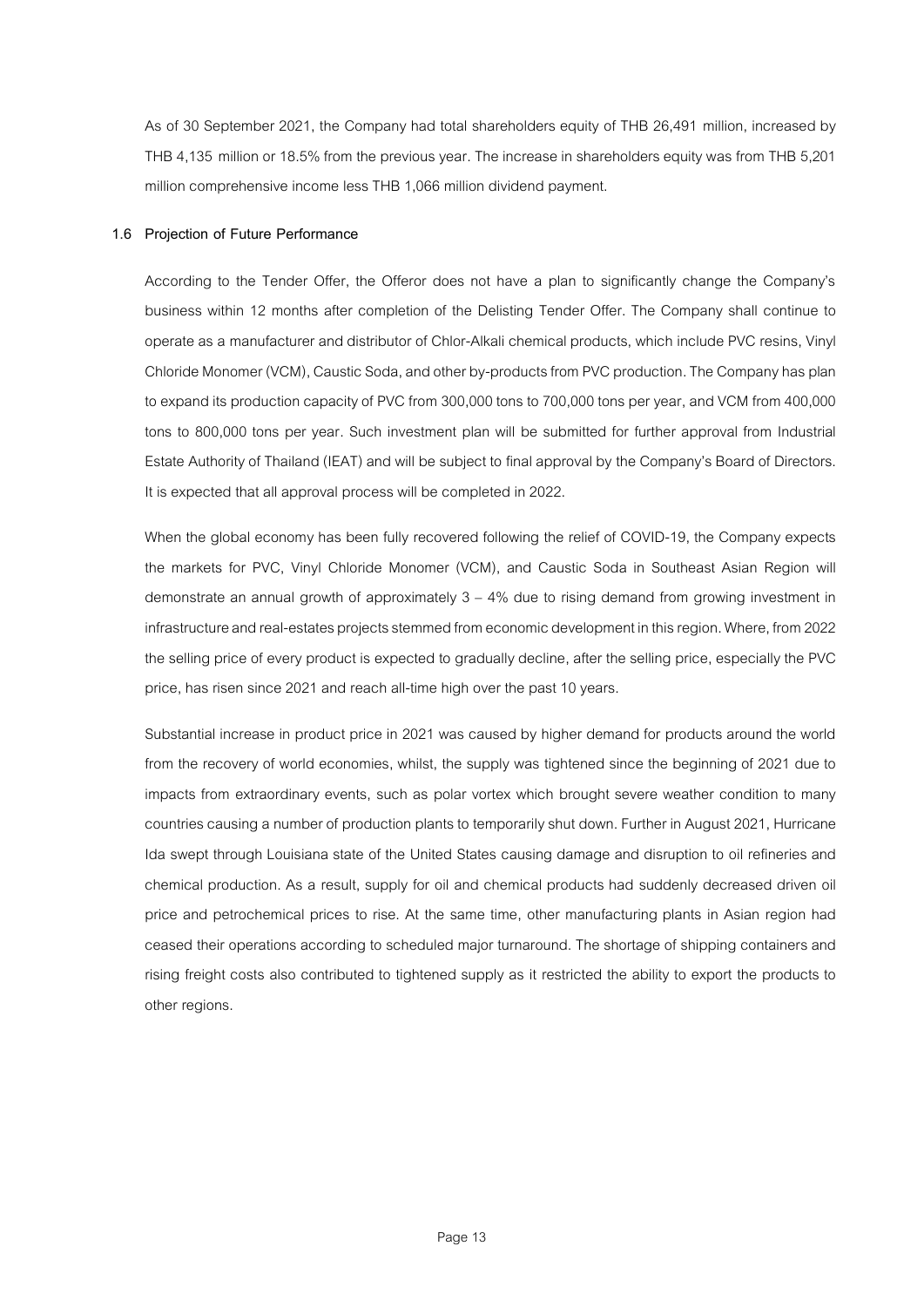As of 30 September 2021, the Company had total shareholders equity of THB 26,491 million, increased by THB 4,135 million or 18.5% from the previous year. The increase in shareholders equity was from THB 5,201 million comprehensive income less THB 1,066 million dividend payment.

## **1.6 Projection of Future Performance**

According to the Tender Offer, the Offeror does not have a plan to significantly change the Company's business within 12 months after completion of the Delisting Tender Offer. The Company shall continue to operate as a manufacturer and distributor of Chlor-Alkali chemical products, which include PVC resins, Vinyl Chloride Monomer (VCM), Caustic Soda, and other by-products from PVC production.The Companyhas plan to expand its production capacity of PVC from 300,000 tons to 700,000 tons per year, and VCM from 400,000 tons to 800,000 tons per year. Such investment plan will be submitted for further approval from Industrial Estate Authority of Thailand (IEAT) and will be subject to final approval by the Company's Board of Directors. It is expected that all approval process will be completed in 2022.

When the global economy has been fully recovered following the relief of COVID-19, the Company expects the markets for PVC, Vinyl Chloride Monomer (VCM), and Caustic Soda in Southeast Asian Region will demonstrate an annual growth of approximately 3 – 4% due to rising demand from growing investment in infrastructure and real-estates projects stemmed from economic development in this region.Where, from 2022 the selling price of every product is expected to gradually decline, after the selling price, especially the PVC price, has risen since 2021 and reach all-time high over the past 10 years.

Substantial increase in product price in 2021 was caused by higher demand for products around the world from the recovery of world economies, whilst, the supply was tightened since the beginning of 2021 due to impacts from extraordinary events, such as polar vortex which brought severe weather condition to many countries causing a number of production plants to temporarily shut down. Further in August 2021, Hurricane Ida swept through Louisiana state of the United States causing damage and disruption to oil refineries and chemical production. As a result, supply for oil and chemical products had suddenly decreased driven oil price and petrochemical prices to rise. At the same time, other manufacturing plants in Asian region had ceased their operations according to scheduled major turnaround. The shortage of shipping containers and rising freight costs also contributed to tightened supply as it restricted the ability to export the products to other regions.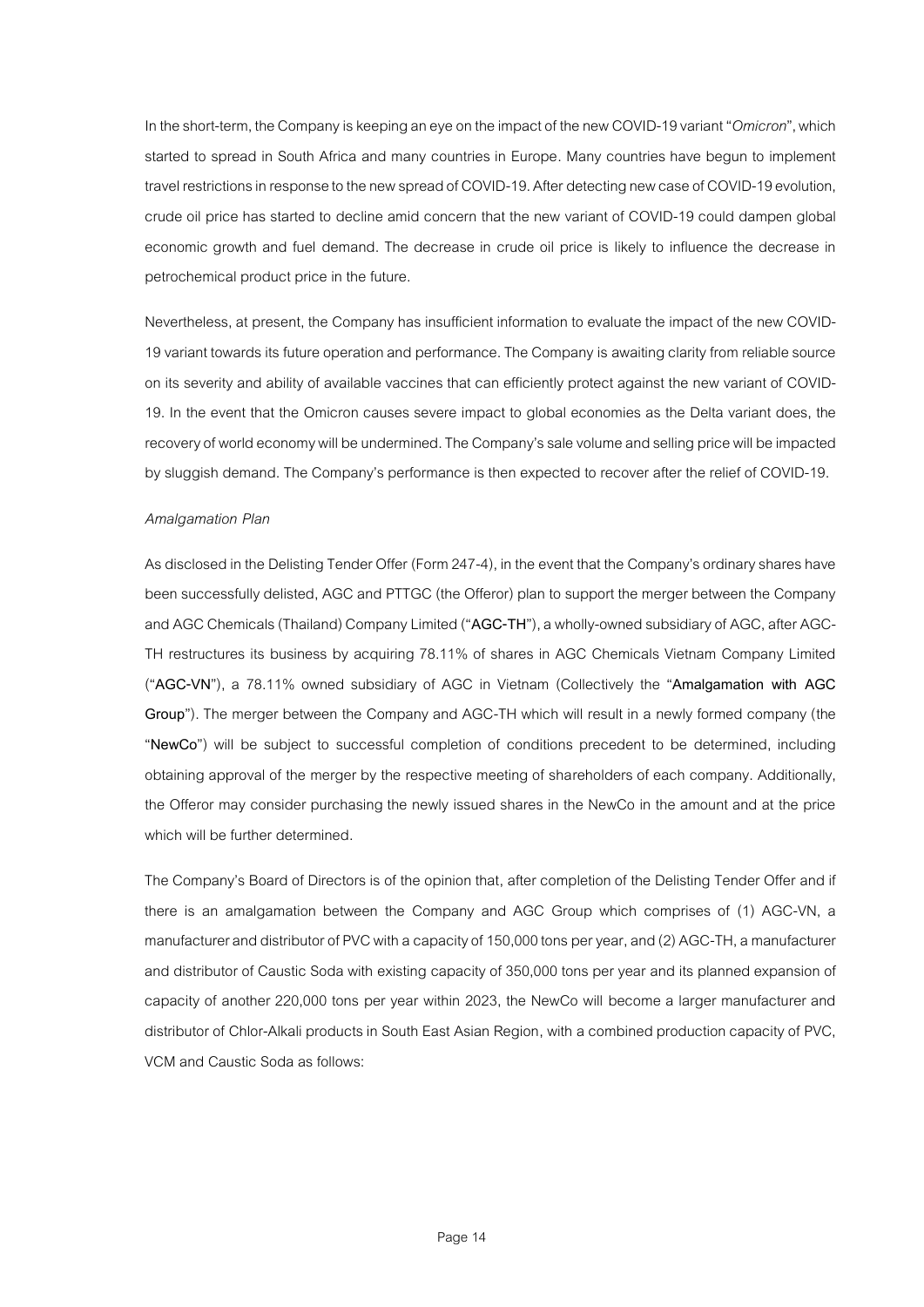In the short-term, the Company is keeping an eye on the impact of the new COVID-19 variant "Omicron", which started to spread in South Africa and many countries in Europe. Many countries have begun to implement travel restrictions in response to the new spread of COVID-19. After detecting new case of COVID-19 evolution, crude oil price has started to decline amid concern that the new variant of COVID-19 could dampen global economic growth and fuel demand. The decrease in crude oil price is likely to influence the decrease in petrochemical product price in the future.

Nevertheless, at present, the Company has insufficient information to evaluate the impact of the new COVID-19 variant towards its future operation and performance. The Company is awaiting clarity from reliable source on its severity and ability of available vaccines that can efficiently protect against the new variant of COVID-19. In the event that the Omicron causes severe impact to global economies as the Delta variant does, the recovery of world economy will be undermined. The Company's sale volume and selling price will be impacted by sluggish demand. The Company's performance is then expected to recover after the relief of COVID-19.

# *Amalgamation Plan*

As disclosed in the Delisting Tender Offer (Form 247-4), in the event that the Company's ordinary shares have been successfully delisted, AGC and PTTGC (the Offeror) plan to support the merger between the Company and AGC Chemicals (Thailand) Company Limited ("**AGC-TH**"), a wholly-owned subsidiary of AGC, after AGC-TH restructures its business by acquiring 78.11% of shares in AGC Chemicals Vietnam Company Limited ("**AGC-VN**"), a 78.11% owned subsidiary of AGC in Vietnam (Collectively the "**Amalgamation with AGC Group**"). The merger between the Company and AGC-TH which will result in a newly formed company (the "**NewCo**") will be subject to successful completion of conditions precedent to be determined, including obtaining approval of the merger by the respective meeting of shareholders of each company. Additionally, the Offeror may consider purchasing the newly issued shares in the NewCo in the amount and at the price which will be further determined.

The Company's Board of Directors is of the opinion that, after completion of the Delisting Tender Offer and if there is an amalgamation between the Company and AGC Group which comprises of (1) AGC-VN, a manufacturer and distributor of PVC with a capacityof 150,000 tons per year, and (2) AGC-TH, a manufacturer and distributor of Caustic Soda with existing capacity of 350,000 tons per year and its planned expansion of capacity of another 220,000 tons per year within 2023, the NewCo will become a larger manufacturer and distributor of Chlor-Alkali products in South East Asian Region, with a combined production capacity of PVC, VCM and Caustic Soda as follows: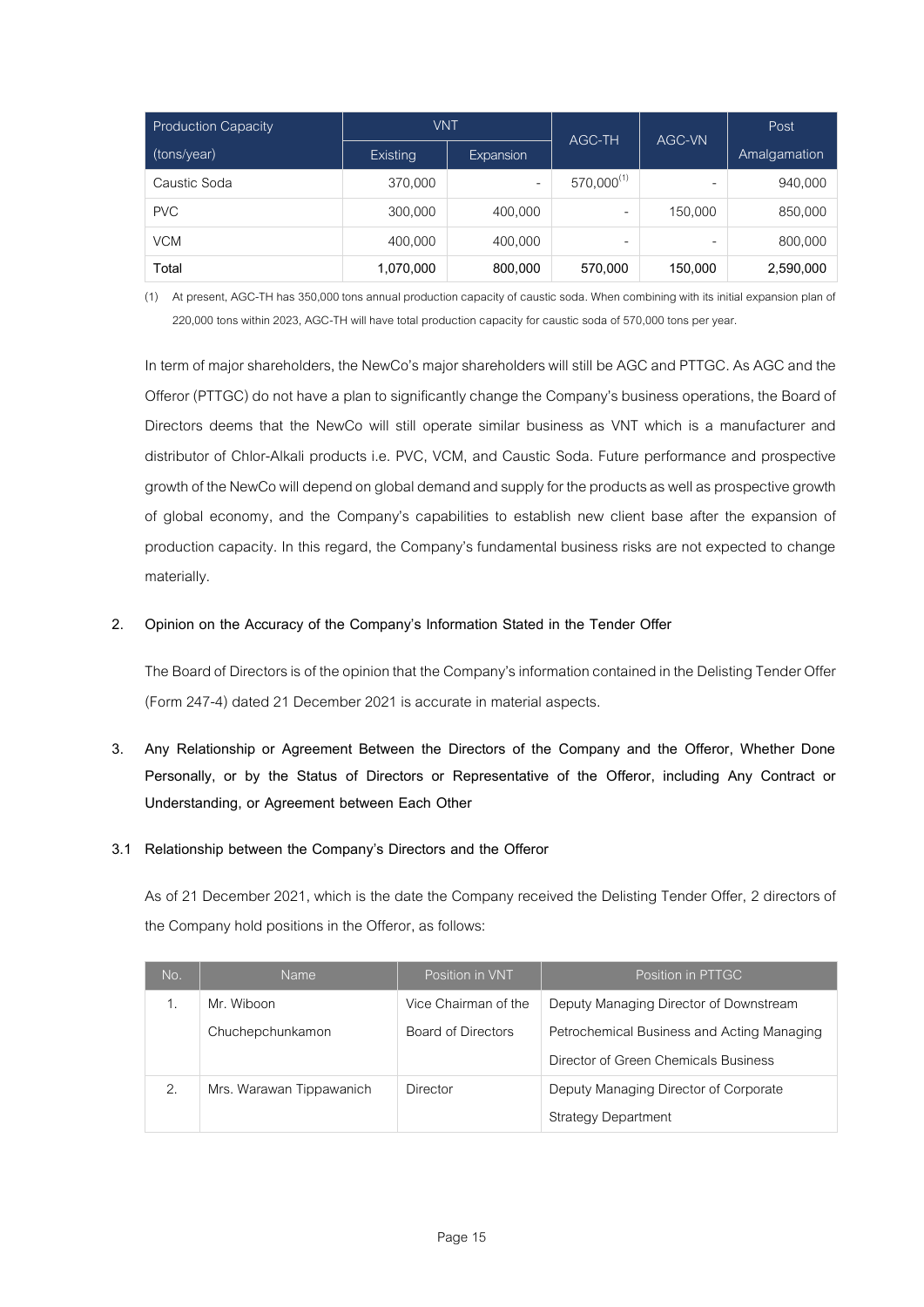| <b>Production Capacity</b> | <b>VNT</b> |                  | AGC-TH          | AGC-VN  | Post         |
|----------------------------|------------|------------------|-----------------|---------|--------------|
| (tons/year)                | Existing   | <b>Expansion</b> |                 |         | Amalgamation |
| Caustic Soda               | 370,000    | ۰                | $570,000^{(1)}$ | -       | 940,000      |
| <b>PVC</b>                 | 300,000    | 400,000          |                 | 150,000 | 850,000      |
| <b>VCM</b>                 | 400,000    | 400,000          | -               |         | 800,000      |
| Total                      | 1,070,000  | 800,000          | 570,000         | 150,000 | 2,590,000    |

(1) At present, AGC-TH has 350,000 tons annual production capacity of caustic soda. When combining with its initial expansion plan of 220,000 tons within 2023, AGC-TH will have total production capacity for caustic soda of 570,000 tons per year.

In term of major shareholders, the NewCo's major shareholders will still be AGC and PTTGC. As AGC and the Offeror (PTTGC) do not have a plan to significantly change the Company's business operations, the Board of Directors deems that the NewCo will still operate similar business as VNT which is a manufacturer and distributor of Chlor-Alkali products i.e. PVC, VCM, and Caustic Soda. Future performance and prospective growth of the NewCo will depend on global demand and supply for the products as well as prospective growth of global economy, and the Company's capabilities to establish new client base after the expansion of production capacity. In this regard, the Company's fundamental business risks are not expected to change materially.

# **2. Opinion on the Accuracy of the Company's Information Stated in the Tender Offer**

The Board of Directors is of the opinion that the Company's information contained in the Delisting Tender Offer (Form 247-4) dated 21 December 2021 is accurate in material aspects.

**3. Any Relationship or Agreement Between the Directors of the Company and the Offeror, Whether Done Personally, or by the Status of Directors or Representative of the Offeror, including Any Contract or Understanding, or Agreement between Each Other**

# **3.1 Relationship between the Company's Directors and the Offeror**

As of 21 December 2021, which is the date the Company received the Delisting Tender Offer, 2 directors of the Company hold positions in the Offeror, as follows:

| No. | <b>Name</b>              | Position in VNT      | Position in PTTGC                          |
|-----|--------------------------|----------------------|--------------------------------------------|
|     | Mr. Wiboon               | Vice Chairman of the | Deputy Managing Director of Downstream     |
|     | Chuchepchunkamon         | Board of Directors   | Petrochemical Business and Acting Managing |
|     |                          |                      | Director of Green Chemicals Business       |
| 2.  | Mrs. Warawan Tippawanich | Director             | Deputy Managing Director of Corporate      |
|     |                          |                      | <b>Strategy Department</b>                 |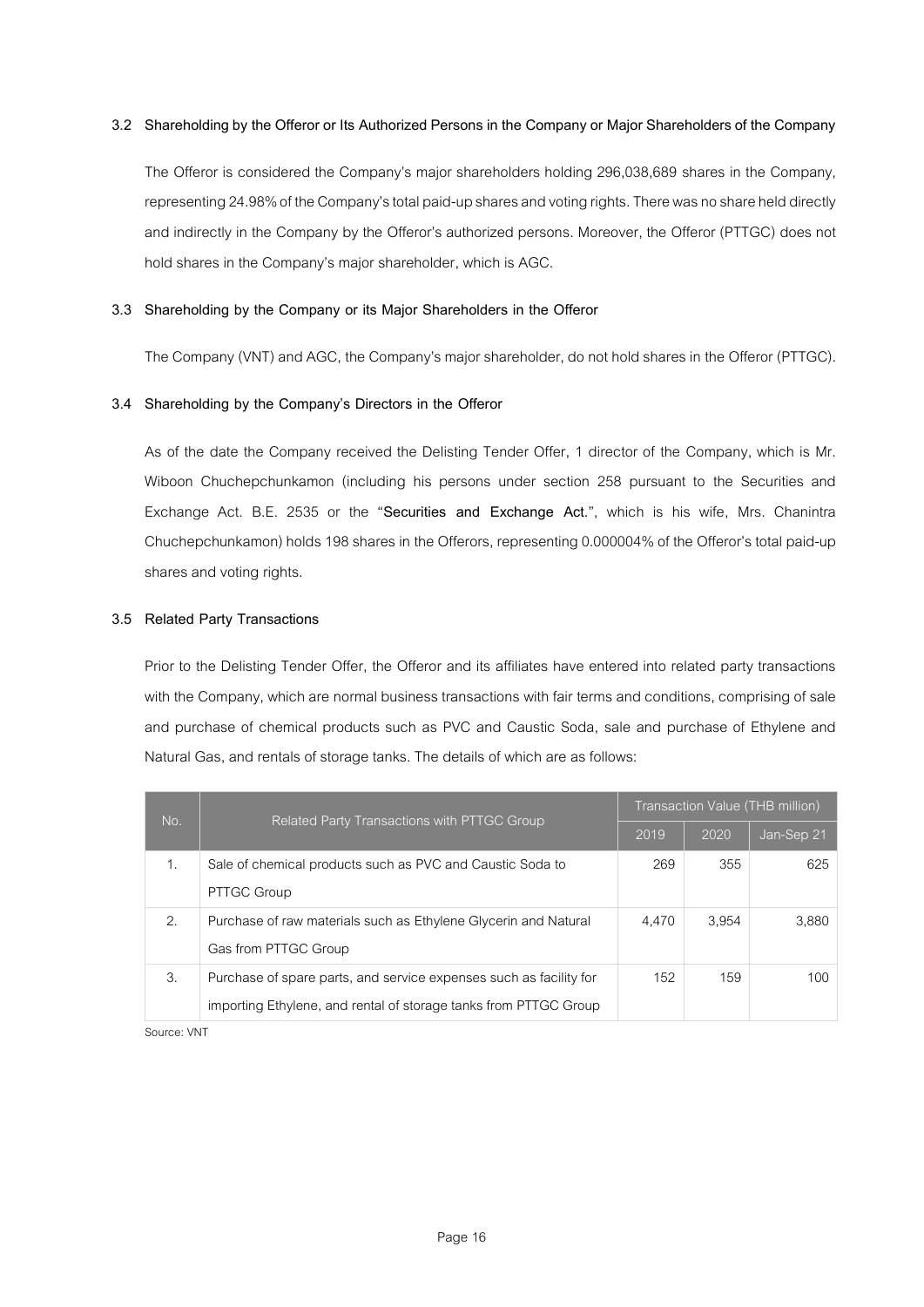# **3.2 Shareholding by the Offeror or Its Authorized Persons in the Company or Major Shareholders of the Company**

The Offeror is considered the Company's major shareholders holding 296,038,689 shares in the Company, representing 24.98% of the Company's total paid-up shares and voting rights. There was no share held directly and indirectly in the Company by the Offeror's authorized persons. Moreover, the Offeror (PTTGC) does not hold shares in the Company's major shareholder, which is AGC.

## **3.3 Shareholding by the Company or its Major Shareholders in the Offeror**

The Company (VNT) and AGC, the Company's major shareholder, do not hold shares in the Offeror (PTTGC).

## **3.4 Shareholding by the Company's Directors in the Offeror**

As of the date the Company received the Delisting Tender Offer, 1 director of the Company, which is Mr. Wiboon Chuchepchunkamon (including his persons under section 258 pursuant to the Securities and Exchange Act. B.E. 2535 or the "**Securities and Exchange Act.**", which is his wife, Mrs. Chanintra Chuchepchunkamon) holds 198 shares in the Offerors, representing 0.000004% of the Offeror's total paid-up shares and voting rights.

#### **3.5 Related Party Transactions**

Prior to the Delisting Tender Offer, the Offeror and its affiliates have entered into related party transactions with the Company, which are normal business transactions with fair terms and conditions, comprising of sale and purchase of chemical products such as PVC and Caustic Soda, sale and purchase of Ethylene and Natural Gas, and rentals of storage tanks. The details of which are as follows:

| No. | Related Party Transactions with PTTGC Group                                                                                            | Transaction Value (THB million) |       |            |
|-----|----------------------------------------------------------------------------------------------------------------------------------------|---------------------------------|-------|------------|
|     |                                                                                                                                        |                                 | 2020  | Jan-Sep 21 |
| 1.  | Sale of chemical products such as PVC and Caustic Soda to<br>PTTGC Group                                                               | 269                             | 355   | 625        |
| 2.  | Purchase of raw materials such as Ethylene Glycerin and Natural<br>Gas from PTTGC Group                                                | 4.470                           | 3.954 | 3,880      |
| 3.  | Purchase of spare parts, and service expenses such as facility for<br>importing Ethylene, and rental of storage tanks from PTTGC Group | 152                             | 159   | 100        |

Source: VNT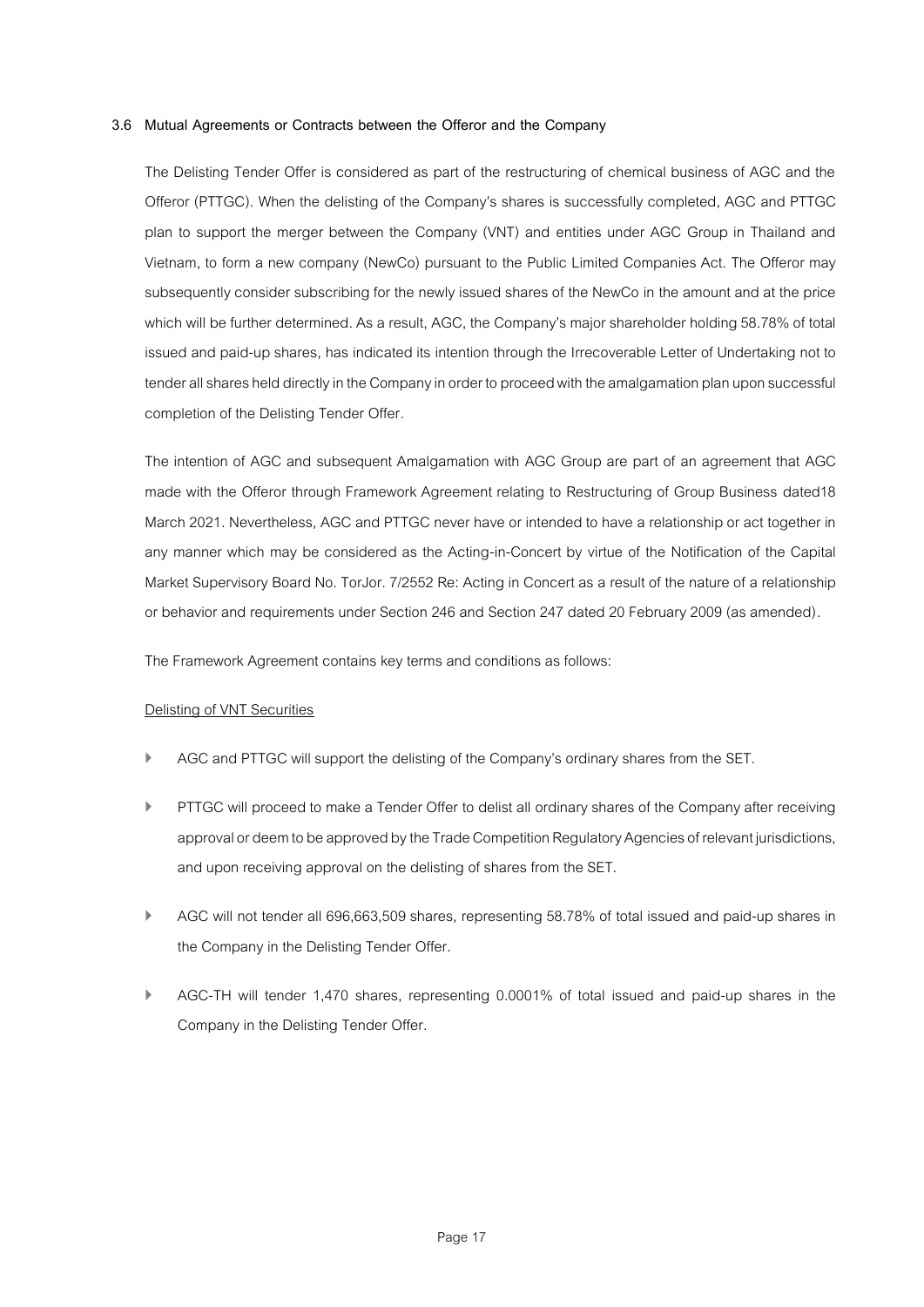# **3.6 Mutual Agreements or Contracts between the Offeror and the Company**

The Delisting Tender Offer is considered as part of the restructuring of chemical business of AGC and the Offeror (PTTGC). When the delisting of the Company's shares is successfully completed, AGC and PTTGC plan to support the merger between the Company (VNT) and entities under AGC Group in Thailand and Vietnam, to form a new company (NewCo) pursuant to the Public Limited Companies Act. The Offeror may subsequently consider subscribing for the newly issued shares of the NewCo in the amount and at the price which will be further determined. As a result, AGC, the Company's major shareholder holding 58.78% of total issued and paid-up shares, has indicated its intention through the Irrecoverable Letter of Undertaking not to tender all shares held directly in the Company in order to proceed with the amalgamation plan upon successful completion of the Delisting Tender Offer.

The intention of AGC and subsequent Amalgamation with AGC Group are part of an agreement that AGC made with the Offeror through Framework Agreement relating to Restructuring of Group Business dated18 March 2021. Nevertheless, AGC and PTTGC never have or intended to have a relationship or act together in any manner which may be considered as the Acting-in-Concert by virtue of the Notification of the Capital Market Supervisory Board No. TorJor. 7/2552 Re: Acting in Concert as a result of the nature of a relationship or behavior and requirements under Section 246 and Section 247 dated 20 February 2009 (as amended).

The Framework Agreement contains key terms and conditions as follows:

#### Delisting of VNT Securities

- AGC and PTTGC will support the delisting of the Company's ordinary shares from the SET.
- PTTGC will proceed to make a Tender Offer to delist all ordinary shares of the Company after receiving approval or deem to be approved by the Trade Competition Regulatory Agencies of relevant jurisdictions, and upon receiving approval on the delisting of shares from the SET.
- ▶ AGC will not tender all 696,663,509 shares, representing 58.78% of total issued and paid-up shares in the Company in the Delisting Tender Offer.
- AGC-TH will tender 1,470 shares, representing 0.0001% of total issued and paid-up shares in the Company in the Delisting Tender Offer.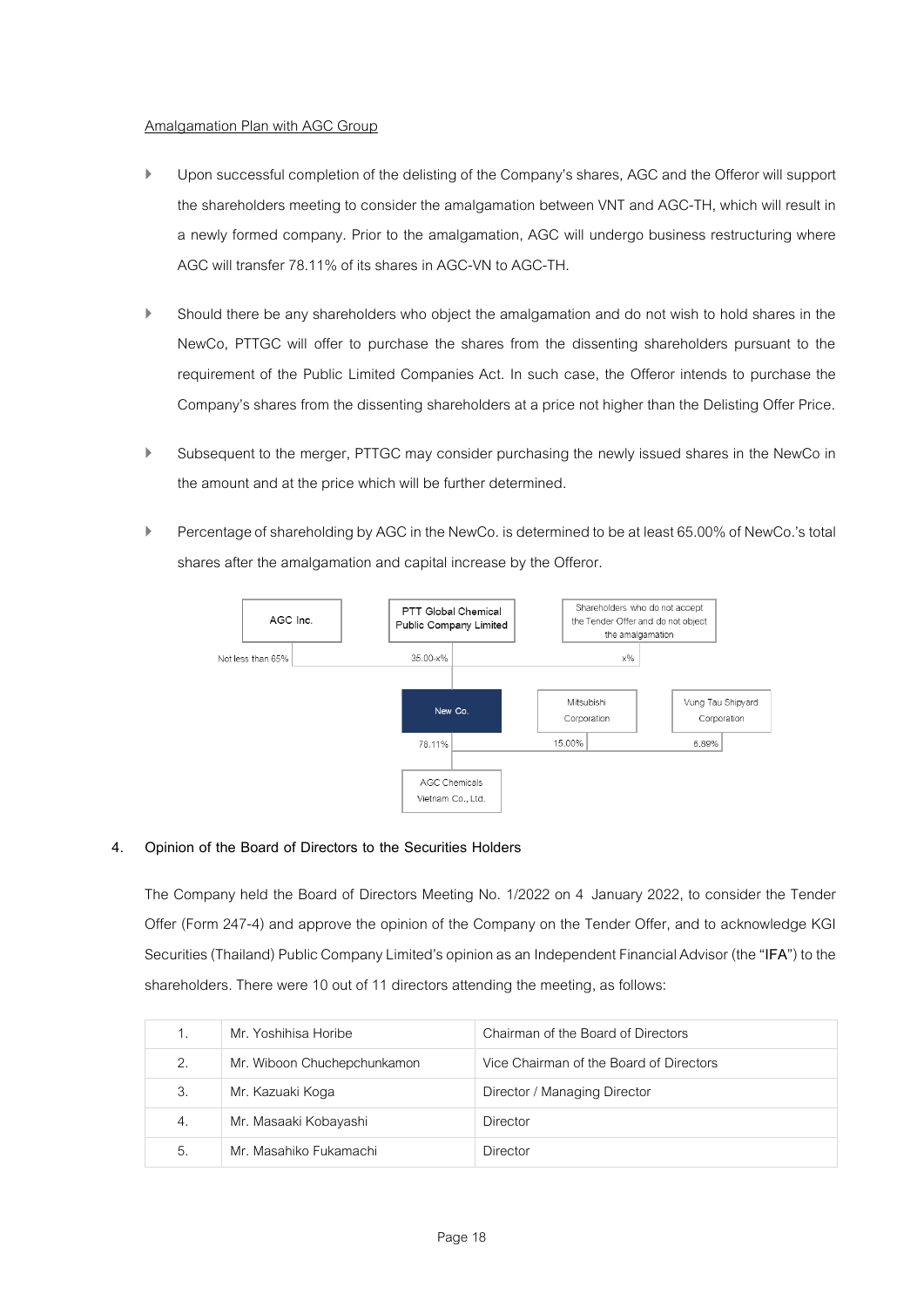# Amalgamation Plan with AGC Group

- Upon successful completion of the delisting of the Company's shares, AGC and the Offeror will support the shareholders meeting to consider the amalgamation between VNT and AGC-TH, which will result in a newly formed company. Prior to the amalgamation, AGC will undergo business restructuring where AGC will transfer 78.11% of its shares in AGC-VN to AGC-TH.
- Should there be any shareholders who object the amalgamation and do not wish to hold shares in the NewCo, PTTGC will offer to purchase the shares from the dissenting shareholders pursuant to the requirement of the Public Limited Companies Act. In such case, the Offeror intends to purchase the Company's shares from the dissenting shareholders at a price not higher than the Delisting Offer Price.
- Subsequent to the merger, PTTGC may consider purchasing the newly issued shares in the NewCo in the amount and at the price which will be further determined.
- Percentage of shareholding by AGC in the NewCo. is determined to be at least 65.00% of NewCo.'s total shares after the amalgamation and capital increase by the Offeror.



# **4. Opinion of the Board of Directors to the Securities Holders**

The Company held the Board of Directors Meeting No. 1/2022 on 4 January 2022, to consider the Tender Offer (Form 247-4) and approve the opinion of the Company on the Tender Offer, and to acknowledge KGI Securities (Thailand) Public Company Limited's opinion as an Independent Financial Advisor (the "**IFA**") to the shareholders. There were 10 out of 11 directors attending the meeting, as follows:

| 1. | Mr. Yoshihisa Horibe        | Chairman of the Board of Directors      |
|----|-----------------------------|-----------------------------------------|
| 2. | Mr. Wiboon Chuchepchunkamon | Vice Chairman of the Board of Directors |
| 3. | Mr. Kazuaki Koga            | Director / Managing Director            |
| 4. | Mr. Masaaki Kobayashi       | Director                                |
| 5. | Mr. Masahiko Fukamachi      | Director                                |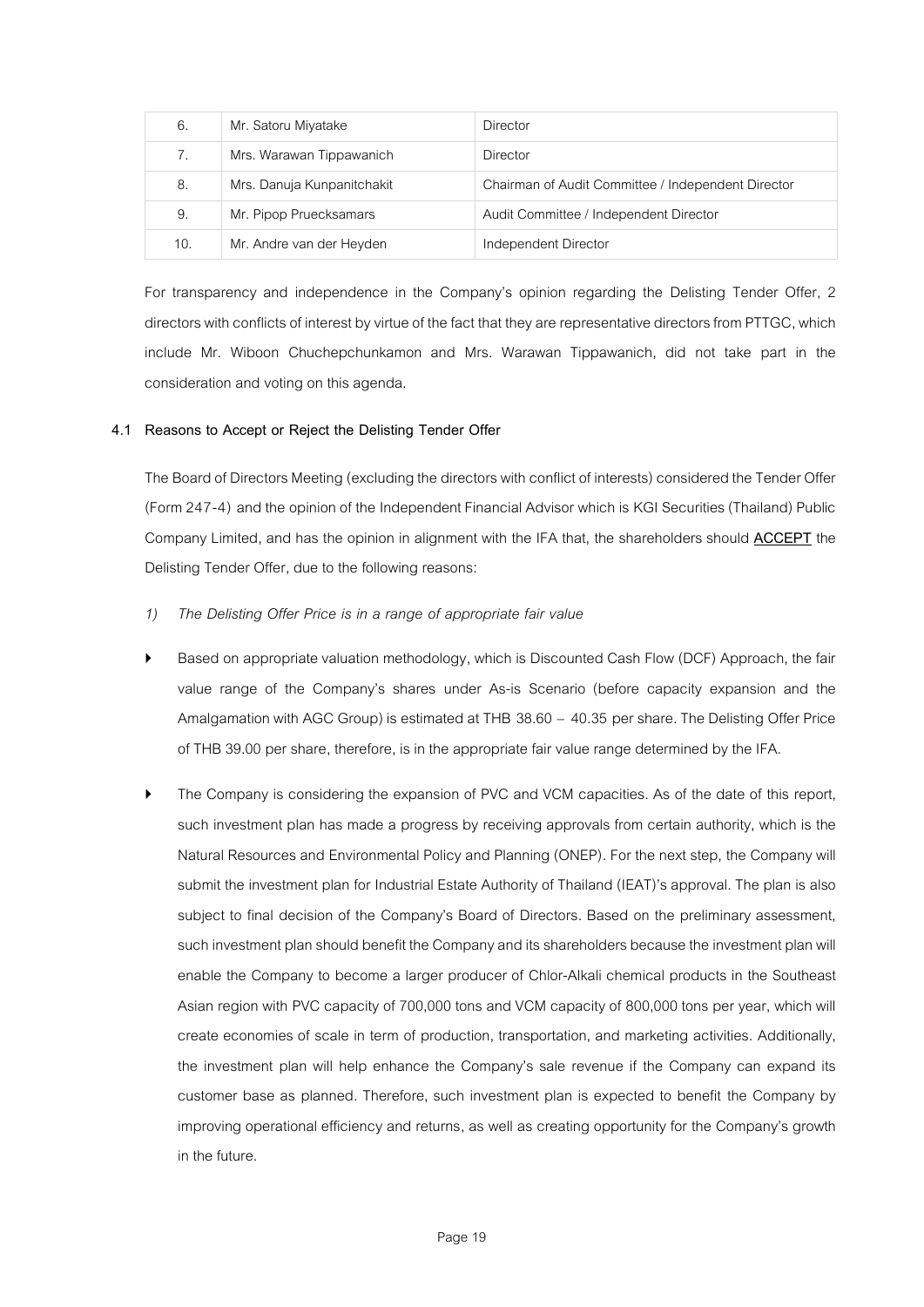| 6.  | Mr. Satoru Miyatake        | Director                                           |
|-----|----------------------------|----------------------------------------------------|
| 7.  | Mrs. Warawan Tippawanich   | Director                                           |
| 8.  | Mrs. Danuja Kunpanitchakit | Chairman of Audit Committee / Independent Director |
| 9.  | Mr. Pipop Pruecksamars     | Audit Committee / Independent Director             |
| 10. | Mr. Andre van der Heyden   | Independent Director                               |

For transparency and independence in the Company's opinion regarding the Delisting Tender Offer, 2 directors with conflicts of interest by virtue of the fact that they are representative directors from PTTGC, which include Mr. Wiboon Chuchepchunkamon and Mrs. Warawan Tippawanich, did not take part in the consideration and voting on this agenda.

# **4.1 Reasons to Accept or Reject the Delisting Tender Offer**

The Board of Directors Meeting (excluding the directors with conflict of interests) considered the Tender Offer (Form 247-4) and the opinion of the Independent Financial Advisor which is KGI Securities (Thailand) Public Company Limited, and has the opinion in alignment with the IFA that, the shareholders should **ACCEPT** the Delisting Tender Offer, due to the following reasons:

- *1) The Delisting Offer Price is in a range of appropriate fair value*
- Based on appropriate valuation methodology, which is Discounted Cash Flow (DCF) Approach, the fair value range of the Company's shares under As-is Scenario (before capacity expansion and the Amalgamation with AGC Group) is estimated at THB 38.60 – 40.35 per share. The Delisting Offer Price of THB 39.00 per share, therefore, is in the appropriate fair value range determined by the IFA.
- The Company is considering the expansion of PVC and VCM capacities. As of the date of this report, such investment plan has made a progress by receiving approvals from certain authority, which is the Natural Resources and Environmental Policy and Planning (ONEP). For the next step, the Company will submit the investment plan for Industrial Estate Authority of Thailand (IEAT)'s approval. The plan is also subject to final decision of the Company's Board of Directors. Based on the preliminary assessment, such investment plan should benefit the Company and its shareholders because the investment plan will enable the Company to become a larger producer of Chlor-Alkali chemical products in the Southeast Asian region with PVC capacity of 700,000 tons and VCM capacity of 800,000 tons per year, which will create economies of scale in term of production, transportation, and marketing activities. Additionally, the investment plan will help enhance the Company's sale revenue if the Company can expand its customer base as planned. Therefore, such investment plan is expected to benefit the Company by improving operational efficiency and returns, as well as creating opportunity for the Company's growth in the future.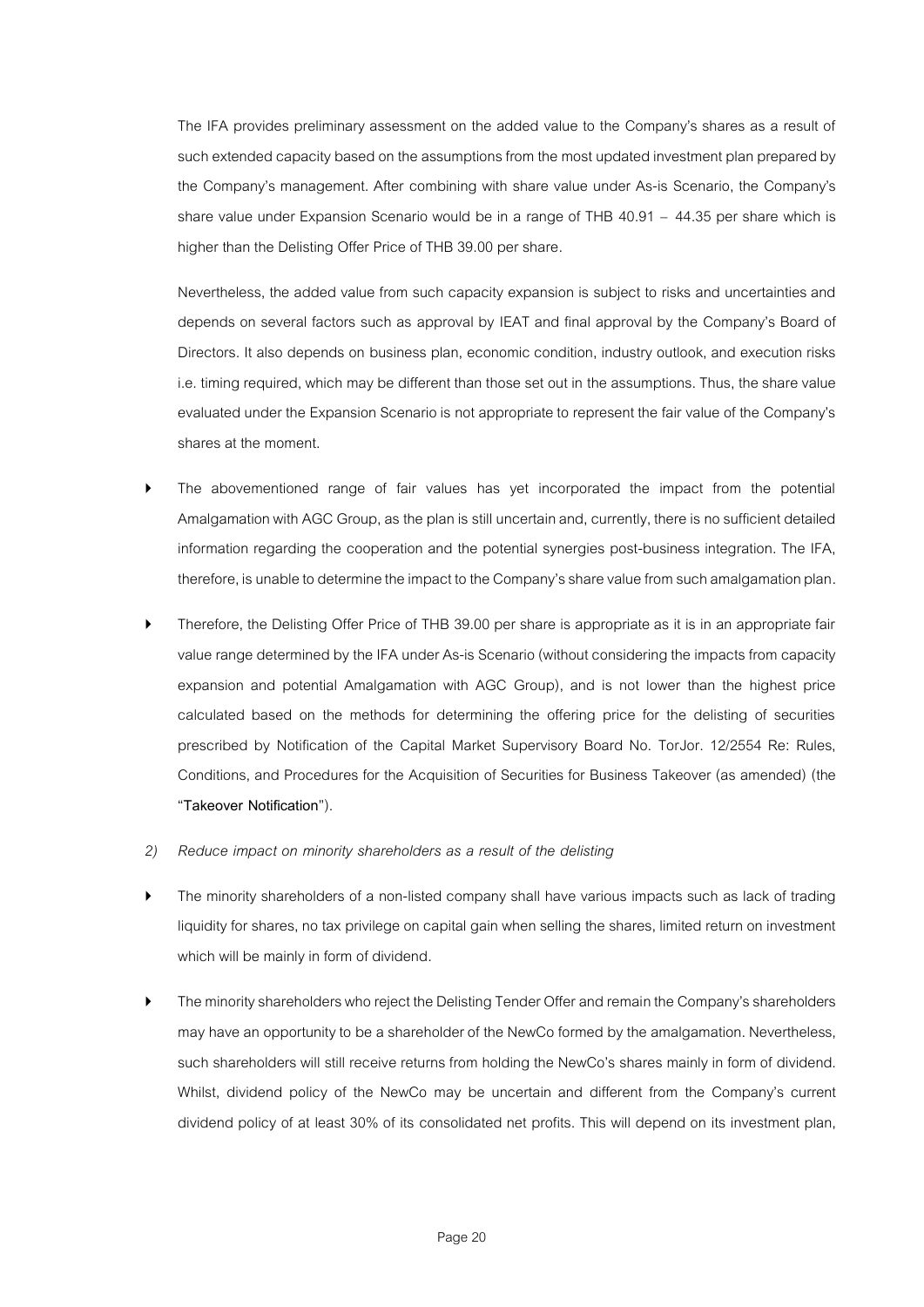The IFA provides preliminary assessment on the added value to the Company's shares as a result of such extended capacity based on the assumptions from the most updated investment plan prepared by the Company's management. After combining with share value under As-is Scenario, the Company's share value under Expansion Scenario would be in a range of THB 40.91 – 44.35 per share which is higher than the Delisting Offer Price of THB 39.00 per share.

Nevertheless, the added value from such capacity expansion is subject to risks and uncertainties and depends on several factors such as approval by IEAT and final approval by the Company's Board of Directors. It also depends on business plan, economic condition, industry outlook, and execution risks i.e. timing required, which may be different than those set out in the assumptions.Thus, the share value evaluated under the Expansion Scenario is not appropriate to represent the fair value of the Company's shares at the moment.

- The abovementioned range of fair values has yet incorporated the impact from the potential Amalgamation with AGC Group, as the plan is still uncertain and, currently, there is no sufficient detailed information regarding the cooperation and the potential synergies post-business integration. The IFA, therefore, is unable to determine the impact to the Company's share value from such amalgamation plan.
- Therefore, the Delisting Offer Price of THB 39.00 per share is appropriate as it is in an appropriate fair value range determined by the IFA under As-is Scenario (without considering the impacts from capacity expansion and potential Amalgamation with AGC Group), and is not lower than the highest price calculated based on the methods for determining the offering price for the delisting of securities prescribed by Notification of the Capital Market Supervisory Board No. TorJor. 12/2554 Re: Rules, Conditions, and Procedures for the Acquisition of Securities for Business Takeover (as amended) (the "**Takeover Notification**").
- *2) Reduce impact on minority shareholders as a result of the delisting*
- The minority shareholders of a non-listed company shall have various impacts such as lack of trading liquidity for shares, no tax privilege on capital gain when selling the shares, limited return on investment which will be mainly in form of dividend.
- The minority shareholders who reject the Delisting Tender Offer and remain the Company's shareholders may have an opportunity to be a shareholder of the NewCo formed by the amalgamation. Nevertheless, such shareholders will still receive returns from holding the NewCo's shares mainly in form of dividend. Whilst, dividend policy of the NewCo may be uncertain and different from the Company's current dividend policy of at least 30% of its consolidated net profits. This will depend on its investment plan,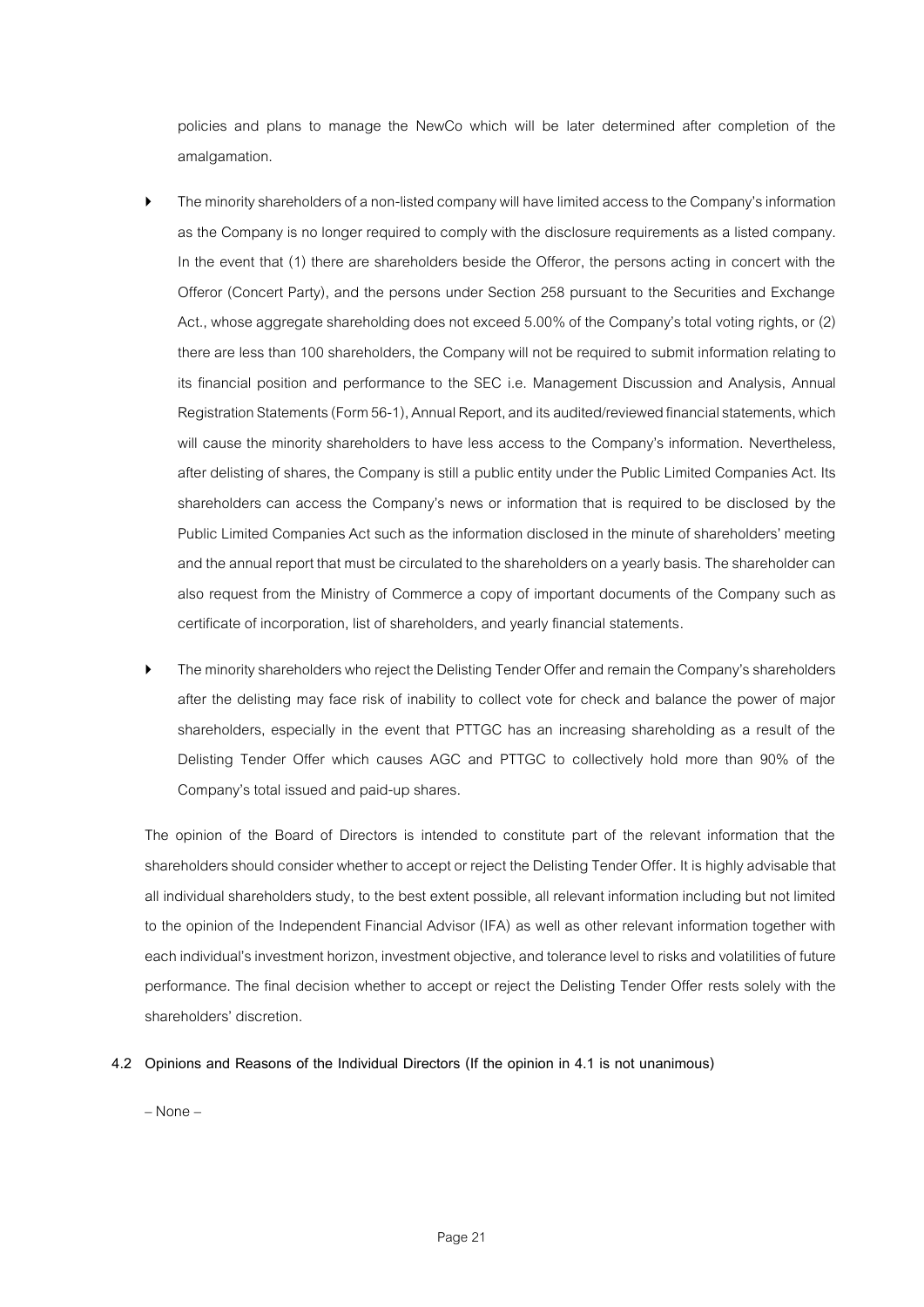policies and plans to manage the NewCo which will be later determined after completion of the amalgamation.

- The minority shareholders of a non-listed company will havelimited access to the Company's information as the Company is no longer required to comply with the disclosure requirements as a listed company. In the event that (1) there are shareholders beside the Offeror, the persons acting in concert with the Offeror (Concert Party), and the persons under Section 258 pursuant to the Securities and Exchange Act., whose aggregate shareholding does not exceed 5.00% of the Company's total voting rights, or (2) there are less than 100 shareholders, the Company will not be required to submit information relating to its financial position and performance to the SEC i.e. Management Discussion and Analysis, Annual Registration Statements(Form 56-1), Annual Report, and its audited/reviewed financial statements, which will cause the minority shareholders to have less access to the Company's information. Nevertheless, after delisting of shares, the Company is still a public entity under the Public Limited Companies Act. Its shareholders can access the Company's news or information that is required to be disclosed by the Public Limited Companies Act such as the information disclosed in the minute of shareholders' meeting and the annual report that must be circulated to the shareholders on a yearly basis. The shareholder can also request from the Ministry of Commerce a copy of important documents of the Company such as certificate of incorporation, list of shareholders, and yearly financial statements.
- The minority shareholders who reject the Delisting Tender Offer and remain the Company's shareholders after the delisting may face risk of inability to collect vote for check and balance the power of major shareholders, especially in the event that PTTGC has an increasing shareholding as a result of the Delisting Tender Offer which causes AGC and PTTGC to collectively hold more than 90% of the Company's total issued and paid-up shares.

The opinion of the Board of Directors is intended to constitute part of the relevant information that the shareholders should consider whether to accept or reject the Delisting Tender Offer. It is highly advisable that all individual shareholders study, to the best extent possible, all relevant information including but not limited to the opinion of the Independent Financial Advisor (IFA) as well as other relevant information together with each individual's investment horizon, investment objective, and tolerance level to risks and volatilities of future performance. The final decision whether to accept or reject the Delisting Tender Offer rests solely with the shareholders' discretion.

**4.2 Opinions and Reasons of the Individual Directors (If the opinion in 4.1 is not unanimous)**

– None –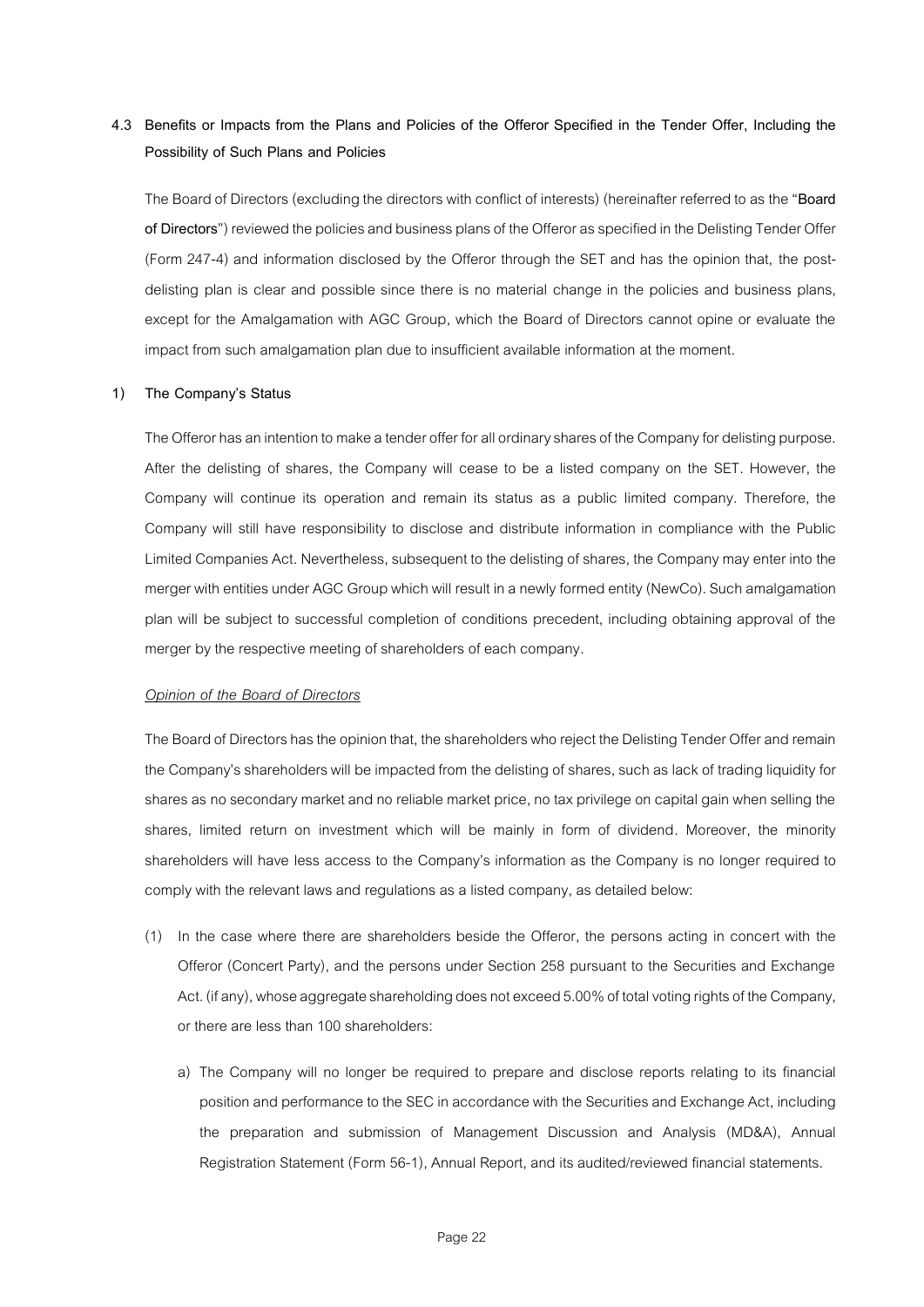# **4.3 Benefits or Impacts from the Plans and Policies of the Offeror Specified in the Tender Offer, Including the Possibility of Such Plans and Policies**

The Board of Directors (excluding the directors with conflict of interests) (hereinafter referred to as the "**Board of Directors**") reviewed the policies and business plans of the Offeror as specified inthe Delisting Tender Offer (Form 247-4) and information disclosed by the Offeror through the SET and has the opinion that, the postdelisting plan is clear and possible since there is no material change in the policies and business plans, except for the Amalgamation with AGC Group, which the Board of Directors cannot opine or evaluate the impact from such amalgamation plan due to insufficient available information at the moment.

## **1) The Company's Status**

The Offeror has an intention to make a tender offer for all ordinary shares of the Company for delisting purpose. After the delisting of shares, the Company will cease to be a listed company on the SET. However, the Company will continue its operation and remain its status as a public limited company. Therefore, the Company will still have responsibility to disclose and distribute information in compliance with the Public Limited Companies Act. Nevertheless, subsequent to the delisting of shares, the Company may enter into the merger with entities under AGC Group which will result in a newly formed entity (NewCo). Such amalgamation plan will be subject to successful completion of conditions precedent, including obtaining approval of the merger by the respective meeting of shareholders of each company.

## *Opinion of the Board of Directors*

The Board of Directors has the opinion that, the shareholders who reject the Delisting Tender Offer and remain the Company's shareholders will be impacted from the delisting of shares, such as lack of trading liquidity for shares as no secondary market and no reliable market price, no tax privilege on capital gain when selling the shares, limited return on investment which will be mainly in form of dividend. Moreover, the minority shareholders will have less access to the Company's information as the Company is no longer required to comply with the relevant laws and regulations as a listed company, as detailed below:

- (1) In the case where there are shareholders beside the Offeror, the persons acting in concert with the Offeror (Concert Party), and the persons under Section 258 pursuant to the Securities and Exchange Act. (if any), whose aggregate shareholding does not exceed 5.00% of total voting rights of the Company, or there are less than 100 shareholders:
	- a) The Company will no longer be required to prepare and disclose reports relating to its financial position and performance to the SEC in accordance with the Securities and Exchange Act, including the preparation and submission of Management Discussion and Analysis (MD&A), Annual Registration Statement (Form 56-1), Annual Report, and its audited/reviewed financial statements.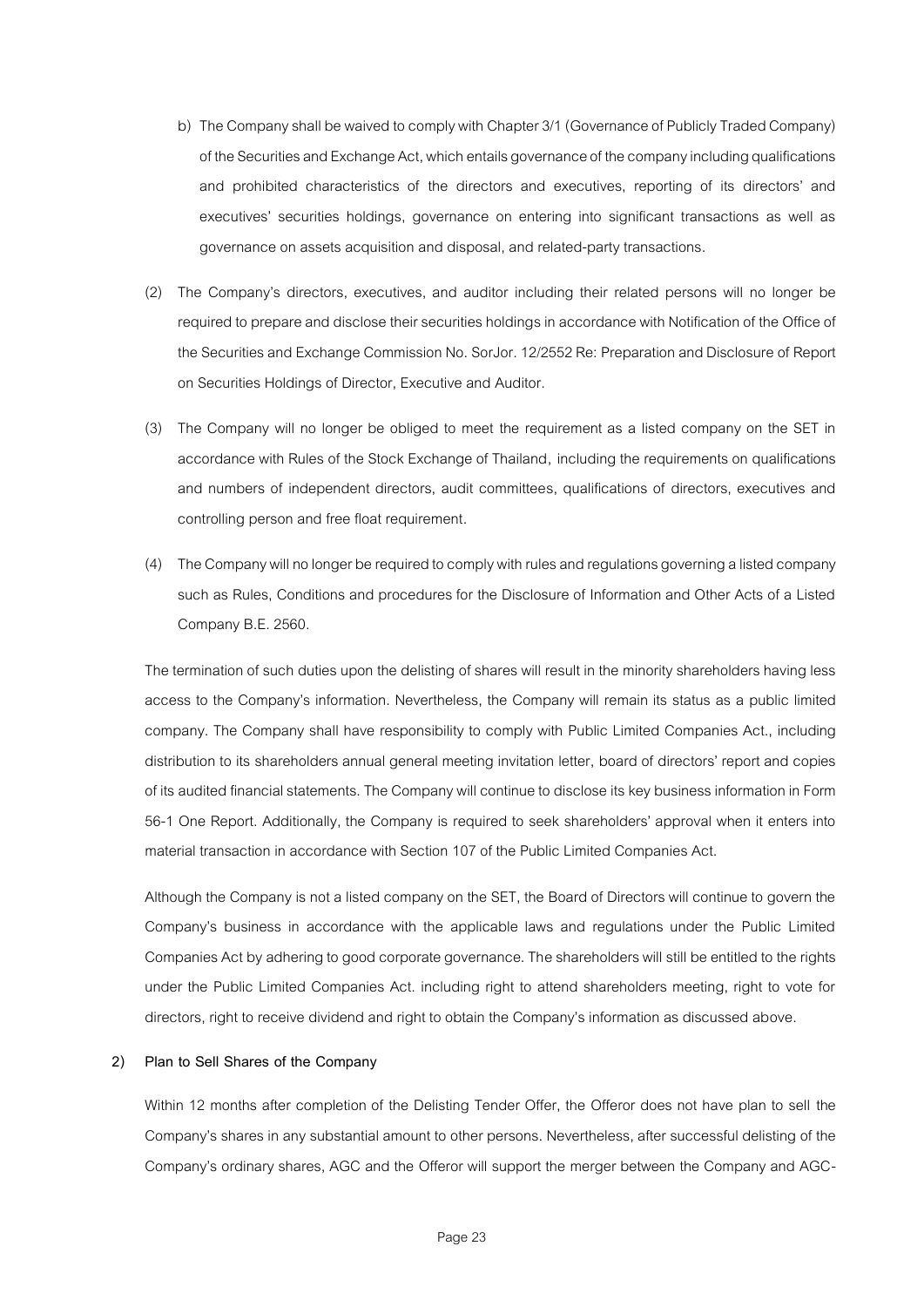- b) The Company shall be waived to comply with Chapter 3/1 (Governance of Publicly Traded Company) of the Securities and Exchange Act, which entails governance of the company including qualifications and prohibited characteristics of the directors and executives, reporting of its directors' and executives' securities holdings, governance on entering into significant transactions as well as governance on assets acquisition and disposal, and related-party transactions.
- (2) The Company's directors, executives, and auditor including their related persons will no longer be required to prepare and disclose their securities holdings in accordance with Notification of the Office of the Securities and Exchange Commission No. SorJor. 12/2552 Re: Preparation and Disclosure of Report on Securities Holdings of Director, Executive and Auditor.
- (3) The Company will no longer be obliged to meet the requirement as a listed company on the SET in accordance with Rules of the Stock Exchange of Thailand, including the requirements on qualifications and numbers of independent directors, audit committees, qualifications of directors, executives and controlling person and free float requirement.
- (4) The Company will no longer be required to comply with rules and regulations governing a listed company such as Rules, Conditions and procedures for the Disclosure of Information and Other Acts of a Listed Company B.E. 2560.

The termination of such duties upon the delisting of shares will result in the minority shareholders having less access to the Company's information. Nevertheless, the Company will remain its status as a public limited company. The Company shall have responsibility to comply with Public Limited Companies Act., including distribution to its shareholders annual general meeting invitation letter, board of directors' report and copies of its audited financial statements. The Company will continue to disclose its key business informationin Form 56-1 One Report. Additionally, the Company is required to seek shareholders' approval when it enters into material transaction in accordance with Section 107 of the Public Limited Companies Act.

Although the Company is not a listed company on the SET, the Board of Directors will continue to govern the Company's business in accordance with the applicable laws and regulations under the Public Limited Companies Act by adhering to good corporate governance. The shareholders will still be entitled to the rights under the Public Limited Companies Act. including right to attend shareholders meeting, right to vote for directors, right to receive dividend and right to obtain the Company's information as discussed above.

#### **2) Plan to Sell Shares of the Company**

Within 12 months after completion of the Delisting Tender Offer, the Offeror does not have plan to sell the Company's shares in any substantial amount to other persons. Nevertheless, after successful delisting of the Company's ordinary shares, AGC and the Offeror will support the merger between the Company and AGC-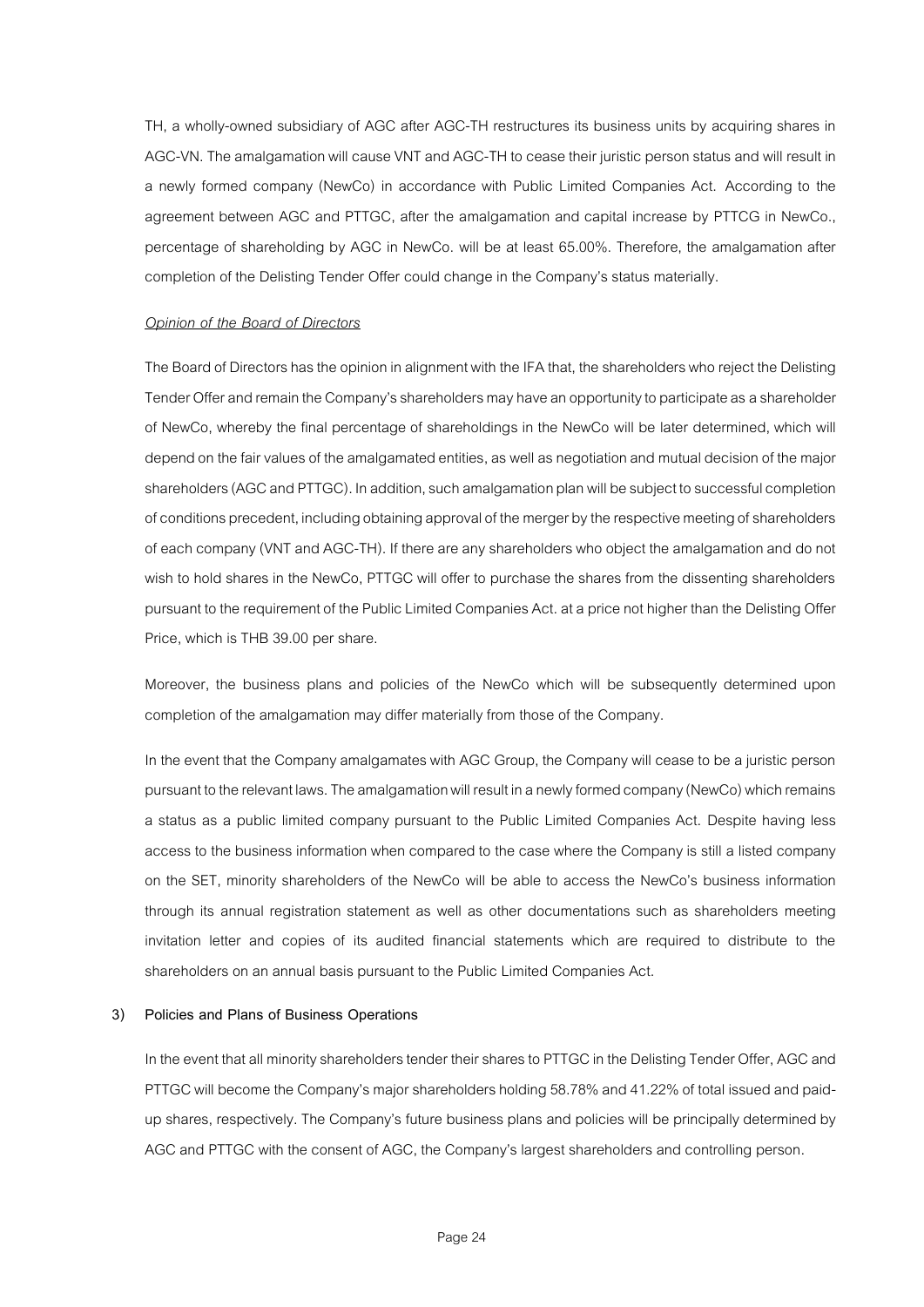TH, a wholly-owned subsidiary of AGC after AGC-TH restructures its business units by acquiring shares in AGC-VN. The amalgamation will cause VNT and AGC-TH to cease their juristic person status and will result in a newly formed company (NewCo) in accordance with Public Limited Companies Act. According to the agreement between AGC and PTTGC, after the amalgamation and capital increase by PTTCG in NewCo., percentage of shareholding by AGC in NewCo. will be at least 65.00%. Therefore, the amalgamation after completion of the Delisting Tender Offer could change in the Company's status materially.

# *Opinion of the Board of Directors*

The Board of Directors has the opinion in alignment with the IFA that, the shareholders who reject the Delisting Tender Offer and remain the Company's shareholders may have an opportunity to participate as a shareholder of NewCo, whereby the final percentage of shareholdings in the NewCo will be later determined, which will depend on the fair values of the amalgamated entities, as well as negotiation and mutual decision of the major shareholders (AGC and PTTGC). In addition, such amalgamation plan will be subject to successful completion of conditions precedent, including obtaining approval of the merger by the respective meeting of shareholders of each company(VNT and AGC-TH). If there are any shareholders who object the amalgamation and do not wish to hold shares in the NewCo, PTTGC will offer to purchase the shares from the dissenting shareholders pursuant to the requirement of the Public Limited Companies Act. at a price not higher than the Delisting Offer Price, which is THB 39.00 per share.

Moreover, the business plans and policies of the NewCo which will be subsequently determined upon completion of the amalgamation may differ materially from those of the Company.

In the event that the Company amalgamates with AGC Group, the Company will cease to be a juristic person pursuant to the relevant laws. The amalgamation will result in a newly formed company (NewCo) which remains a status as a public limited company pursuant to the Public Limited Companies Act. Despite having less access to the business information when compared to the case where the Company is still a listed company on the SET, minority shareholders of the NewCo will be able to access the NewCo's business information through its annual registration statement as well as other documentations such as shareholders meeting invitation letter and copies of its audited financial statements which are required to distribute to the shareholders on an annual basis pursuant to the Public Limited Companies Act.

# **3) Policies and Plans of Business Operations**

In the event that all minority shareholders tender their shares to PTTGC in the Delisting Tender Offer, AGC and PTTGC will become the Company's major shareholders holding 58.78% and 41.22% of total issued and paidup shares, respectively. The Company's future business plans and policies will be principally determined by AGC and PTTGC with the consent of AGC, the Company's largest shareholders and controlling person.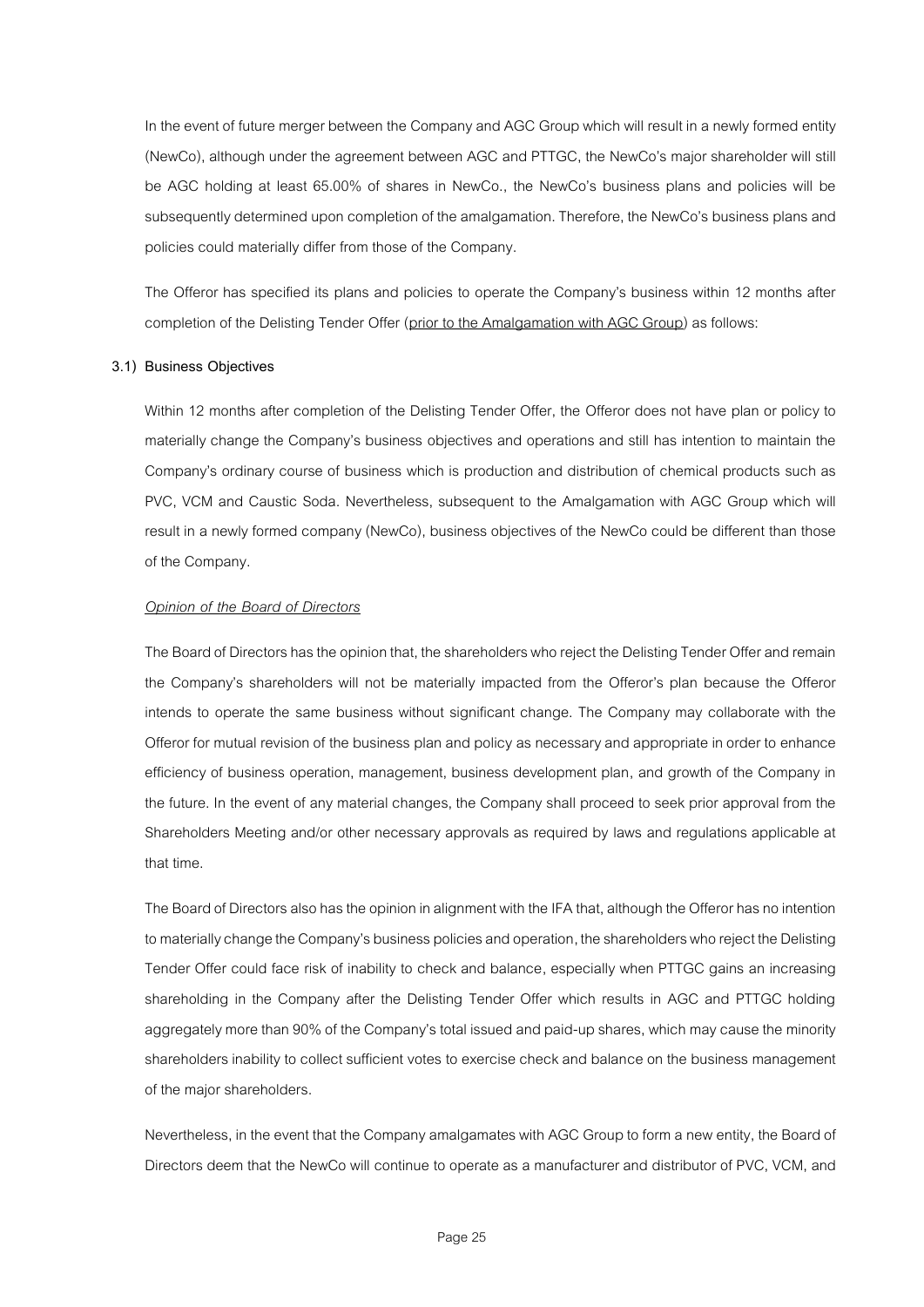In the event of future merger between the Company and AGC Group which will result in a newly formed entity (NewCo), although under the agreement between AGC and PTTGC, the NewCo's major shareholder will still be AGC holding at least 65.00% of shares in NewCo., the NewCo's business plans and policies will be subsequently determined upon completion of the amalgamation. Therefore, the NewCo's business plans and policies could materially differ from those of the Company.

The Offeror has specified its plans and policies to operate the Company's business within 12 months after completion of the Delisting Tender Offer (prior to the Amalgamation with AGC Group) as follows:

#### **3.1) Business Objectives**

Within 12 months after completion of the Delisting Tender Offer, the Offeror does not have plan or policy to materially change the Company's business objectives and operations and still has intention to maintain the Company's ordinary course of business which is production and distribution of chemical products such as PVC, VCM and Caustic Soda. Nevertheless, subsequent to the Amalgamation with AGC Group which will result in a newly formed company (NewCo), business objectives of the NewCo could be different than those of the Company.

#### *Opinion of the Board of Directors*

The Board of Directors has the opinion that, the shareholders whoreject the Delisting Tender Offer and remain the Company's shareholders will not be materially impacted from the Offeror's plan because the Offeror intends to operate the same business without significant change. The Company may collaborate with the Offeror for mutual revision of the business plan and policyas necessary and appropriate in order to enhance efficiency of business operation, management, business development plan, and growth of the Company in the future. In the event of any material changes, the Company shall proceed to seek prior approval from the Shareholders Meeting and/or other necessary approvals as required by laws and regulations applicable at that time.

The Board of Directors also has the opinion in alignment with the IFA that, although the Offeror has no intention to materially change the Company's business policies and operation, the shareholders who reject the Delisting Tender Offer could face risk of inability to check and balance, especially when PTTGC gains an increasing shareholding in the Company after the Delisting Tender Offer which results in AGC and PTTGC holding aggregately more than 90% of the Company's total issued and paid-up shares, which may cause the minority shareholders inability to collect sufficient votes to exercise check and balance on the business management of the major shareholders.

Nevertheless, in the event that the Company amalgamates with AGC Group to form a new entity, the Board of Directors deem that the NewCo will continue to operate as a manufacturer and distributor of PVC, VCM, and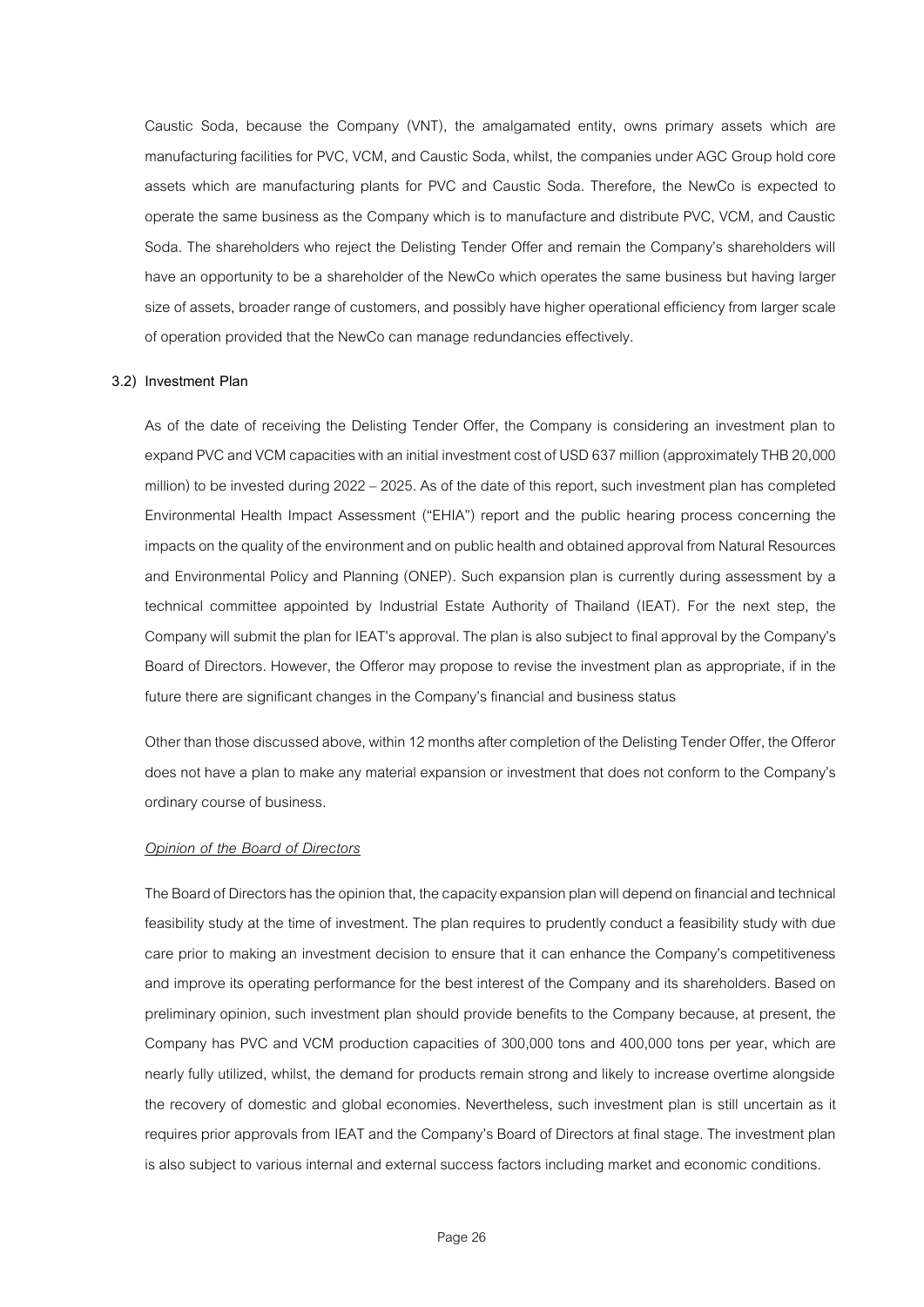Caustic Soda, because the Company (VNT), the amalgamated entity, owns primary assets which are manufacturing facilities for PVC, VCM, and Caustic Soda, whilst, the companies under AGC Group hold core assets which are manufacturing plants for PVC and Caustic Soda. Therefore, the NewCo is expected to operate the same business as the Company which is to manufacture and distribute PVC, VCM, and Caustic Soda. The shareholders who reject the Delisting Tender Offer and remain the Company's shareholders will have an opportunity to be a shareholder of the NewCo which operates the same business but having larger size of assets, broader range of customers, and possibly have higher operational efficiency from larger scale of operation provided that the NewCo can manage redundancies effectively.

#### **3.2) Investment Plan**

As of the date of receiving the Delisting Tender Offer, the Company is considering an investment plan to expand PVC and VCM capacities with an initial investment cost of USD 637 million (approximately THB 20,000 million) to be invested during 2022 – 2025. As of the date of this report, such investment plan has completed Environmental Health Impact Assessment ("EHIA") report and the public hearing process concerning the impacts on the quality of the environment and on public health and obtained approval from Natural Resources and Environmental Policy and Planning (ONEP). Such expansion plan is currently during assessment by a technical committee appointed by Industrial Estate Authority of Thailand (IEAT). For the next step, the Company will submit the plan for IEAT's approval. The plan is also subject to final approval by the Company's Board of Directors. However, the Offeror may propose to revise the investment plan as appropriate, if in the future there are significant changes in the Company's financial and business status

Other than those discussed above, within 12 months after completion of the Delisting Tender Offer, the Offeror does not have a plan to make any material expansion or investment that does not conform to the Company's ordinary course of business.

#### *Opinion of the Board of Directors*

The Board of Directors has the opinion that, the capacity expansion plan will depend on financial and technical feasibility study at the time of investment. The plan requires to prudently conduct a feasibility study with due care prior to making an investment decision to ensure that it can enhance the Company's competitiveness and improve its operating performance for the best interest of the Company and its shareholders. Based on preliminary opinion, such investment plan should provide benefits to the Company because, at present, the Company has PVC and VCM production capacities of 300,000 tons and 400,000 tons per year, which are nearly fully utilized, whilst, the demand for products remain strong and likely to increase overtime alongside the recovery of domestic and global economies. Nevertheless, such investment plan is still uncertain as it requires prior approvals from IEAT and the Company's Board of Directors at final stage. The investment plan is also subject to various internal and external success factors including market and economic conditions.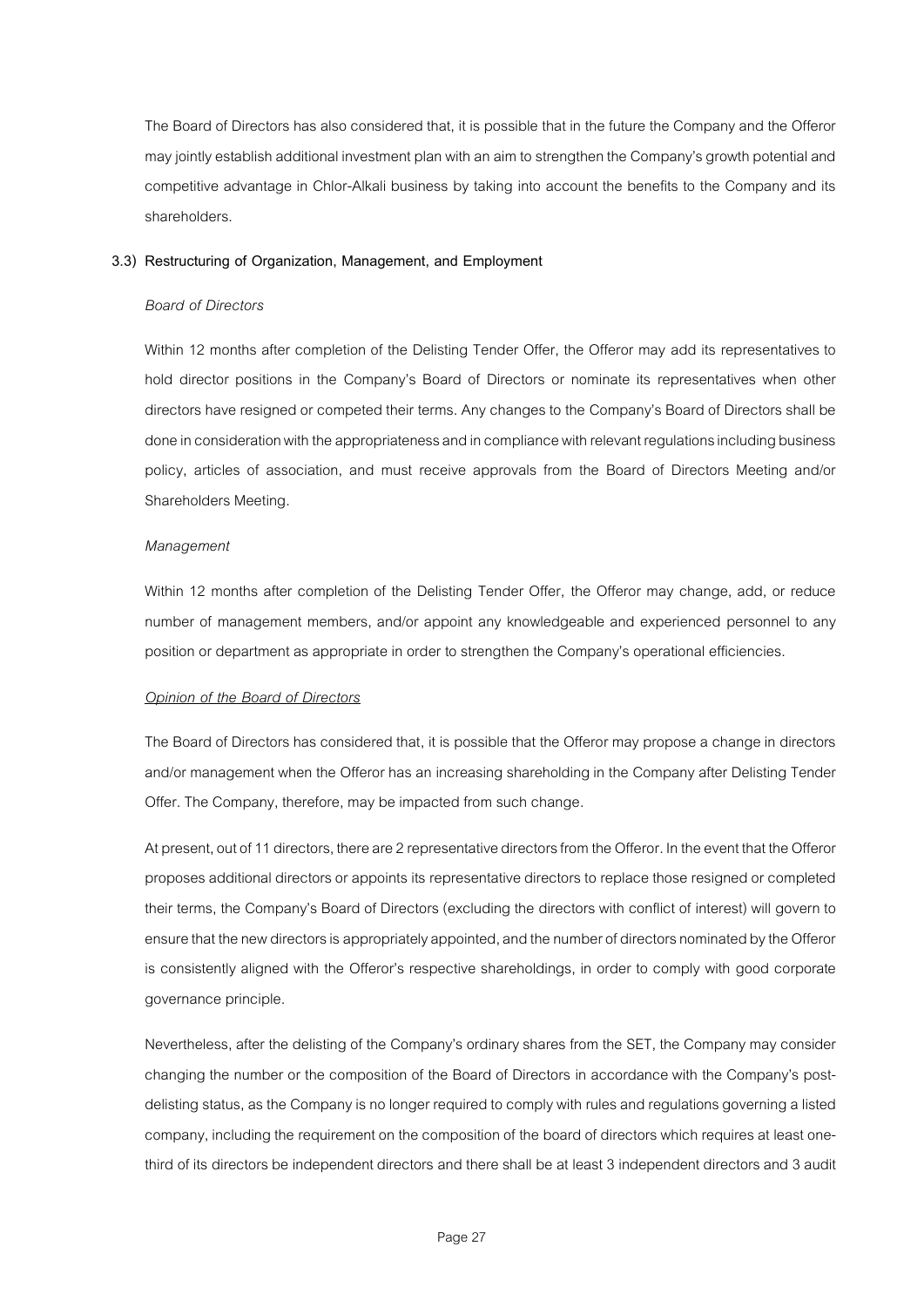The Board of Directors has also considered that, it is possible that in the future the Company and the Offeror may jointly establish additional investment plan with an aim to strengthen the Company's growth potential and competitive advantage in Chlor-Alkali business by taking into account the benefits to the Company and its shareholders.

#### **3.3) Restructuring of Organization, Management, and Employment**

## *Board of Directors*

Within 12 months after completion of the Delisting Tender Offer, the Offeror may add its representatives to hold director positions in the Company's Board of Directors or nominate its representatives when other directors have resigned or competed their terms. Any changes to the Company's Board of Directors shall be done in consideration with the appropriateness and in compliance with relevant regulations including business policy, articles of association, and must receive approvals from the Board of Directors Meeting and/or Shareholders Meeting.

## *Management*

Within 12 months after completion of the Delisting Tender Offer, the Offeror may change, add, or reduce number of management members, and/or appoint any knowledgeable and experienced personnel to any position or department as appropriate in order to strengthen the Company's operational efficiencies.

#### *Opinion of the Board of Directors*

The Board of Directors has considered that, it is possible that the Offeror may propose a change in directors and/or management when the Offeror has an increasing shareholding in the Company after Delisting Tender Offer. The Company, therefore, may be impacted from such change.

At present, out of 11 directors, there are 2 representative directors from the Offeror. In the event that the Offeror proposes additional directors or appoints its representative directors to replace those resigned or completed their terms, the Company's Board of Directors (excluding the directors with conflict of interest) will govern to ensure that the new directors is appropriately appointed,and the number of directors nominated by the Offeror is consistently aligned with the Offeror's respective shareholdings, in order to comply with good corporate governance principle.

Nevertheless, after the delisting of the Company's ordinary shares from the SET, the Company may consider changing the number or the composition of the Board of Directors in accordance with the Company's postdelisting status, as the Company is no longer required to comply with rules and regulations governing a listed company, including the requirement on the composition of the board of directors which requires at least onethird of its directors be independent directors and there shall be at least 3 independent directors and 3 audit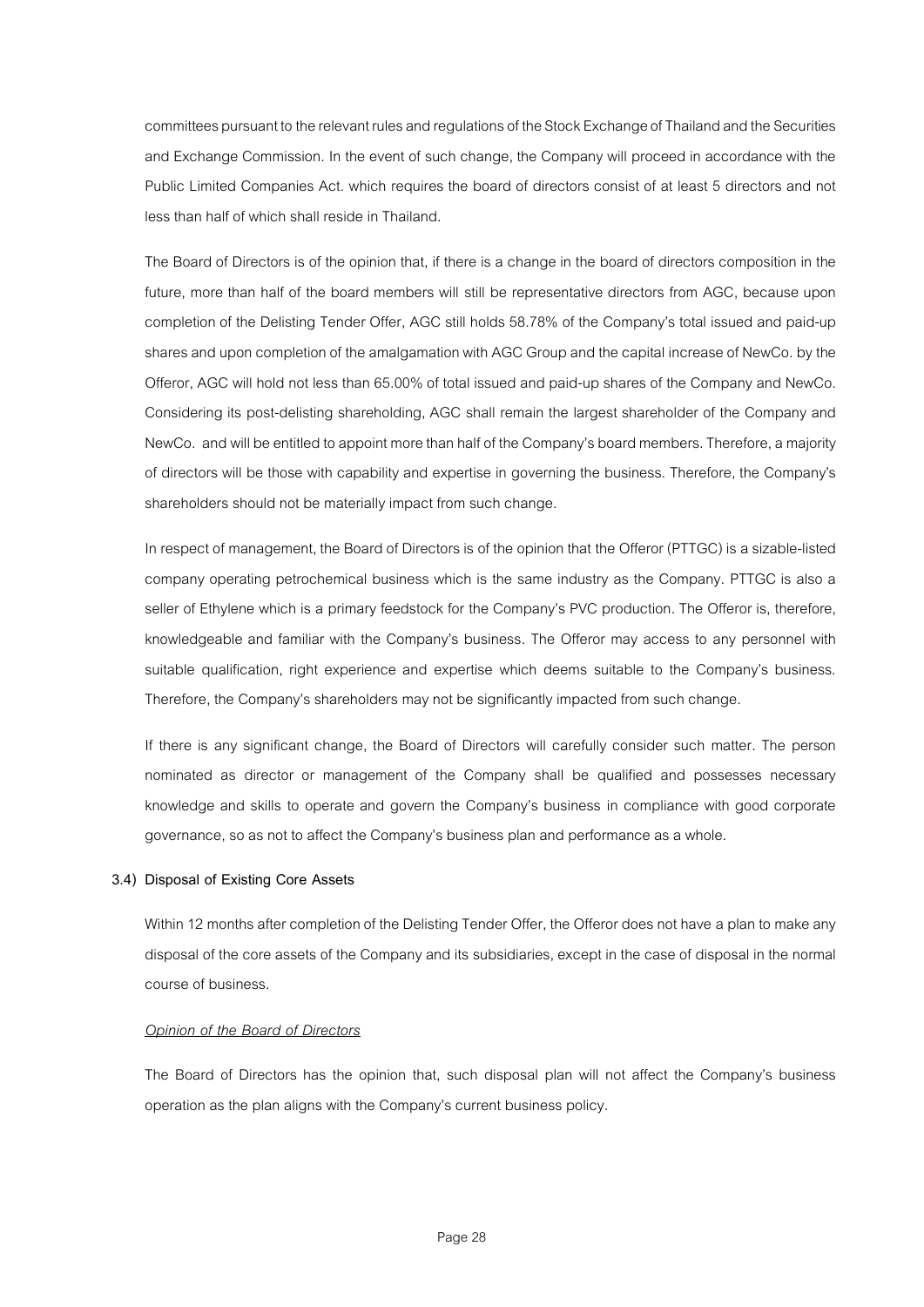committees pursuant tothe relevant rules and regulations of the Stock Exchange of Thailand and the Securities and Exchange Commission. In the event of such change, the Company will proceed in accordance with the Public Limited Companies Act. which requires the board of directors consist of at least 5 directors and not less than half of which shall reside in Thailand.

The Board of Directors is of the opinion that, if there is a change in the board of directors composition in the future, more than half of the board members will still be representative directors from AGC, because upon completion of the Delisting Tender Offer, AGC still holds 58.78% of the Company's total issued and paid-up shares and upon completion of the amalgamation with AGC Group and the capital increase of NewCo, by the Offeror, AGC will hold not less than 65.00% of total issued and paid-up shares of the Company and NewCo. Considering its post-delisting shareholding, AGC shall remain the largest shareholder of the Company and NewCo. and will be entitled to appoint more than half of the Company's board members. Therefore, a majority of directors will be those with capability and expertise in governing the business. Therefore, the Company's shareholders should not be materially impact from such change.

In respect of management, the Board of Directors is of the opinion that the Offeror (PTTGC) is a sizable-listed company operating petrochemical business which is the same industry as the Company. PTTGC is also a seller of Ethylene which is a primary feedstock for the Company's PVC production. The Offeror is, therefore, knowledgeable and familiar with the Company's business. The Offeror may access to any personnel with suitable qualification, right experience and expertise which deems suitable to the Company's business. Therefore, the Company's shareholders may not be significantly impacted from such change.

If there is any significant change, the Board of Directors will carefully consider such matter. The person nominated as director or management of the Company shall be qualified and possesses necessary knowledge and skills to operate and govern the Company's business in compliance with good corporate governance, so as not to affect the Company's business plan and performance as a whole.

# **3.4) Disposal of Existing Core Assets**

Within 12 months after completion of the Delisting Tender Offer, the Offeror does not have a plan to make any disposal of the core assets of the Company and its subsidiaries, except in the case of disposal in the normal course of business.

#### *Opinion of the Board of Directors*

The Board of Directors has the opinion that, such disposal plan will not affect the Company's business operation as the plan aligns with the Company's current business policy.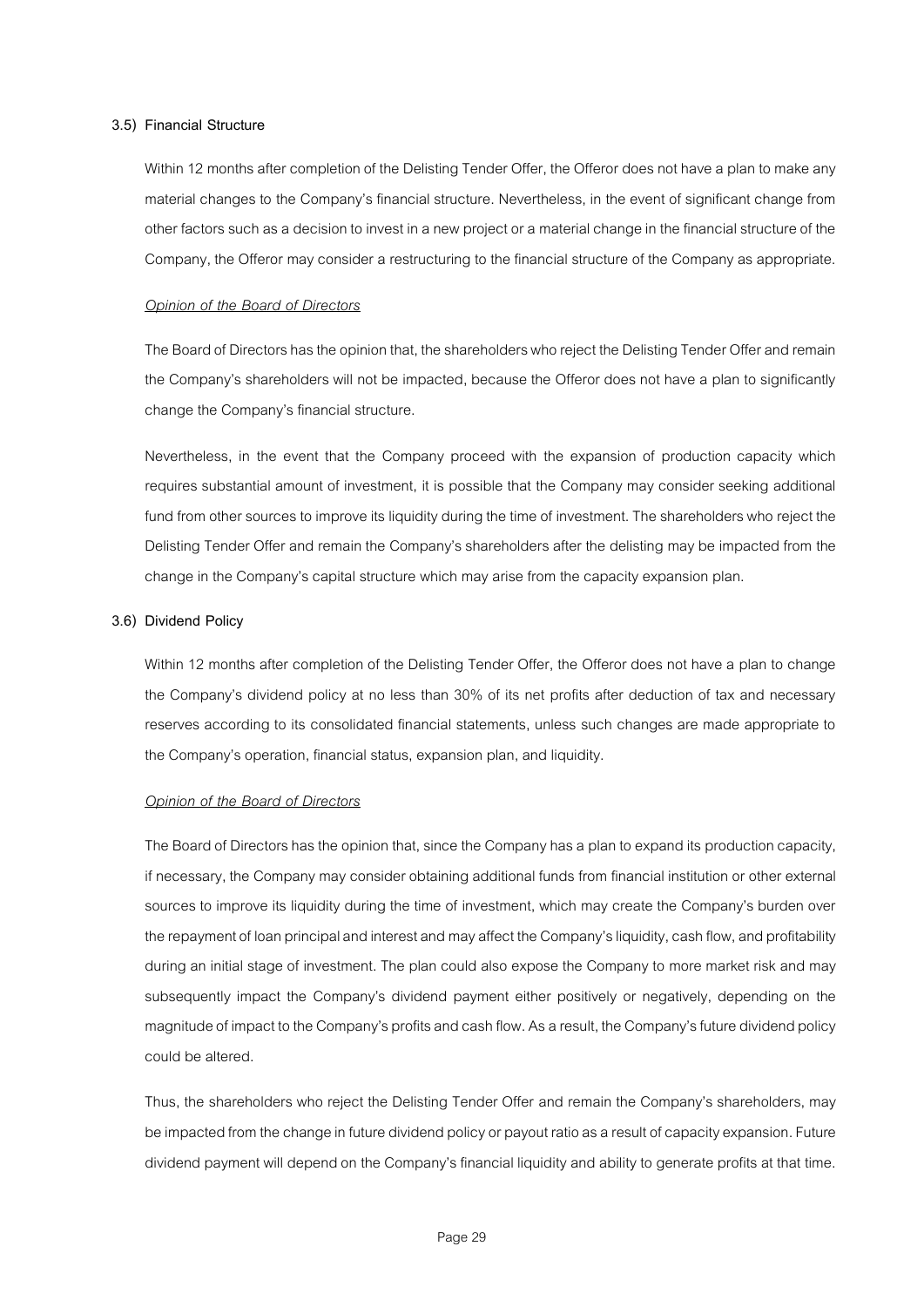#### **3.5) Financial Structure**

Within 12 months after completion of the Delisting Tender Offer, the Offeror does not have a plan to make any material changes to the Company's financial structure. Nevertheless, in the event of significant change from other factors such as a decision to invest in a new project or a material change in the financial structure of the Company, the Offeror may consider a restructuring to the financial structure of the Company as appropriate.

#### *Opinion of the Board of Directors*

The Board of Directors has the opinion that, the shareholders who reject the Delisting Tender Offer and remain the Company's shareholders will not be impacted, because the Offeror does not have a plan to significantly change the Company's financial structure.

Nevertheless, in the event that the Company proceed with the expansion of production capacity which requires substantial amount of investment, it is possible that the Company may consider seeking additional fund from other sources to improve its liquidity during the time of investment. The shareholders who reject the Delisting Tender Offer and remain the Company's shareholders after the delisting may be impacted from the change in the Company's capital structure which may arise from the capacity expansion plan.

#### **3.6) Dividend Policy**

Within 12 months after completion of the Delisting Tender Offer, the Offeror does not have a plan to change the Company's dividend policy at no less than 30% of its net profits after deduction of tax and necessary reserves according to its consolidated financial statements, unless such changes are made appropriate to the Company's operation, financial status, expansion plan, and liquidity.

#### *Opinion of the Board of Directors*

The Board of Directors has the opinion that, since the Company has a plan to expand its production capacity, if necessary, the Company may consider obtaining additional funds from financial institution or otherexternal sources to improve its liquidity during the time of investment, which may create the Company's burden over the repayment of loan principal and interest and may affect the Company's liquidity, cash flow, and profitability during an initial stage of investment. The plan could also expose the Company to more market risk and may subsequently impact the Company's dividend payment either positively or negatively, depending on the magnitude of impact to the Company's profits and cash flow. As a result, the Company's future dividend policy could be altered.

Thus, the shareholders who reject the Delisting Tender Offer and remain the Company's shareholders, may be impacted from the change in future dividend policy or payout ratio as a result of capacity expansion. Future dividend payment will depend on the Company's financial liquidity and ability to generate profits at that time.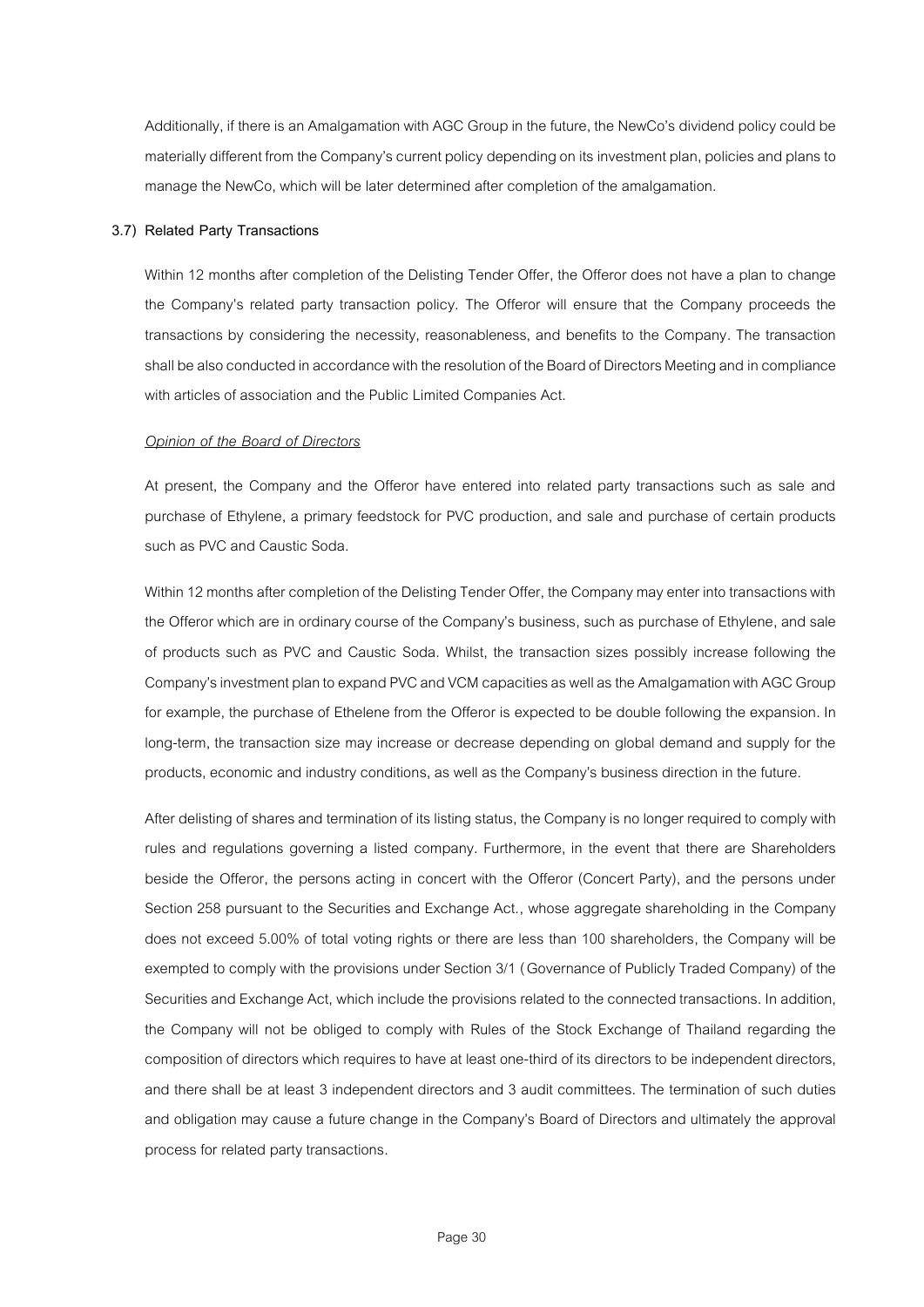Additionally, if there is an Amalgamation with AGC Group in the future, the NewCo's dividend policy could be materially different from the Company's current policy depending on its investment plan, policiesand plansto manage the NewCo, which will be later determined after completion of the amalgamation.

#### **3.7) Related Party Transactions**

Within 12 months after completion of the Delisting Tender Offer, the Offeror does not have a plan to change the Company's related party transaction policy. The Offeror will ensure that the Company proceeds the transactions by considering the necessity, reasonableness, and benefits to the Company. The transaction shall be also conducted in accordance with the resolution of the Board of Directors Meeting and in compliance with articles of association and the Public Limited Companies Act.

## *Opinion of the Board of Directors*

At present, the Company and the Offeror have entered into related party transactions such as sale and purchase of Ethylene, a primary feedstock for PVC production, and sale and purchase of certain products such as PVC and Caustic Soda.

Within 12 months after completion of the Delisting Tender Offer, the Company may enter into transactions with the Offeror which are in ordinary course of the Company's business, such as purchase of Ethylene, and sale of products such as PVC and Caustic Soda. Whilst, the transaction sizes possibly increase following the Company's investment plan to expand PVC and VCM capacities as well asthe Amalgamation with AGC Group for example, the purchase of Ethelene from the Offeror is expected to be double following the expansion. In long-term, the transaction size may increase or decrease depending on global demand and supply for the products, economic and industry conditions, as well as the Company's business direction in the future.

After delisting of shares and termination of its listing status, the Companyis no longer required to comply with rules and regulations governing a listed company. Furthermore, in the event that there are Shareholders beside the Offeror, the persons acting in concert with the Offeror (Concert Party), and the persons under Section 258 pursuant to the Securities and Exchange Act., whose aggregate shareholding in the Company does not exceed 5.00% of total voting rights or there are less than 100 shareholders, the Company will be exempted to comply with the provisions under Section 3/1 (Governance of Publicly Traded Company) of the Securities and Exchange Act, which include the provisions related to the connected transactions. In addition, the Company will not be obliged to comply with Rules of the Stock Exchange of Thailand regarding the composition of directors which requires to have at least one-third of its directors to beindependent directors, and there shall be at least 3 independent directors and 3 audit committees. The termination of such duties and obligation may cause a future change in the Company's Board of Directors and ultimately the approval process for related party transactions.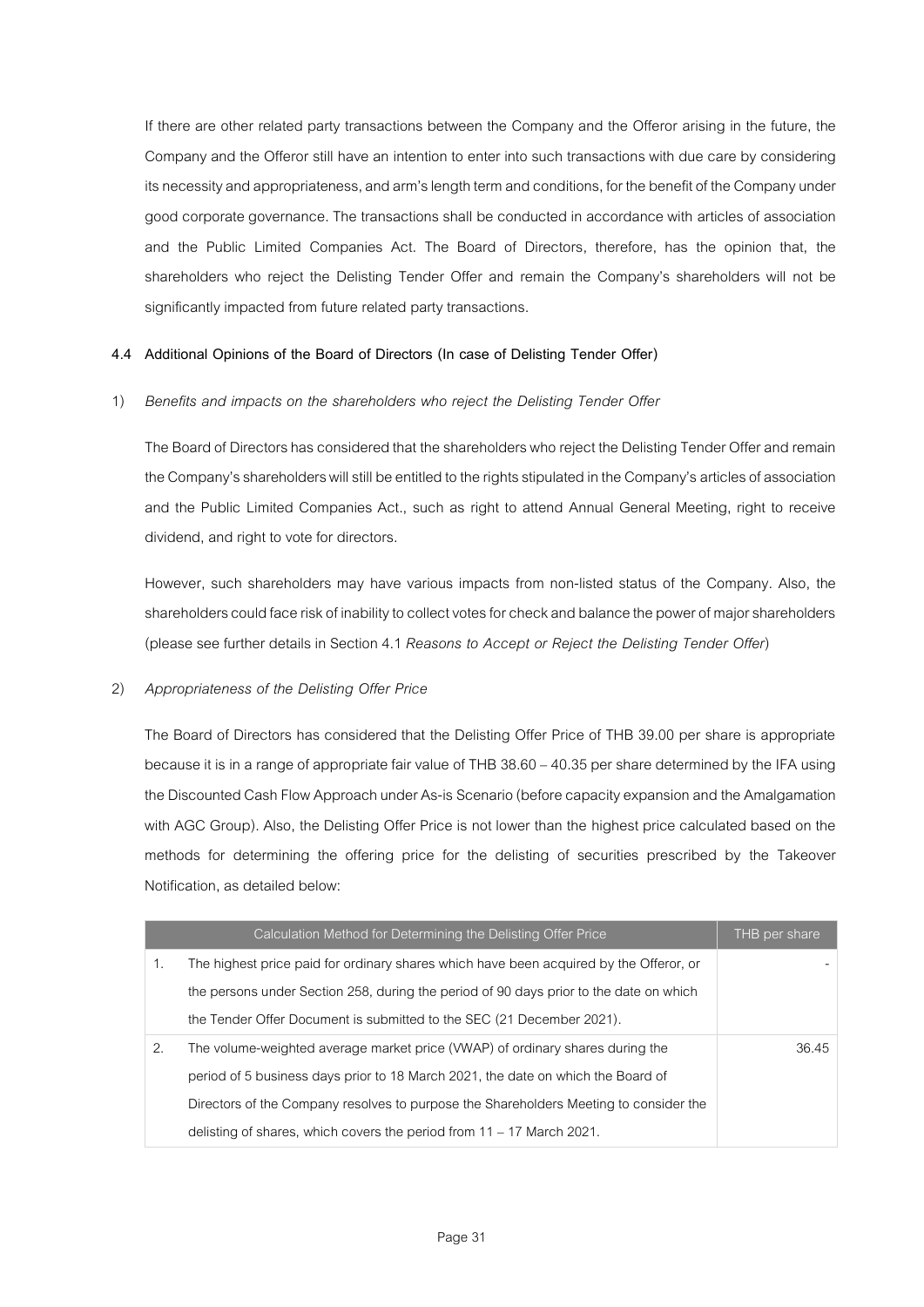If there are other related party transactions between the Company and the Offeror arising in the future, the Company and the Offeror still have an intention to enter into such transactions with due care by considering its necessity and appropriateness, and arm's length term and conditions, for the benefit of the Company under good corporate governance.The transactions shall be conducted in accordance with articles of association and the Public Limited Companies Act. The Board of Directors, therefore, has the opinion that, the shareholders who reject the Delisting Tender Offer and remain the Company's shareholders will not be significantly impacted from future related party transactions.

# **4.4 Additional Opinions of the Board of Directors (In case of Delisting Tender Offer)**

# 1) *Benefits and impacts on the shareholders who reject the Delisting Tender Offer*

The Board of Directors has considered that the shareholders who reject the Delisting Tender Offer and remain the Company's shareholders will still be entitled to the rights stipulated in the Company's articles of association and the Public Limited Companies Act., such as right to attend Annual General Meeting, right to receive dividend, and right to vote for directors.

However, such shareholders may have various impacts from non-listed status of the Company. Also, the shareholders could face risk of inability to collect votes for check and balance the power of major shareholders (please see further details in Section 4.1 *Reasons to Accept or Reject the Delisting Tender Offer*)

# 2) *Appropriateness of the Delisting Offer Price*

The Board of Directors has considered that the Delisting Offer Price of THB 39.00 per share is appropriate because it is in a range of appropriate fair value of THB 38.60 – 40.35 per share determined by the IFA using the Discounted Cash Flow Approach under As-is Scenario(before capacity expansionand the Amalgamation with AGC Group). Also, the Delisting Offer Price is not lower than the highest price calculated based on the methods for determining the offering price for the delisting of securities prescribed by the Takeover Notification, as detailed below:

|    | Calculation Method for Determining the Delisting Offer Price                           | THB per share |
|----|----------------------------------------------------------------------------------------|---------------|
| 1. | The highest price paid for ordinary shares which have been acquired by the Offeror, or |               |
|    | the persons under Section 258, during the period of 90 days prior to the date on which |               |
|    | the Tender Offer Document is submitted to the SEC (21 December 2021).                  |               |
| 2. | The volume-weighted average market price (VWAP) of ordinary shares during the          | 36.45         |
|    | period of 5 business days prior to 18 March 2021, the date on which the Board of       |               |
|    | Directors of the Company resolves to purpose the Shareholders Meeting to consider the  |               |
|    | delisting of shares, which covers the period from $11 - 17$ March 2021.                |               |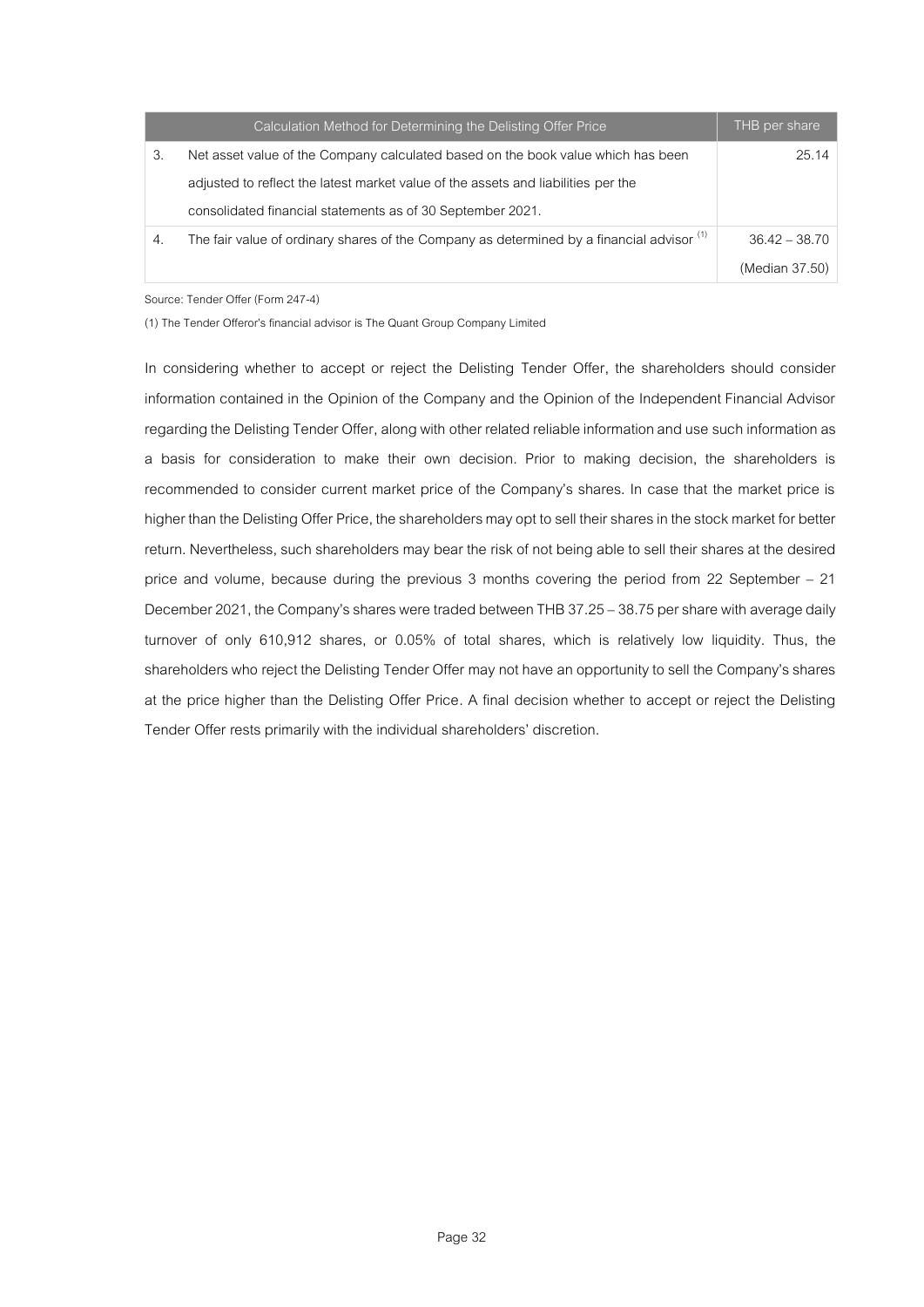|    | Calculation Method for Determining the Delisting Offer Price                                         | THB per share   |
|----|------------------------------------------------------------------------------------------------------|-----------------|
| 3. | Net asset value of the Company calculated based on the book value which has been                     | 25.14           |
|    | adjusted to reflect the latest market value of the assets and liabilities per the                    |                 |
|    | consolidated financial statements as of 30 September 2021.                                           |                 |
| 4. | The fair value of ordinary shares of the Company as determined by a financial advisor <sup>(1)</sup> | $36.42 - 38.70$ |
|    |                                                                                                      | (Median 37.50)  |

Source: Tender Offer (Form 247-4)

(1) The Tender Offeror's financial advisor is The Quant Group Company Limited

In considering whether to accept or reject the Delisting Tender Offer, the shareholders should consider information contained in the Opinion of the Company and the Opinion of the Independent Financial Advisor regarding the Delisting Tender Offer, along with other related reliable information and use such informationas a basis for consideration to make their own decision. Prior to making decision, the shareholders is recommended to consider current market price of the Company's shares. In case that the market price is higher than the Delisting Offer Price, the shareholders may opt to sell their shares in the stock market for better return. Nevertheless, such shareholders may bear the risk of not being able to sell their shares at the desired price and volume, because during the previous 3 months covering the period from 22 September – 21 December 2021, the Company's shares were traded between THB 37.25 - 38.75 per share with average daily turnover of only 610,912 shares, or 0.05% of total shares, which is relatively low liquidity. Thus, the shareholders who reject the Delisting Tender Offer may not have an opportunity to sell the Company's shares at the price higher than the Delisting Offer Price. A final decision whether to accept or reject the Delisting Tender Offer rests primarily with the individual shareholders' discretion.